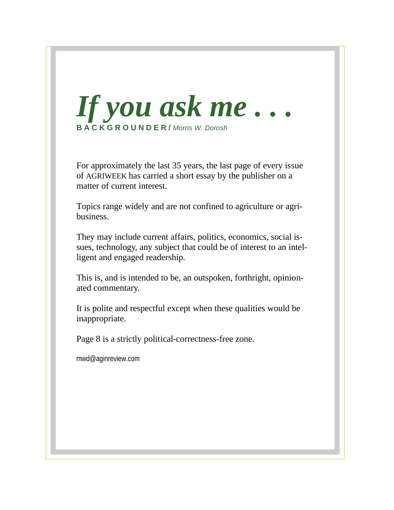

For approximately the last 35 years, the last page of every issue of AGRIWEEK has carried a short essay by the publisher on a matter of current interest.

Topics range widely and are not confined to agriculture or agribusiness.

They may include current affairs, politics, economics, social issues, technology, any subject that could be of interest to an intelligent and engaged readership.

This is, and is intended to be, an outspoken, forthright, opinionated commentary.

It is polite and respectful except when these qualities would be inappropriate.

Page 8 is a strictly political-correctness-free zone.

mwd@aginreview.com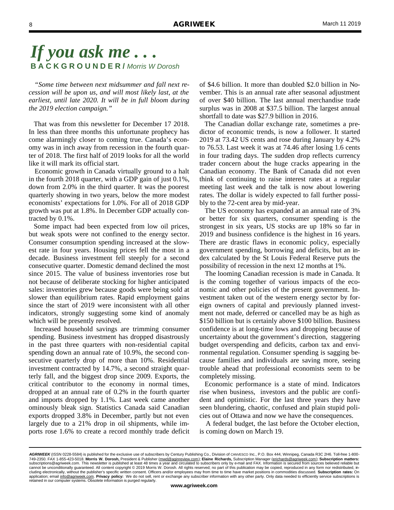*"Some time between next midsummer and fall next recession will be upon us, and will most likely last, at the earliest, until late 2020. It will be in full bloom during the 2019 election campaign."*

 That was from this newsletter for December 17 2018. In less than three months this unfortunate prophecy has come alarmingly closer to coming true. Canada's economy was in inch away from recession in the fourth quarter of 2018. The first half of 2019 looks for all the world like it will mark its official start.

 Economic growth in Canada virtually ground to a halt in the fourth 2018 quarter, with a GDP gain of just 0.1%, down from 2.0% in the third quarter. It was the poorest quarterly showing in two years, below the more modest economists' expectations for 1.0%. For all of 2018 GDP growth was put at 1.8%. In December GDP actually contracted by 0.1%.

 Some impact had been expected from low oil prices, but weak spots were not confined to the energy sector. Consumer consumption spending increased at the slowest rate in four years. Housing prices fell the most in a decade. Business investment fell steeply for a second consecutive quarter. Domestic demand declined the most since 2015. The value of business inventories rose but not because of deliberate stocking for higher anticipated sales: inventories grew because goods were being sold at slower than equilibrium rates. Rapid employment gains since the start of 2019 were inconsistent with all other indicators, strongly suggesting some kind of anomaly which will be presently resolved.

 Increased household savings are trimming consumer spending. Business investment has dropped disastrously in the past three quarters with non-residential capital spending down an annual rate of 10.9%, the second consecutive quarterly drop of more than 10%. Residential investment contracted by 14.7%, a second straight quarterly fall, and the biggest drop since 2009. Exports, the critical contributor to the economy in normal times, dropped at an annual rate of 0.2% in the fourth quarter and imports dropped by 1.1%. Last week came another ominously bleak sign. Statistics Canada said Canadian exports dropped 3.8% in December, partly but not even largely due to a 21% drop in oil shipments, while imports rose 1.6% to create a record monthly trade deficit

of \$4.6 billion. It more than doubled \$2.0 billion in November. This is an annual rate after seasonal adjustment of over \$40 billion. The last annual merchandise trade surplus was in 2008 at \$37.5 billion. The largest annual shortfall to date was \$27.9 billion in 2016.

 The Canadian dollar exchange rate, sometimes a predictor of economic trends, is now a follower. It started 2019 at 73.42 US cents and rose during January by 4.2% to 76.53. Last week it was at 74.46 after losing 1.6 cents in four trading days. The sudden drop reflects currency trader concern about the huge cracks appearing in the Canadian economy. The Bank of Canada did not even think of continuing to raise interest rates at a regular meeting last week and the talk is now about lowering rates. The dollar is widely expected to fall further possibly to the 72-cent area by mid-year.

 The US economy has expanded at an annual rate of 3% or better for six quarters, consumer spending is the strongest in six years, US stocks are up 18% so far in 2019 and business confidence is the highest in 16 years. There are drastic flaws in economic policy, especially government spending, borrowing and deficits, but an index calculated by the St Louis Federal Reserve puts the possibility of recession in the next 12 months at 1%.

 The looming Canadian recession is made in Canada. It is the coming together of various impacts of the economic and other policies of the present government. Investment taken out of the western energy sector by foreign owners of capital and previously planned investment not made, deferred or cancelled may be as high as \$150 billion but is certainly above \$100 billion. Business confidence is at long-time lows and dropping because of uncertainty about the government's direction, staggering budget overspending and deficits, carbon tax and environmental regulation. Consumer spending is sagging because families and individuals are saving more, seeing trouble ahead that professional economists seem to be completely missing.

 Economic performance is a state of mind. Indicators rise when business, investors and the public are confident and optimistic. For the last three years they have seen blundering, chaotic, confused and plain stupid policies out of Ottawa and now we have the consequences.

 A federal budget, the last before the October election, is coming down on March 19.

*AGRIWEEK* (ISSN 0228-5584) is published for the exclusive use of subscribers by Century Publishing Co., Division of CANVESCO Inc., P.O. Box 444, Winnipeg, Canada R3C 2H6. Toll-free 1-800- 749-2350. FAX 1-855-423-5018. **Morris W. Dorosh,** President & Publisher (mwd@aginreview.com); **Elaine Richards,** Subscription Manager (erichards@agriweek.com); **Subscription matters:**  subscriptions@agriweek.com. This newsletter is published at least 48 times a year and circulated to subscribers only by e-mail and FAX. Information is secured from sources believed reliable but<br>cannot be unconditionally g cluding electronically, without the publisher's specific written consent. Officers and/or employees may from time to time have market positions in commodities discussed. **Subscription rates:** On application; email info@agriweek.com. **Privacy policy:** We do not sell, rent or exchange any subscriber information with any other party. Only data needed to efficiently service subscriptions is retained in our computer systems. Obsolete information is purged regularly.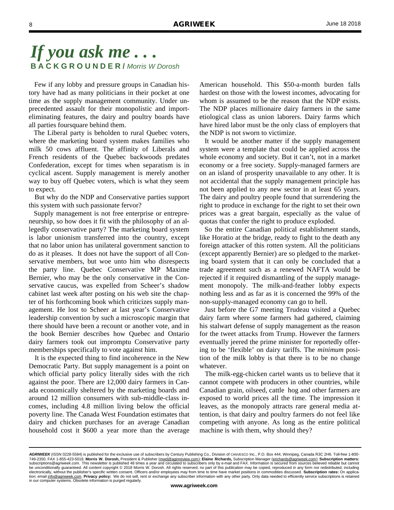Few if any lobby and pressure groups in Canadian history have had as many politicians in their pocket at one time as the supply management community. Under unprecedented assault for their monopolistic and importeliminating features, the dairy and poultry boards have all parties foursquare behind them.

 The Liberal party is beholden to rural Quebec voters, where the marketing board system makes families who milk 50 cows affluent. The affinity of Liberals and French residents of the Quebec backwoods predates Confederation, except for times when separatism is in cyclical ascent. Supply management is merely another way to buy off Quebec voters, which is what they seem to expect.

 But why do the NDP and Conservative parties support this system with such passionate fervor?

 Supply management is not free enterprise or entrepreneurship, so how does it fit with the philosophy of an allegedly conservative party? The marketing board system is labor unionism transferred into the country, except that no labor union has unilateral government sanction to do as it pleases. It does not have the support of all Conservative members, but woe unto him who disrespects the party line. Quebec Conservative MP Maxime Bernier, who may be the only conservative in the Conservative caucus, was expelled from Scheer's shadow cabinet last week after posting on his web site the chapter of his forthcoming book which criticizes supply management. He lost to Scheer at last year's Conservative leadership convention by such a microscopic margin that there should have been a recount or another vote, and in the book Bernier describes how Quebec and Ontario dairy farmers took out impromptu Conservative party memberships specifically to vote against him.

 It is the expected thing to find incoherence in the New Democratic Party. But supply management is a point on which official party policy literally sides with the rich against the poor. There are 12,000 dairy farmers in Canada economically sheltered by the marketing boards and around 12 million consumers with sub-middle-class incomes, including 4.8 million living below the official poverty line. The Canada West Foundation estimates that dairy and chicken purchases for an average Canadian household cost it \$600 a year more than the average

American household. This \$50-a-month burden falls hardest on those with the lowest incomes, advocating for whom is assumed to be the reason that the NDP exists. The NDP places millionaire dairy farmers in the same etiological class as union laborers. Dairy farms which have hired labor must be the only class of employers that the NDP is not sworn to victimize.

 It would be another matter if the supply management system were a template that could be applied across the whole economy and society. But it can't, not in a market economy or a free society. Supply-managed farmers are on an island of prosperity unavailable to any other. It is not accidental that the supply management principle has not been applied to any new sector in at least 65 years. The dairy and poultry people found that surrendering the right to produce in exchange for the right to set their own prices was a great bargain, especially as the value of quotas that confer the right to produce exploded.

 So the entire Canadian political establishment stands, like Horatio at the bridge, ready to fight to the death any foreign attacker of this rotten system. All the politicians (except apparently Bernier) are so pledged to the marketing board system that it can only be concluded that a trade agreement such as a renewed NAFTA would be rejected if it required dismantling of the supply management monopoly. The milk-and-feather lobby expects nothing less and as far as it is concerned the 99% of the non-supply-managed economy can go to hell.

 Just before the G7 meeting Trudeau visited a Quebec dairy farm where some farmers had gathered, claiming his stalwart defense of supply management as the reason for the tweet attacks from Trump. However the farmers eventually jeered the prime minister for reportedly offering to be 'flexible' on dairy tariffs. The *minimum* position of the milk lobby is that there is to be no change whatever.

 The milk-egg-chicken cartel wants us to believe that it cannot compete with producers in other countries, while Canadian grain, oilseed, cattle hog and other farmers are exposed to world prices all the time. The impression it leaves, as the monopoly attracts rare general media attention, is that dairy and poultry farmers do not feel like competing with anyone. As long as the entire political machine is with them, why should they?

*AGRIWEEK* (ISSN 0228-5584) is published for the exclusive use of subscribers by Century Publishing Co., Division of CANVESCO Inc., P.O. Box 444, Winnipeg, Canada R3C 2H6. Toll-free 1-800- 749-2350. FAX 1-855-423-5018. **Morris W. Dorosh,** President & Publisher (mwd@aginreview.com); **Elaine Richards,** Subscription Manager (erichards@agriweek.com); **Subscription matters:**  subscriptions@agriweek.com. This newsletter is published 48 times a year and circulated to subscribers only by e-mail and FAX. Information is secured from sources believed reliable but cannot<br>be unconditionally guaranteed. electronically, without the publisher's specific written consent. Officers and/or employees may from time to time have market positions in commodities discussed. **Subscription rates:** On application; email info@agriweek.com. **Privacy policy:** We do not sell, rent or exchange any subscriber information with any other party. Only data needed to efficiently service subscriptions is retained in our computer systems. Obsolete information is purged regularly.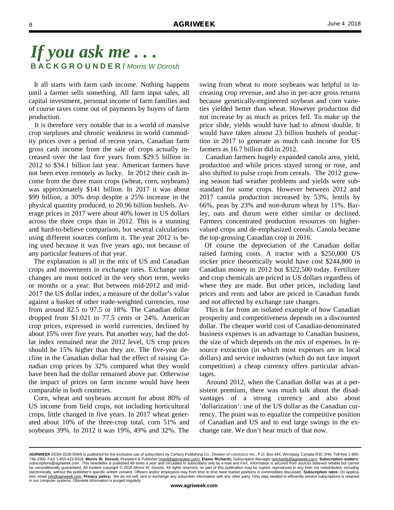It all starts with farm cash income. Nothing happens until a farmer sells something. All farm input sales, all capital investment, personal income of farm families and of course taxes come out of payments by buyers of farm production.

 It is therefore very notable that in a world of massive crop surpluses and chronic weakness in world commodity prices over a period of recent years, Canadian farm gross cash income from the sale of crops actually increased over the last five years from \$29.5 billion in 2012 to \$34.1 billion last year. American farmers have not been even remotely as lucky. In 2012 their cash income from the three main crops (wheat, corn, soybeans) was approximately \$141 billion. In 2017 it was about \$99 billion, a 30% drop despite a 25% increase in the physical quantity produced, to 20.96 billion bushels. Average prices in 2017 were about 40% lower in US dollars across the three crops than in 2012. This is a stunning and hard-to-believe comparison, but several calculations using different sources confirm it. The year 2012 is being used because it was five years ago, not because of any particular features of that year.

 The explanation is all in the mix of US and Canadian crops and movements in exchange rates. Exchange rate changes are most noticed in the very short term, weeks or months or a year. But between mid-2012 and mid-2017 the US dollar index, a measure of the dollar's value against a basket of other trade-weighted currencies, rose from around 82.5 to 97.5 or 18%. The Canadian dollar dropped from \$1.021 to 77.5 cents or 24%. American crop prices, expressed in world currencies, declined by about 15% over five years. Put another way, had the dollar index remained near the 2012 level, US crop prices should be 15% higher than they are. The five-year decline in the Canadian dollar had the effect of raising Canadian crop prices by 32% compared what they would have been had the dollar remained above par. Otherwise the impact of prices on farm income would have been comparable in both countries.

 Corn, wheat and soybeans account for about 80% of US income from field crops, not including horticultural crops, little changed in five years. In 2017 wheat generated about 10% of the three-crop total, corn 51% and soybeans 39%. In 2012 it was 19%, 49% and 32%. The

swing from wheat to more soybeans was helpful in increasing crop revenue, and also in per-acre gross returns because genetically-engineered soybean and corn varieties yielded better than wheat. However production did not increase by as much as prices fell. To make up the price slide, yields would have had to almost double. It would have taken almost 23 billion bushels of production in 2017 to generate as much cash income for US farmers as 16.7 billion did in 2012.

 Canadian farmers hugely expanded canola area, yield, production and while prices stayed strong or rose, and also shifted to pulse crops from cereals. The 2012 growing season had weather problems and yields were substandard for some crops. However between 2012 and 2017 canola production increased by 53%, lentils by 66%, peas by 23% and non-durum wheat by 11%. Barley, oats and durum were either similar or declined. Farmers concentrated production resources on highervalued crops and de-emphasized cereals. Canola became the top-grossing Canadian crop in 2016.

 Of course the depreciation of the Canadian dollar raised farming costs. A tractor with a \$250,000 US sticker price theoretically would have cost \$244,800 in Canadian money in 2012 but \$322,500 today. Fertilizer and crop chemicals are priced in US dollars regardless of where they are made. But other prices, including land prices and rents and labor are priced in Canadian funds and not affected by exchange rate changes.

 This is far from an isolated example of how Canadian prosperity and competitiveness depends on a discounted dollar. The cheaper world cost of Canadian-denominated business expenses is an advantage to Canadian business, the size of which depends on the mix of expenses. In resource extraction (in which most expenses are in local dollars) and service industries (which do not face import competition) a cheap currency offers particular advantages.

 Around 2012, when the Canadian dollar was at a persistent premium, there was much talk about the disadvantages of a strong currency and also about 'dollarization': use of the US dollar as the Canadian currency. The point was to equalize the competitive position of Canadian and US and to end large swings in the exchange rate. We don't hear much of that now.

*AGRIWEEK* (ISSN 0228-5584) is published for the exclusive use of subscribers by Century Publishing Co., Division of CANVESCO Inc., P.O. Box 444, Winnipeg, Canada R3C 2H6. Toll-free 1-800- 749-2350. FAX 1-855-423-5018. **Morris W. Dorosh,** President & Publisher (mwd@aginreview.com); **Elaine Richards,** Subscription Manager (erichards@agriweek.com); **Subscription matters:**  subscriptions@agriweek.com. This newsletter is published 48 times a year and circulated to subscribers only by e-mail and FAX. Information is secured from sources believed reliable but cannot<br>be unconditionally guaranteed. electronically, without the publisher's specific written consent. Officers and/or employees may from time to time have market positions in commodities discussed. **Subscription rates:** On application; email info@agriweek.com. **Privacy policy:** We do not sell, rent or exchange any subscriber information with any other party. Only data needed to efficiently service subscriptions is retained in our computer systems. Obsolete information is purged regularly.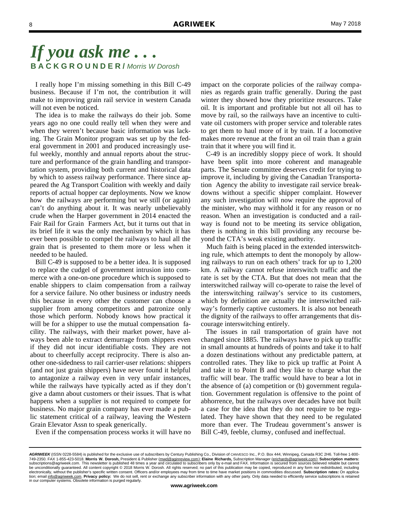I really hope I'm missing something in this Bill C-49 business. Because if I'm not, the contribution it will make to improving grain rail service in western Canada will not even be noticed.

 The idea is to make the railways do their job. Some years ago no one could really tell when they were and when they weren't because basic information was lacking. The Grain Monitor program was set up by the federal government in 2001 and produced increasingly useful weekly, monthly and annual reports about the structure and performance of the grain handling and transportation system, providing both current and historical data by which to assess railway performance. There since appeared the Ag Transport Coalition with weekly and daily reports of actual hopper car deployments. Now we know how the railways are performing but we still (or again) can't do anything about it. It was nearly unbelievably crude when the Harper government in 2014 enacted the Fair Rail for Grain Farmers Act, but it turns out that in its brief life it was the only mechanism by which it has ever been possible to compel the railways to haul all the grain that is presented to them more or less when it needed to be hauled.

 Bill C-49 is supposed to be a better idea. It is supposed to replace the cudgel of government intrusion into commerce with a one-on-one procedure which is supposed to enable shippers to claim compensation from a railway for a service failure. No other business or industry needs this because in every other the customer can choose a supplier from among competitors and patronize only those which perform. Nobody knows how practical it will be for a shipper to use the mutual compensation facility. The railways, with their market power, have always been able to extract demurrage from shippers even if they did not incur identifiable costs. They are not about to cheerfully accept reciprocity. There is also another one-sidedness to rail carrier-user relations: shippers (and not just grain shippers) have never found it helpful to antagonize a railway even in very unfair instances, while the railways have typically acted as if they don't give a damn about customers or their issues. That is what happens when a supplier is not required to compete for business. No major grain company has ever made a public statement critical of a railway, leaving the Western Grain Elevator Assn to speak generically.

impact on the corporate policies of the railway companies as regards grain traffic generally. During the past winter they showed how they prioritize resources. Take oil. It is important and profitable but not all oil has to move by rail, so the railways have an incentive to cultivate oil customers with proper service and tolerable rates to get them to haul more of it by train. If a locomotive makes more revenue at the front an oil train than a grain train that it where you will find it.

 C-49 is an incredibly sloppy piece of work. It should have been split into more coherent and manageable parts. The Senate committee deserves credit for trying to improve it, including by giving the Canadian Transportation Agency the ability to investigate rail service breakdowns without a specific shipper complaint. However any such investigation will now require the approval of the minister, who may withhold it for any reason or no reason. When an investigation is conducted and a railway is found not to be meeting its service obligation, there is nothing in this bill providing any recourse beyond the CTA's weak existing authority.

 Much faith is being placed in the extended interswitching rule, which attempts to dent the monopoly by allowing railways to run on each others' track for up to 1,200 km. A railway cannot refuse interswitch traffic and the rate is set by the CTA. But that does not mean that the interswitched railway will co-operate to raise the level of the interswitching railway's service to its customers, which by definition are actually the interswitched railway's formerly captive customers. It is also not beneath the dignity of the railways to offer arrangements that discourage interswitching entirely.

 The issues in rail transportation of grain have not changed since 1885. The railways have to pick up traffic in small amounts at hundreds of points and take it to half a dozen destinations without any predictable pattern, at controlled rates. They like to pick up traffic at Point A and take it to Point B and they like to charge what the traffic will bear. The traffic would have to bear a lot in the absence of (a) competition or (b) government regulation. Government regulation is offensive to the point of abhorrence, but the railways over decades have not built a case for the idea that they do not require to be regulated. They have shown that they need to be regulated more than ever. The Trudeau government's answer is Bill C-49, feeble, clumsy, confused and ineffectual.

Even if the compensation process works it will have no

AGRIWEEK (ISSN 0228-5584) is published for the exclusive use of subscribers by Century Publishing Co., Division of CANVESCO Inc., P.O. Box 444, Winnipeg, Canada R3C 2H6. Toll-free 1-800-749-2350. FAX 1-855-423-5018. **Morris W. Dorosh,** President & Publisher (mwd@aginreview.com); **Elaine Richards,** Subscription Manager (erichards@agriweek.com); **Subscription matters:**  subscriptions@agriweek.com. This newsletter is published 48 times a year and circulated to subscribers only by e-mail and FAX. Information is secured from sources believed reliable but cannot<br>be unconditionally guaranteed. electronically, without the publisher's specific written consent. Officers and/or employees may from time to time have market positions in commodities discussed. **Subscription rates:** On application; email info@agriweek.com. **Privacy policy:** We do not sell, rent or exchange any subscriber information with any other party. Only data needed to efficiently service subscriptions is retained in our computer systems. Obsolete information is purged regularly.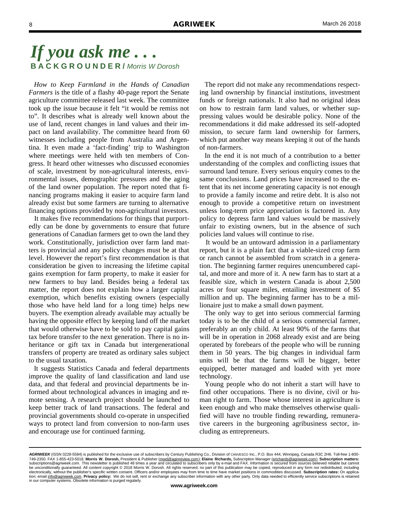*How to Keep Farmland in the Hands of Canadian Farmers* is the title of a flashy 40-page report the Senate agriculture committee released last week. The committee took up the issue because it felt "it would be remiss not to". It describes what is already well known about the use of land, recent changes in land values and their impact on land availability. The committee heard from 60 witnesses including people from Australia and Argentina. It even made a 'fact-finding' trip to Washington where meetings were held with ten members of Congress. It heard other witnesses who discussed economies of scale, investment by non-agricultural interests, environmental issues, demographic pressures and the aging of the land owner population. The report noted that financing programs making it easier to acquire farm land already exist but some farmers are turning to alternative financing options provided by non-agricultural investors.

 It makes five recommendations for things that purportedly can be done by governments to ensure that future generations of Canadian farmers get to own the land they work. Constitutionally, jurisdiction over farm land matters is provincial and any policy changes must be at that level. However the report's first recommendation is that consideration be given to increasing the lifetime capital gains exemption for farm property, to make it easier for new farmers to buy land. Besides being a federal tax matter, the report does not explain how a larger capital exemption, which benefits existing owners (especially those who have held land for a long time) helps new buyers. The exemption already available may actually be having the opposite effect by keeping land off the market that would otherwise have to be sold to pay capital gains tax before transfer to the next generation. There is no inheritance or gift tax in Canada but intergenerational transfers of property are treated as ordinary sales subject to the usual taxation.

 It suggests Statistics Canada and federal departments improve the quality of land classification and land use data, and that federal and provincial departments be informed about technological advances in imaging and remote sensing. A research project should be launched to keep better track of land transactions. The federal and provincial governments should co-operate in unspecified ways to protect land from conversion to non-farm uses and encourage use for continued farming.

 The report did not make any recommendations respecting land ownership by financial institutions, investment funds or foreign nationals. It also had no original ideas on how to restrain farm land values, or whether suppressing values would be desirable policy. None of the recommendations it did make addressed its self-adopted mission, to secure farm land ownership for farmers, which put another way means keeping it out of the hands of non-farmers.

 In the end it is not much of a contribution to a better understanding of the complex and conflicting issues that surround land tenure. Every serious enquiry comes to the same conclusions. Land prices have increased to the extent that its net income generating capacity is not enough to provide a family income and retire debt. It is also not enough to provide a competitive return on investment unless long-term price appreciation is factored in. Any policy to depress farm land values would be massively unfair to existing owners, but in the absence of such policies land values will continue to rise.

 It would be an untoward admission in a parliamentary report, but it is a plain fact that a viable-sized crop farm or ranch cannot be assembled from scratch in a generation. The beginning farmer requires unencumbered capital, and more and more of it. A new farm has to start at a feasible size, which in western Canada is about 2,500 acres or four square miles, entailing investment of \$5 million and up. The beginning farmer has to be a millionaire just to make a small down payment.

 The only way to get into serious commercial farming today is to be the child of a serious commercial farmer, preferably an only child. At least 90% of the farms that will be in operation in 2068 already exist and are being operated by forebears of the people who will be running them in 50 years. The big changes in individual farm units will be that the farms will be bigger, better equipped, better managed and loaded with yet more technology.

 Young people who do not inherit a start will have to find other occupations. There is no divine, civil or human right to farm. Those whose interest in agriculture is keen enough and who make themselves otherwise qualified will have no trouble finding rewarding, remunerative careers in the burgeoning agribusiness sector, including as entrepreneurs.

*AGRIWEEK* (ISSN 0228-5584) is published for the exclusive use of subscribers by Century Publishing Co., Division of CANVESCO Inc., P.O. Box 444, Winnipeg, Canada R3C 2H6. Toll-free 1-800- 749-2350. FAX 1-855-423-5018. **Morris W. Dorosh,** President & Publisher (mwd@aginreview.com); **Elaine Richards,** Subscription Manager (erichards@agriweek.com); **Subscription matters:**  subscriptions@agriweek.com. This newsletter is published 48 times a year and circulated to subscribers only by e-mail and FAX. Information is secured from sources believed reliable but cannot<br>be unconditionally guaranteed. electronically, without the publisher's specific written consent. Officers and/or employees may from time to time have market positions in commodities discussed. **Subscription rates:** On application; email info@agriweek.com. **Privacy policy:** We do not sell, rent or exchange any subscriber information with any other party. Only data needed to efficiently service subscriptions is retained in our computer systems. Obsolete information is purged regularly.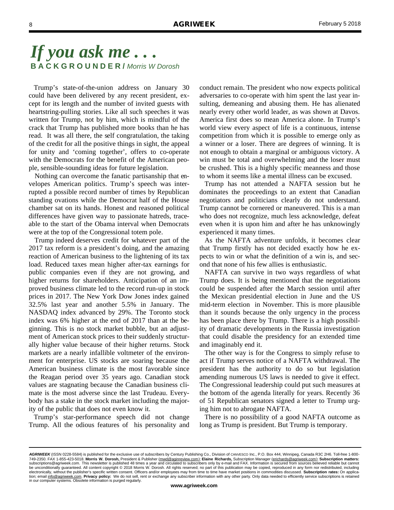Trump's state-of-the-union address on January 30 could have been delivered by any recent president, except for its length and the number of invited guests with heartstring-pulling stories. Like all such speeches it was written for Trump, not by him, which is mindful of the crack that Trump has published more books than he has read. It was all there, the self congratulation, the taking of the credit for all the positive things in sight, the appeal for unity and 'coming together', offers to co-operate with the Democrats for the benefit of the American people, sensible-sounding ideas for future legislation.

 Nothing can overcome the fanatic partisanship that envelopes American politics. Trump's speech was interrupted a possible record number of times by Republican standing ovations while the Democrat half of the House chamber sat on its hands. Honest and reasoned political differences have given way to passionate hatreds, traceable to the start of the Obama interval when Democrats were at the top of the Congressional totem pole.

 Trump indeed deserves credit for whatever part of the 2017 tax reform is a president's doing, and the amazing reaction of American business to the lightening of its tax load. Reduced taxes mean higher after-tax earnings for public companies even if they are not growing, and higher returns for shareholders. Anticipation of an improved business climate led to the record run-up in stock prices in 2017. The New York Dow Jones index gained 32.5% last year and another 5.5% in January. The NASDAQ index advanced by 29%. The Toronto stock index was 6% higher at the end of 2017 than at the beginning. This is no stock market bubble, but an adjustment of American stock prices to their suddenly structurally higher value because of their higher returns. Stock markets are a nearly infallible voltmeter of the environment for enterprise. US stocks are soaring because the American business climate is the most favorable since the Reagan period over 35 years ago. Canadian stock values are stagnating because the Canadian business climate is the most adverse since the last Trudeau. Everybody has a stake in the stock market including the majority of the public that does not even know it.

 Trump's star-performance speech did not change Trump. All the odious features of his personality and conduct remain. The president who now expects political adversaries to co-operate with him spent the last year insulting, demeaning and abusing them. He has alienated nearly every other world leader, as was shown at Davos. America first does so mean America alone. In Trump's world view every aspect of life is a continuous, intense competition from which it is possible to emerge only as a winner or a loser. There are degrees of winning. It is not enough to obtain a marginal or ambiguous victory. A win must be total and overwhelming and the loser must be crushed. This is a highly specific meanness and those to whom it seems like a mental illness can be excused.

 Trump has not attended a NAFTA session but he dominates the proceedings to an extent that Canadian negotiators and politicians clearly do not understand. Trump cannot be cornered or maneuvered. This is a man who does not recognize, much less acknowledge, defeat even when it is upon him and after he has unknowingly experienced it many times.

 As the NAFTA adventure unfolds, it becomes clear that Trump firstly has not decided exactly how he expects to win or what the definition of a win is, and second that none of his few allies is enthusiastic.

 NAFTA can survive in two ways regardless of what Trump does. It is being mentioned that the negotiations could be suspended after the March session until after the Mexican presidential election in June and the US mid-term election in November. This is more plausible than it sounds because the only urgency in the process has been place there by Trump. There is a high possibility of dramatic developments in the Russia investigation that could disable the presidency for an extended time and imaginably end it.

 The other way is for the Congress to simply refuse to act if Trump serves notice of a NAFTA withdrawal. The president has the authority to do so but legislation amending numerous US laws is needed to give it effect. The Congressional leadership could put such measures at the bottom of the agenda literally for years. Recently 36 of 51 Republican senators signed a letter to Trump urging him not to abrogate NAFTA.

 There is no possibility of a good NAFTA outcome as long as Trump is president. But Trump is temporary.

*AGRIWEEK* (ISSN 0228-5584) is published for the exclusive use of subscribers by Century Publishing Co., Division of CANVESCO Inc., P.O. Box 444, Winnipeg, Canada R3C 2H6. Toll-free 1-800- 749-2350. FAX 1-855-423-5018. **Morris W. Dorosh,** President & Publisher (mwd@aginreview.com); **Elaine Richards,** Subscription Manager (erichards@agriweek.com); **Subscription matters:**  subscriptions@agriweek.com. This newsletter is published 48 times a year and circulated to subscribers only by e-mail and FAX. Information is secured from sources believed reliable but cannot<br>be unconditionally guaranteed. electronically, without the publisher's specific written consent. Officers and/or employees may from time to time have market positions in commodities discussed. **Subscription rates:** On application; email info@agriweek.com. **Privacy policy:** We do not sell, rent or exchange any subscriber information with any other party. Only data needed to efficiently service subscriptions is retained in our computer systems. Obsolete information is purged regularly.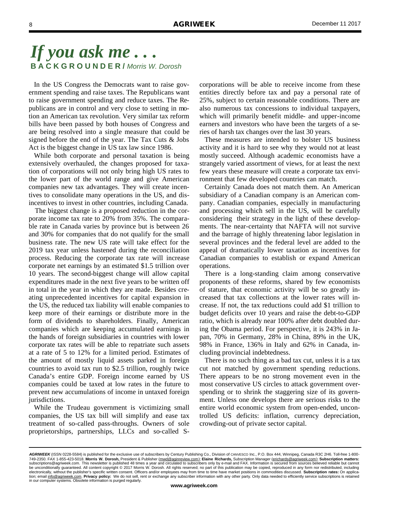In the US Congress the Democrats want to raise government spending and raise taxes. The Republicans want to raise government spending and reduce taxes. The Republicans are in control and very close to setting in motion an American tax revolution. Very similar tax reform bills have been passed by both houses of Congress and are being resolved into a single measure that could be signed before the end of the year. The Tax Cuts & Jobs Act is the biggest change in US tax law since 1986.

 While both corporate and personal taxation is being extensively overhauled, the changes proposed for taxation of corporations will not only bring high US rates to the lower part of the world range and give American companies new tax advantages. They will create incentives to consolidate many operations in the US, and disincentives to invest in other countries, including Canada.

 The biggest change is a proposed reduction in the corporate income tax rate to 20% from 35%. The comparable rate in Canada varies by province but is between 26 and 30% for companies that do not qualify for the small business rate. The new US rate will take effect for the 2019 tax year unless hastened during the reconciliation process. Reducing the corporate tax rate will increase corporate net earnings by an estimated \$1.5 trillion over 10 years. The second-biggest change will allow capital expenditures made in the next five years to be written off in total in the year in which they are made. Besides creating unprecedented incentives for capital expansion in the US, the reduced tax liability will enable companies to keep more of their earnings or distribute more in the form of dividends to shareholders. Finally, American companies which are keeping accumulated earnings in the hands of foreign subsidiaries in countries with lower corporate tax rates will be able to repatriate such assets at a rate of 5 to 12% for a limited period. Estimates of the amount of mostly liquid assets parked in foreign countries to avoid tax run to \$2.5 trillion, roughly twice Canada's entire GDP. Foreign income earned by US companies could be taxed at low rates in the future to prevent new accumulations of income in untaxed foreign jurisdictions.

 While the Trudeau government is victimizing small companies, the US tax bill will simplify and ease tax treatment of so-called pass-throughs. Owners of sole proprietorships, partnerships, LLCs and so-called S-

corporations will be able to receive income from these entities directly before tax and pay a personal rate of 25%, subject to certain reasonable conditions. There are also numerous tax concessions to individual taxpayers, which will primarily benefit middle- and upper-income earners and investors who have been the targets of a series of harsh tax changes over the last 30 years.

 These measures are intended to bolster US business activity and it is hard to see why they would not at least mostly succeed. Although academic economists have a strangely varied assortment of views, for at least the next few years these measure will create a corporate tax environment that few developed countries can match.

 Certainly Canada does not match them. An American subsidiary of a Canadian company is an American company. Canadian companies, especially in manufacturing and processing which sell in the US, will be carefully considering their strategy in the light of these developments. The near-certainty that NAFTA will not survive and the barrage of highly threatening labor legislation in several provinces and the federal level are added to the appeal of dramatically lower taxation as incentives for Canadian companies to establish or expand American operations.

 There is a long-standing claim among conservative proponents of these reforms, shared by few economists of stature, that economic activity will be so greatly increased that tax collections at the lower rates will increase. If not, the tax reductions could add \$1 trillion to budget deficits over 10 years and raise the debt-to-GDP ratio, which is already near 100% after debt doubled during the Obama period. For perspective, it is 243% in Japan, 70% in Germany, 28% in China, 89% in the UK, 98% in France, 136% in Italy and 62% in Canada, including provincial indebtedness.

 There is no such thing as a bad tax cut, unless it is a tax cut not matched by government spending reductions. There appears to be no strong movement even in the most conservative US circles to attack government overspending or to shrink the staggering size of its government. Unless one develops there are serious risks to the entire world economic system from open-ended, uncontrolled US deficits: inflation, currency depreciation, crowding-out of private sector capital.

*AGRIWEEK* (ISSN 0228-5584) is published for the exclusive use of subscribers by Century Publishing Co., Division of CANVESCO Inc., P.O. Box 444, Winnipeg, Canada R3C 2H6. Toll-free 1-800- 749-2350. FAX 1-855-423-5018. **Morris W. Dorosh,** President & Publisher (mwd@aginreview.com); **Elaine Richards,** Subscription Manager (erichards@agriweek.com); **Subscription matters:**  subscriptions@agriweek.com. This newsletter is published 48 times a year and circulated to subscribers only by e-mail and FAX. Information is secured from sources believed reliable but cannot<br>be unconditionally guaranteed. electronically, without the publisher's specific written consent. Officers and/or employees may from time to time have market positions in commodities discussed. **Subscription rates:** On application; email info@agriweek.com. **Privacy policy:** We do not sell, rent or exchange any subscriber information with any other party. Only data needed to efficiently service subscriptions is retained in our computer systems. Obsolete information is purged regularly.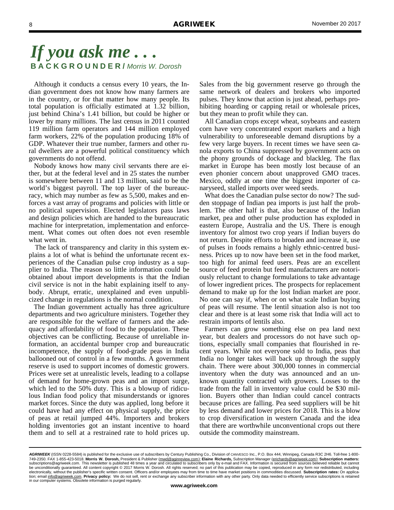Although it conducts a census every 10 years, the Indian government does not know how many farmers are in the country, or for that matter how many people. Its total population is officially estimated at 1.32 billion, just behind China's 1.41 billion, but could be higher or lower by many millions. The last census in 2011 counted 119 million farm operators and 144 million employed farm workers, 22% of the population producing 18% of GDP. Whatever their true number, farmers and other rural dwellers are a powerful political constituency which governments do not offend.

 Nobody knows how many civil servants there are either, but at the federal level and in 25 states the number is somewhere between 11 and 13 million, said to be the world's biggest payroll. The top layer of the bureaucracy, which may number as few as 5,500, makes and enforces a vast array of programs and policies with little or no political supervision. Elected legislators pass laws and design policies which are handed to the bureaucratic machine for interpretation, implementation and enforcement. What comes out often does not even resemble what went in.

 The lack of transparency and clarity in this system explains a lot of what is behind the unfortunate recent experiences of the Canadian pulse crop industry as a supplier to India. The reason so little information could be obtained about import developments is that the Indian civil service is not in the habit explaining itself to anybody. Abrupt, erratic, unexplained and even unpublicized change in regulations is the normal condition.

 The Indian government actually has three agriculture departments and two agriculture ministers. Together they are responsible for the welfare of farmers and the adequacy and affordability of food to the population. These objectives can be conflicting. Because of unreliable information, an accidental bumper crop and bureaucratic incompetence, the supply of food-grade peas in India ballooned out of control in a few months. A government reserve is used to support incomes of domestic growers. Prices were set at unrealistic levels, leading to a collapse of demand for home-grown peas and an import surge, which led to the 50% duty. This is a blowup of ridiculous Indian food policy that misunderstands or ignores market forces. Since the duty was applied, long before it could have had any effect on physical supply, the price of peas at retail jumped 44%. Importers and brokers holding inventories got an instant incentive to hoard them and to sell at a restrained rate to hold prices up.

Sales from the big government reserve go through the same network of dealers and brokers who imported pulses. They know that action is just ahead, perhaps prohibiting hoarding or capping retail or wholesale prices, but they mean to profit while they can.

 All Canadian crops except wheat, soybeans and eastern corn have very concentrated export markets and a high vulnerability to unforeseeable demand disruptions by a few very large buyers. In recent times we have seen canola exports to China suppressed by government acts on the phony grounds of dockage and blackleg. The flax market in Europe has been mostly lost because of an even phonier concern about unapproved GMO traces. Mexico, oddly at one time the biggest importer of canaryseed, stalled imports over weed seeds.

 What does the Canadian pulse sector do now? The sudden stoppage of Indian pea imports is just half the problem. The other half is that, also because of the Indian market, pea and other pulse production has exploded in eastern Europe, Australia and the US. There is enough inventory for almost two crop years if Indian buyers do not return. Despite efforts to broaden and increase it, use of pulses in foods remains a highly ethnic-centred business. Prices up to now have been set in the food market, too high for animal feed users. Peas are an excellent source of feed protein but feed manufacturers are notoriously reluctant to change formulations to take advantage of lower ingredient prices. The prospects for replacement demand to make up for the lost Indian market are poor. No one can say if, when or on what scale Indian buying of peas will resume. The lentil situation also is not too clear and there is at least some risk that India will act to restrain imports of lentils also.

 Farmers can grow something else on pea land next year, but dealers and processors do not have such options, especially small companies that flourished in recent years. While not everyone sold to India, peas that India no longer takes will back up through the supply chain. There were about 300,000 tonnes in commercial inventory when the duty was announced and an unknown quantity contracted with growers. Losses to the trade from the fall in inventory value could be \$30 million. Buyers other than Indian could cancel contracts because prices are falling. Pea seed suppliers will be hit by less demand and lower prices for 2018. This is a blow to crop diversification in western Canada and the idea that there are worthwhile unconventional crops out there outside the commodity mainstream.

AGRIWEEK (ISSN 0228-5584) is published for the exclusive use of subscribers by Century Publishing Co., Division of CANVESCO Inc., P.O. Box 444, Winnipeg, Canada R3C 2H6, Toll-free 1-800-749-2350. FAX 1-855-423-5018. **Morris W. Dorosh,** President & Publisher (mwd@aginreview.com); **Elaine Richards,** Subscription Manager (erichards@agriweek.com); **Subscription matters:**  subscriptions@agriweek.com. This newsletter is published 48 times a year and circulated to subscribers only by e-mail and FAX. Information is secured from sources believed reliable but cannot<br>be unconditionally guaranteed. electronically, without the publisher's specific written consent. Officers and/or employees may from time to time have market positions in commodities discussed. **Subscription rates:** On application; email info@agriweek.com. **Privacy policy:** We do not sell, rent or exchange any subscriber information with any other party. Only data needed to efficiently service subscriptions is retained in our computer systems. Obsolete information is purged regularly.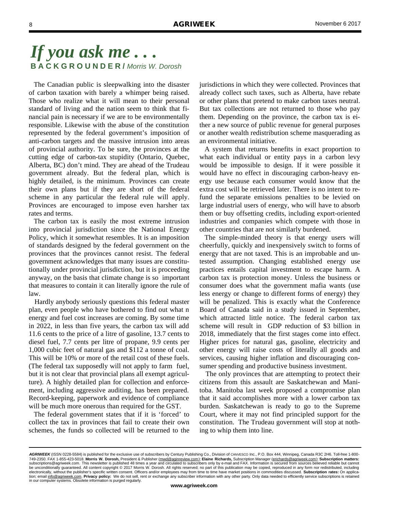The Canadian public is sleepwalking into the disaster of carbon taxation with barely a whimper being raised. Those who realize what it will mean to their personal standard of living and the nation seem to think that financial pain is necessary if we are to be environmentally responsible. Likewise with the abuse of the constitution represented by the federal government's imposition of anti-carbon targets and the massive intrusion into areas of provincial authority. To be sure, the provinces at the cutting edge of carbon-tax stupidity (Ontario, Quebec, Alberta, BC) don't mind. They are ahead of the Trudeau government already. But the federal plan, which is highly detailed, is the minimum. Provinces can create their own plans but if they are short of the federal scheme in any particular the federal rule will apply. Provinces are encouraged to impose even harsher tax rates and terms.

 The carbon tax is easily the most extreme intrusion into provincial jurisdiction since the National Energy Policy, which it somewhat resembles. It is an imposition of standards designed by the federal government on the provinces that the provinces cannot resist. The federal government acknowledges that many issues are constitutionally under provincial jurisdiction, but it is proceeding anyway, on the basis that climate change is so important that measures to contain it can literally ignore the rule of law.

 Hardly anybody seriously questions this federal master plan, even people who have bothered to find out what n energy and fuel cost increases are coming. By some time in 2022, in less than five years, the carbon tax will add 11.6 cents to the price of a litre of gasoline, 13.7 cents to diesel fuel, 7.7 cents per litre of propane, 9.9 cents per 1,000 cubic feet of natural gas and \$112 a tonne of coal. This will be 10% or more of the retail cost of these fuels. (The federal tax supposedly will not apply to farm fuel, but it is not clear that provincial plans all exempt agriculture). A highly detailed plan for collection and enforcement, including aggressive auditing, has been prepared. Record-keeping, paperwork and evidence of compliance will be much more onerous than required for the GST.

 The federal government states that if it is 'forced' to collect the tax in provinces that fail to create their own schemes, the funds so collected will be returned to the

jurisdictions in which they were collected. Provinces that already collect such taxes, such as Alberta, have rebate or other plans that pretend to make carbon taxes neutral. But tax collections are not returned to those who pay them. Depending on the province, the carbon tax is either a new source of public revenue for general purposes or another wealth redistribution scheme masquerading as an environmental initiative.

 A system that returns benefits in exact proportion to what each individual or entity pays in a carbon levy would be impossible to design. If it were possible it would have no effect in discouraging carbon-heavy energy use because each consumer would know that the extra cost will be retrieved later. There is no intent to refund the separate emissions penalties to be levied on large industrial users of energy, who will have to absorb them or buy offsetting credits, including export-oriented industries and companies which compete with those in other countries that are not similarly burdened.

 The simple-minded theory is that energy users will cheerfully, quickly and inexpensively switch to forms of energy that are not taxed. This is an improbable and untested assumption. Changing established energy use practices entails capital investment to escape harm. A carbon tax is protection money. Unless the business or consumer does what the government mafia wants (use less energy or change to different forms of energy) they will be penalized. This is exactly what the Conference Board of Canada said in a study issued in September, which attracted little notice. The federal carbon tax scheme will result in GDP reduction of \$3 billion in 2018, immediately that the first stages come into effect. Higher prices for natural gas, gasoline, electricity and other energy will raise costs of literally all goods and services, causing higher inflation and discouraging consumer spending and productive business investment.

 The only provinces that are attempting to protect their citizens from this assault are Saskatchewan and Manitoba. Manitoba last week proposed a compromise plan that it said accomplishes more with a lower carbon tax burden. Saskatchewan is ready to go to the Supreme Court, where it may not find principled support for the constitution. The Trudeau government will stop at nothing to whip them into line.

*AGRIWEEK* (ISSN 0228-5584) is published for the exclusive use of subscribers by Century Publishing Co., Division of CANVESCO Inc., P.O. Box 444, Winnipeg, Canada R3C 2H6. Toll-free 1-800- 749-2350. FAX 1-855-423-5018. **Morris W. Dorosh,** President & Publisher (mwd@aginreview.com); **Elaine Richards,** Subscription Manager (erichards@agriweek.com); **Subscription matters:**  subscriptions@agriweek.com. This newsletter is published 48 times a year and circulated to subscribers only by e-mail and FAX. Information is secured from sources believed reliable but cannot<br>be unconditionally guaranteed. electronically, without the publisher's specific written consent. Officers and/or employees may from time to time have market positions in commodities discussed. **Subscription rates:** On application; email info@agriweek.com. **Privacy policy:** We do not sell, rent or exchange any subscriber information with any other party. Only data needed to efficiently service subscriptions is retained in our computer systems. Obsolete information is purged regularly.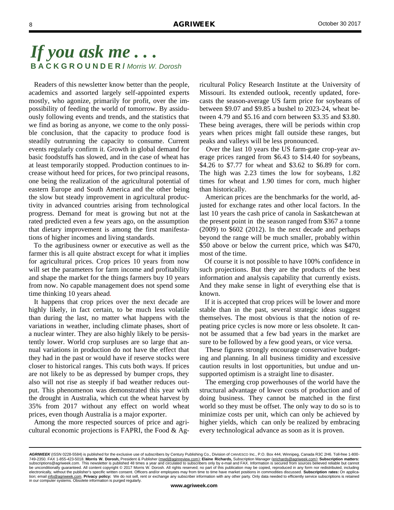Readers of this newsletter know better than the people, academics and assorted largely self-appointed experts mostly, who agonize, primarily for profit, over the impossibility of feeding the world of tomorrow. By assiduously following events and trends, and the statistics that we find as boring as anyone, we come to the only possible conclusion, that the capacity to produce food is steadily outrunning the capacity to consume. Current events regularly confirm it. Growth in global demand for basic foodstuffs has slowed, and in the case of wheat has at least temporarily stopped. Production continues to increase without heed for prices, for two principal reasons, one being the realization of the agricultural potential of eastern Europe and South America and the other being the slow but steady improvement in agricultural productivity in advanced countries arising from technological progress. Demand for meat is growing but not at the rated predicted even a few years ago, on the assumption that dietary improvement is among the first manifestations of higher incomes and living standards.

 To the agribusiness owner or executive as well as the farmer this is all quite abstract except for what it implies for agricultural prices. Crop prices 10 years from now will set the parameters for farm income and profitability and shape the market for the things farmers buy 10 years from now. No capable management does not spend some time thinking 10 years ahead.

 It happens that crop prices over the next decade are highly likely, in fact certain, to be much less volatile than during the last, no matter what happens with the variations in weather, including climate phases, short of a nuclear winter. They are also highly likely to be persistently lower. World crop surpluses are so large that annual variations in production do not have the effect that they had in the past or would have if reserve stocks were closer to historical ranges. This cuts both ways. If prices are not likely to be as depressed by bumper crops, they also will not rise as steeply if bad weather reduces output. This phenomenon was demonstrated this year with the drought in Australia, which cut the wheat harvest by 35% from 2017 without any effect on world wheat prices, even though Australia is a major exporter.

 Among the more respected sources of price and agricultural economic projections is FAPRI, the Food  $\&$  Agricultural Policy Research Institute at the University of Missouri. Its extended outlook, recently updated, forecasts the season-average US farm price for soybeans of between \$9.07 and \$9.85 a bushel to 2023-24, wheat between 4.79 and \$5.16 and corn between \$3.35 and \$3.80. These being averages, there will be periods within crop years when prices might fall outside these ranges, but peaks and valleys will be less pronounced.

 Over the last 10 years the US farm-gate crop-year average prices ranged from \$6.43 to \$14.40 for soybeans, \$4.26 to \$7.77 for wheat and \$3.62 to \$6.89 for corn. The high was 2.23 times the low for soybeans, 1.82 times for wheat and 1.90 times for corn, much higher than historically.

 American prices are the benchmarks for the world, adjusted for exchange rates and other local factors. In the last 10 years the cash price of canola in Saskatchewan at the present point in the season ranged from \$367 a tonne (2009) to \$602 (2012). In the next decade and perhaps beyond the range will be much smaller, probably within \$50 above or below the current price, which was \$470, most of the time.

 Of course it is not possible to have 100% confidence in such projections. But they are the products of the best information and analysis capability that currently exists. And they make sense in light of everything else that is known.

 If it is accepted that crop prices will be lower and more stable than in the past, several strategic ideas suggest themselves. The most obvious is that the notion of repeating price cycles is now more or less obsolete. It cannot be assumed that a few bad years in the market are sure to be followed by a few good years, or vice versa.

 These figures strongly encourage conservative budgeting and planning. In all business timidity and excessive caution results in lost opportunities, but undue and unsupported optimism is a straight line to disaster.

 The emerging crop powerhouses of the world have the structural advantage of lower costs of production and of doing business. They cannot be matched in the first world so they must be offset. The only way to do so is to minimize costs per unit, which can only be achieved by higher yields, which can only be realized by embracing every technological advance as soon as it is proven.

*AGRIWEEK* (ISSN 0228-5584) is published for the exclusive use of subscribers by Century Publishing Co., Division of CANVESCO Inc., P.O. Box 444, Winnipeg, Canada R3C 2H6. Toll-free 1-800- 749-2350. FAX 1-855-423-5018. **Morris W. Dorosh,** President & Publisher (mwd@aginreview.com); **Elaine Richards,** Subscription Manager (erichards@agriweek.com); **Subscription matters:**  subscriptions@agriweek.com. This newsletter is published 48 times a year and circulated to subscribers only by e-mail and FAX. Information is secured from sources believed reliable but cannot<br>be unconditionally guaranteed. electronically, without the publisher's specific written consent. Officers and/or employees may from time to time have market positions in commodities discussed. **Subscription rates:** On application; email info@agriweek.com. **Privacy policy:** We do not sell, rent or exchange any subscriber information with any other party. Only data needed to efficiently service subscriptions is retained in our computer systems. Obsolete information is purged regularly.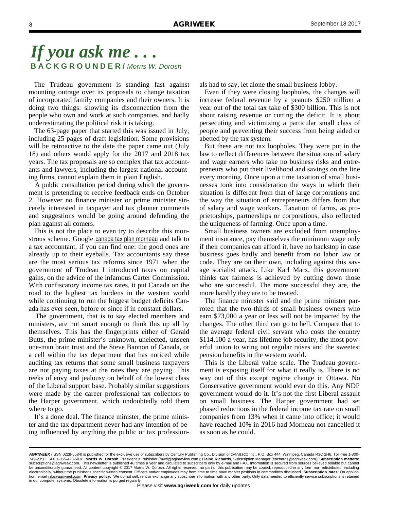The Trudeau government is standing fast against mounting outrage over its proposals to change taxation of incorporated family companies and their owners. It is doing two things: showing its disconnection from the people who own and work at such companies, and badly underestimating the political risk it is taking.

 The 63-page paper that started this was issued in July, including 25 pages of draft legislation. Some provisions will be retroactive to the date the paper came out (July 18) and others would apply for the 2017 and 2018 tax years. The tax proposals are so complex that tax accountants and lawyers, including the largest national accounting firms, cannot explain them in plain English.

 A public consultation period during which the government is pretending to receive feedback ends on October 2. However no finance minister or prime minister sincerely interested in taxpayer and tax planner comments and suggestions would be going around defending the plan against all comers.

 This is not the place to even try to describe this monstrous scheme. Google canada tax plan morneau and talk to a tax accountant, if you can find one: the good ones are already up to their eyeballs. Tax accountants say these are the most serious tax reforms since 1971 when the government of Trudeau I introduced taxes on capital gains, on the advice of the infamous Carter Commission. With confiscatory income tax rates, it put Canada on the road to the highest tax burdens in the western world while continuing to run the biggest budget deficits Canada has ever seen, before or since if in constant dollars.

 The government, that is to say elected members and ministers, are not smart enough to think this up all by themselves. This has the fingerprints either of Gerald Butts, the prime minister's unknown, unelected, unseen one-man brain trust and the Steve Bannon of Canada, or a cell within the tax department that has noticed while auditing tax returns that some small business taxpayers are not paying taxes at the rates they are paying. This reeks of envy and jealousy on behalf of the lowest class of the Liberal support base. Probably similar suggestions were made by the career professional tax collectors to the Harper government, which undoubtedly told them where to go.

 It's a done deal. The finance minister, the prime minister and the tax department never had any intention of being influenced by anything the public or tax professionals had to say, let alone the small business lobby.

 Even if they were closing loopholes, the changes will increase federal revenue by a peanuts \$250 million a year out of the total tax take of \$300 billion. This is not about raising revenue or cutting the deficit. It is about persecuting and victimizing a particular small class of people and preventing their success from being aided or abetted by the tax system.

 But these are not tax loopholes. They were put in the law to reflect differences between the situations of salary and wage earners who take no business risks and entrepreneurs who put their livelihood and savings on the line every morning. Once upon a time taxation of small businesses took into consideration the ways in which their situation is different from that of large corporations and the way the situation of entrepreneurs differs from that of salary and wage workers. Taxation of farms, as proprietorships, partnerships or corporations, also reflected the uniqueness of farming. Once upon a time.

 Small business owners are excluded from unemployment insurance, pay themselves the minimum wage only if their companies can afford it, have no backstop in case business goes badly and benefit from no labor law or code. They are on their own, including against this savage socialist attack. Like Karl Marx, this government thinks tax fairness is achieved by cutting down those who are successful. The more successful they are, the more harshly they are to be treated.

 The finance minister said and the prime minister parroted that the two-thirds of small business owners who earn \$73,000 a year or less will not be impacted by the changes. The other third can go to hell. Compare that to the average federal civil servant who costs the country \$114,100 a year, has lifetime job security, the most powerful union to wring out regular raises and the sweetest pension benefits in the western world.

 This is the Liberal value scale. The Trudeau government is exposing itself for what it really is. There is no way out of this except regime change in Ottawa. No Conservative government would ever do this. Any NDP government would do it. It's not the first Liberal assault on small business. The Harper government had set phased reductions in the federal income tax rate on small companies from 13% when it came into office; it would have reached 10% in 2016 had Morneau not cancelled it as soon as he could.

*AGRIWEEK* (ISSN 0228-5584) is published for the exclusive use of subscribers by Century Publishing Co., Division of CANVESCO Inc., P.O. Box 444, Winnipeg, Canada R3C 2H6. Toll-free 1-800- 749-2350. FAX 1-855-423-5018. **Morris W. Dorosh,** President & Publisher (mwd@aginreview.com); **Elaine Richards,** Subscription Manager (erichards@agriweek.com); **Subscription matters:**  subscriptions@agriweek.com. This newsletter is published 48 times a year and circulated to subscribers only by e-mail and FAX. Information is secured from sources believed reliable but cannot<br>be unconditionally guaranteed. electronically, without the publisher's specific written consent. Officers and/or employees may from time to time have market positions in commodities discussed. **Subscription rates:** On application; email info@agriweek.com. **Privacy policy:** We do not sell, rent or exchange any subscriber information with any other party. Only data needed to efficiently service subscriptions is retained in our computer systems. Obsolete information is purged regularly.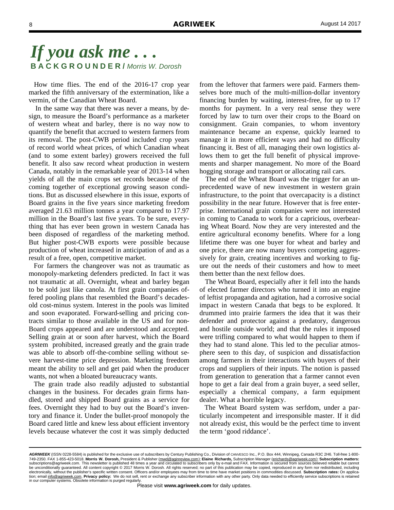How time flies. The end of the 2016-17 crop year marked the fifth anniversary of the extermination, like a vermin, of the Canadian Wheat Board.

 In the same way that there was never a means, by design, to measure the Board's performance as a marketer of western wheat and barley, there is no way now to quantify the benefit that accrued to western farmers from its removal. The post-CWB period included crop years of record world wheat prices, of which Canadian wheat (and to some extent barley) growers received the full benefit. It also saw record wheat production in western Canada, notably in the remarkable year of 2013-14 when yields of all the main crops set records because of the coming together of exceptional growing season conditions. But as discussed elsewhere in this issue, exports of Board grains in the five years since marketing freedom averaged 21.63 million tonnes a year compared to 17.97 million in the Board's last five years. To be sure, everything that has ever been grown in western Canada has been disposed of regardless of the marketing method. But higher post-CWB exports were possible because production of wheat increased in anticipation of and as a result of a free, open, competitive market.

 For farmers the changeover was not as traumatic as monopoly-marketing defenders predicted. In fact it was not traumatic at all. Overnight, wheat and barley began to be sold just like canola. At first grain companies offered pooling plans that resembled the Board's decadesold cost-minus system. Interest in the pools was limited and soon evaporated. Forward-selling and pricing contracts similar to those available in the US and for non-Board crops appeared and are understood and accepted. Selling grain at or soon after harvest, which the Board system prohibited, increased greatly and the grain trade was able to absorb off-the-combine selling without severe harvest-time price depression. Marketing freedom meant the ability to sell and get paid when the producer wants, not when a bloated bureaucracy wants.

 The grain trade also readily adjusted to substantial changes in the business. For decades grain firms handled, stored and shipped Board grains as a service for fees. Overnight they had to buy out the Board's inventory and finance it. Under the bullet-proof monopoly the Board cared little and knew less about efficient inventory levels because whatever the cost it was simply deducted

from the leftover that farmers were paid. Farmers themselves bore much of the multi-million-dollar inventory financing burden by waiting, interest-free, for up to 17 months for payment. In a very real sense they were forced by law to turn over their crops to the Board on consignment. Grain companies, to whom inventory maintenance became an expense, quickly learned to manage it in more efficient ways and had no difficulty financing it. Best of all, managing their own logistics allows them to get the full benefit of physical improvements and sharper management. No more of the Board hogging storage and transport or allocating rail cars.

 The end of the Wheat Board was the trigger for an unprecedented wave of new investment in western grain infrastructure, to the point that overcapacity is a distinct possibility in the near future. However that is free enterprise. International grain companies were not interested in coming to Canada to work for a capricious, overbearing Wheat Board. Now they are very interested and the entire agricultural economy benefits. Where for a long lifetime there was one buyer for wheat and barley and one price, there are now many buyers competing aggressively for grain, creating incentives and working to figure out the needs of their customers and how to meet them better than the next fellow does.

 The Wheat Board, especially after it fell into the hands of elected farmer directors who turned it into an engine of leftist propaganda and agitation, had a corrosive social impact in western Canada that begs to be explored. It drummed into prairie farmers the idea that it was their defender and protector against a predatory, dangerous and hostile outside world; and that the rules it imposed were trifling compared to what would happen to them if they had to stand alone. This led to the peculiar atmosphere seen to this day, of suspicion and dissatisfaction among farmers in their interactions with buyers of their crops and suppliers of their inputs. The notion is passed from generation to generation that a farmer cannot even hope to get a fair deal from a grain buyer, a seed seller, especially a chemical company, a farm equipment dealer. What a horrible legacy.

 The Wheat Board system was serfdom, under a particularly incompetent and irresponsible master. If it did not already exist, this would be the perfect time to invent the term 'good riddance'.

*AGRIWEEK* (ISSN 0228-5584) is published for the exclusive use of subscribers by Century Publishing Co., Division of CANVESCO Inc., P.O. Box 444, Winnipeg, Canada R3C 2H6. Toll-free 1-800- 749-2350. FAX 1-855-423-5018. **Morris W. Dorosh,** President & Publisher (mwd@aginreview.com); **Elaine Richards,** Subscription Manager (erichards@agriweek.com); **Subscription matters:**  subscriptions@agriweek.com. This newsletter is published 48 times a year and circulated to subscribers only by e-mail and FAX. Information is secured from sources believed reliable but cannot<br>be unconditionally guaranteed. electronically, without the publisher's specific written consent. Officers and/or employees may from time to time have market positions in commodities discussed. **Subscription rates:** On application; email info@agriweek.com. **Privacy policy:** We do not sell, rent or exchange any subscriber information with any other party. Only data needed to efficiently service subscriptions is retained in our computer systems. Obsolete information is purged regularly.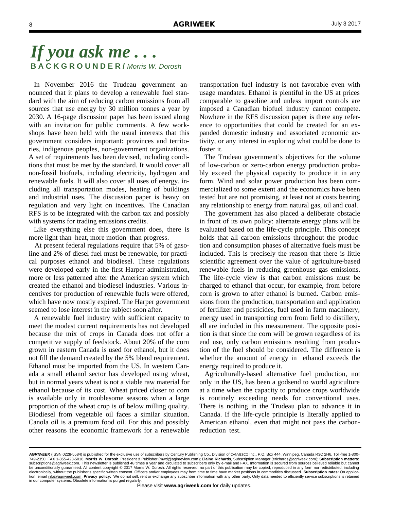In November 2016 the Trudeau government announced that it plans to develop a renewable fuel standard with the aim of reducing carbon emissions from all sources that use energy by 30 million tonnes a year by 2030. A 16-page discussion paper has been issued along with an invitation for public comments. A few workshops have been held with the usual interests that this government considers important: provinces and territories, indigenous peoples, non-government organizations. A set of requirements has been devised, including conditions that must be met by the standard. It would cover all non-fossil biofuels, including electricity, hydrogen and renewable fuels. It will also cover all uses of energy, including all transportation modes, heating of buildings and industrial uses. The discussion paper is heavy on regulation and very light on incentives. The Canadian RFS is to be integrated with the carbon tax and possibly with systems for trading emissions credits.

 Like everything else this government does, there is more light than heat, more motion than progress.

 At present federal regulations require that 5% of gasoline and 2% of diesel fuel must be renewable, for practical purposes ethanol and biodiesel. These regulations were developed early in the first Harper administration, more or less patterned after the American system which created the ethanol and biodiesel industries. Various incentives for production of renewable fuels were offered, which have now mostly expired. The Harper government seemed to lose interest in the subject soon after.

 A renewable fuel industry with sufficient capacity to meet the modest current requirements has not developed because the mix of crops in Canada does not offer a competitive supply of feedstock. About 20% of the corn grown in eastern Canada is used for ethanol, but it does not fill the demand created by the 5% blend requirement. Ethanol must be imported from the US. In western Canada a small ethanol sector has developed using wheat, but in normal years wheat is not a viable raw material for ethanol because of its cost. Wheat priced closer to corn is available only in troublesome seasons when a large proportion of the wheat crop is of below milling quality. Biodiesel from vegetable oil faces a similar situation. Canola oil is a premium food oil. For this and possibly other reasons the economic framework for a renewable

transportation fuel industry is not favorable even with usage mandates. Ethanol is plentiful in the US at prices comparable to gasoline and unless import controls are imposed a Canadian biofuel industry cannot compete. Nowhere in the RFS discussion paper is there any reference to opportunities that could be created for an expanded domestic industry and associated economic activity, or any interest in exploring what could be done to foster it.

 The Trudeau government's objectives for the volume of low-carbon or zero-carbon energy production probably exceed the physical capacity to produce it in any form. Wind and solar power production has been commercialized to some extent and the economics have been tested but are not promising, at least not at costs bearing any relationship to energy from natural gas, oil and coal.

 The government has also placed a deliberate obstacle in front of its own policy: alternate energy plans will be evaluated based on the life-cycle principle. This concept holds that all carbon emissions throughout the production and consumption phases of alternative fuels must be included. This is precisely the reason that there is little scientific agreement over the value of agriculture-based renewable fuels in reducing greenhouse gas emissions. The life-cycle view is that carbon emissions must be charged to ethanol that occur, for example, from before corn is grown to after ethanol is burned. Carbon emissions from the production, transportation and application of fertilizer and pesticides, fuel used in farm machinery, energy used in transporting corn from field to distillery, all are included in this measurement. The opposite position is that since the corn will be grown regardless of its end use, only carbon emissions resulting from production of the fuel should be considered. The difference is whether the amount of energy in ethanol exceeds the energy required to produce it.

 Agriculturally-based alternative fuel production, not only in the US, has been a godsend to world agriculture at a time when the capacity to produce crops worldwide is routinely exceeding needs for conventional uses. There is nothing in the Trudeau plan to advance it in Canada. If the life-cycle principle is literally applied to American ethanol, even that might not pass the carbonreduction test.

AGRIWEEK (ISSN 0228-5584) is published for the exclusive use of subscribers by Century Publishing Co., Division of CANVESCO Inc., P.O. Box 444, Winnipeg, Canada R3C 2H6, Toll-free 1-800-749-2350. FAX 1-855-423-5018. **Morris W. Dorosh,** President & Publisher (mwd@aginreview.com); **Elaine Richards,** Subscription Manager (erichards@agriweek.com); **Subscription matters:**  subscriptions@agriweek.com. This newsletter is published 48 times a year and circulated to subscribers only by e-mail and FAX. Information is secured from sources believed reliable but cannot<br>be unconditionally guaranteed. electronically, without the publisher's specific written consent. Officers and/or employees may from time to time have market positions in commodities discussed. **Subscription rates:** On application; email info@agriweek.com. **Privacy policy:** We do not sell, rent or exchange any subscriber information with any other party. Only data needed to efficiently service subscriptions is retained in our computer systems. Obsolete information is purged regularly.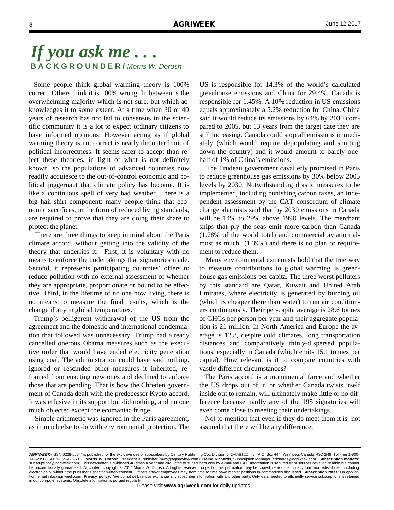Some people think global warming theory is 100% correct. Others think it is 100% wrong. In between is the overwhelming majority which is not sure, but which acknowledges it to some extent. At a time when 30 or 40 years of research has not led to consensus in the scientific community it is a lot to expect ordinary citizens to have informed opinions. However acting as if global warming theory is not correct is nearly the outer limit of political incorrectness. It seems safer to accept than reject these theories, in light of what is not definitely known, so the populations of advanced countries now readily acquiesce to the out-of-control economic and political juggernaut that climate policy has become. It is like a continuous spell of very bad weather. There is a big hair-shirt component: many people think that economic sacrifices, in the form of reduced living standards, are required to prove that they are doing their share to protect the planet.

 There are three things to keep in mind about the Paris climate accord, without getting into the validity of the theory that underlies it. First, it is voluntary with no means to enforce the undertakings that signatories made. Second, it represents participating countries' offers to reduce pollution with no external assessment of whether they are appropriate, proportionate or bound to be effective. Third, in the lifetime of no one now living, there is no means to measure the final results, which is the change if any in global temperatures.

 Trump's belligerent withdrawal of the US from the agreement and the domestic and international condemnation that followed was unnecessary. Trump had already cancelled onerous Obama measures such as the executive order that would have ended electricity generation using coal. The administration could have said nothing, ignored or rescinded other measures it inherited, refrained from enacting new ones and declined to enforce those that are pending. That is how the Chretien government of Canada dealt with the predecessor Kyoto accord. It was effusive in its support but did nothing, and no one much objected except the ecomaniac fringe.

 Simple arithmetic was ignored in the Paris agreement, as in much else to do with environmental protection. The US is responsible for 14.3% of the world's calculated greenhouse emissions and China for 29.4%. Canada is responsible for 1.45%. A 10% reduction in US emissions equals approximately a 5.2% reduction for China. China said it would reduce its emissions by 64% by 2030 compared to 2005, but 13 years from the target date they are still increasing. Canada could stop all emissions immediately (which would require depopulating and shutting down the country) and it would amount to barely onehalf of 1% of China's emissions.

 The Trudeau government cavalierly promised in Paris to reduce greenhouse gas emissions by 30% below 2005 levels by 2030. Notwithstanding drastic measures to be implemented, including punishing carbon taxes, an independent assessment by the CAT consortium of climate change alarmists said that by 2030 emissions in Canada will be 14% to 29% above 1990 levels. The merchant ships that ply the seas emit more carbon than Canada (1.78% of the world total) and commercial aviation almost as much (1.39%) and there is no plan or requirement to reduce them.

 Many environmental extremists hold that the true way to measure contributions to global warming is greenhouse gas emissions per capita. The three worst polluters by this standard are Qatar, Kuwait and United Arab Emirates, where electricity is generated by burning oil (which is cheaper there than water) to run air conditioners continuously. Their per-capita average is 28.6 tonnes of GHGs per person per year and their aggregate population is 21 million. In North America and Europe the average is 12.8, despite cold climates, long transportation distances and comparatively thinly-dispersed populations, especially in Canada (which emits 15.1 tonnes per capita). How relevant is it to compare countries with vastly different circumstances?

 The Paris accord is a monumental farce and whether the US drops out of it, or whether Canada twists itself inside out to remain, will ultimately make little or no difference because hardly any of the 195 signatories will even come close to meeting their undertakings.

 Not to mention that even if they do meet them it is not assured that there will be any difference.

*AGRIWEEK* (ISSN 0228-5584) is published for the exclusive use of subscribers by Century Publishing Co., Division of CANVESCO Inc., P.O. Box 444, Winnipeg, Canada R3C 2H6. Toll-free 1-800- 749-2350. FAX 1-855-423-5018. **Morris W. Dorosh,** President & Publisher (mwd@aginreview.com); **Elaine Richards,** Subscription Manager (erichards@agriweek.com); **Subscription matters:**  subscriptions@agriweek.com. This newsletter is published 48 times a year and circulated to subscribers only by e-mail and FAX. Information is secured from sources believed reliable but cannot<br>be unconditionally guaranteed. electronically, without the publisher's specific written consent. Officers and/or employees may from time to time have market positions in commodities discussed. **Subscription rates:** On application; email info@agriweek.com. **Privacy policy:** We do not sell, rent or exchange any subscriber information with any other party. Only data needed to efficiently service subscriptions is retained in our computer systems. Obsolete information is purged regularly.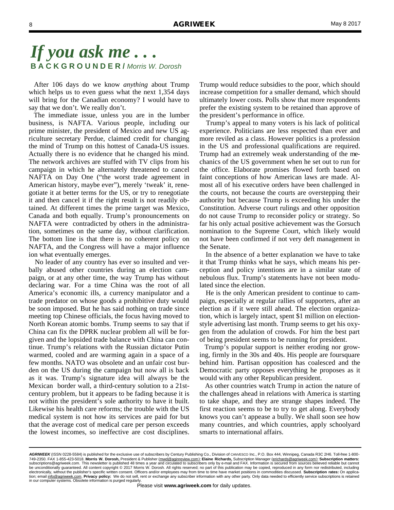After 106 days do we know *anything* about Trump which helps us to even guess what the next 1,354 days will bring for the Canadian economy? I would have to say that we don't. We really don't.

 The immediate issue, unless you are in the lumber business, is NAFTA. Various people, including our prime minister, the president of Mexico and new US agriculture secretary Perdue, claimed credit for changing the mind of Trump on this hottest of Canada-US issues. Actually there is no evidence that he changed his mind. The network archives are stuffed with TV clips from his campaign in which he alternately threatened to cancel NAFTA on Day One ("the worst trade agreement in American history, maybe ever"), merely 'tweak' it, renegotiate it at better terms for the US, or try to renegotiate it and then cancel it if the right result is not readily obtained. At different times the prime target was Mexico, Canada and both equally. Trump's pronouncements on NAFTA were contradicted by others in the administration, sometimes on the same day, without clarification. The bottom line is that there is no coherent policy on NAFTA, and the Congress will have a major influence ion what eventually emerges.

 No leader of any country has ever so insulted and verbally abused other countries during an election campaign, or at any other time, the way Trump has without declaring war. For a time China was the root of all America's economic ills, a currency manipulator and a trade predator on whose goods a prohibitive duty would be soon imposed. But he has said nothing on trade since meeting top Chinese officials, the focus having moved to North Korean atomic bombs. Trump seems to say that if China can fix the DPRK nuclear problem all will be forgiven and the lopsided trade balance with China can continue. Trump's relations with the Russian dictator Putin warmed, cooled and are warming again in a space of a few months. NATO was obsolete and an unfair cost burden on the US during the campaign but now all is back as it was. Trump's signature idea will always be the Mexican border wall, a third-century solution to a 21stcentury problem, but it appears to be fading because it is not within the president's sole authority to have it built. Likewise his health care reforms; the trouble with the US medical system is not how its services are paid for but that the average cost of medical care per person exceeds the lowest incomes, so ineffective are cost disciplines.

Trump would reduce subsidies to the poor, which should increase competition for a smaller demand, which should ultimately lower costs. Polls show that more respondents prefer the existing system to be retained than approve of the president's performance in office.

 Trump's appeal to many voters is his lack of political experience. Politicians are less respected than ever and more reviled as a class. However politics is a profession in the US and professional qualifications are required. Trump had an extremely weak understanding of the mechanics of the US government when he set out to run for the office. Elaborate promises flowed forth based on faint conceptions of how American laws are made. Almost all of his executive orders have been challenged in the courts, not because the courts are overstepping their authority but because Trump is exceeding his under the Constitution. Adverse court rulings and other opposition do not cause Trump to reconsider policy or strategy. So far his only actual positive achievement was the Gorsuch nomination to the Supreme Court, which likely would not have been confirmed if not very deft management in the Senate.

 In the absence of a better explanation we have to take it that Trump thinks what he says, which means his perception and policy intentions are in a similar state of nebulous flux. Trump's statements have not been modulated since the election.

 He is the only American president to continue to campaign, especially at regular rallies of supporters, after an election as if it were still ahead. The election organization, which is largely intact, spent \$1 million on electionstyle advertising last month. Trump seems to get his oxygen from the adulation of crowds. For him the best part of being president seems to be running for president.

 Trump's popular support is neither eroding nor growing, firmly in the 30s and 40s. His people are foursquare behind him. Partisan opposition has coalesced and the Democratic party opposes everything he proposes as it would with any other Republican president.

 As other countries watch Trump in action the nature of the challenges ahead in relations with America is starting to take shape, and they are strange shapes indeed. The first reaction seems to be to try to get along. Everybody knows you can't appease a bully. We shall soon see how many countries, and which countries, apply schoolyard smarts to international affairs.

*AGRIWEEK* (ISSN 0228-5584) is published for the exclusive use of subscribers by Century Publishing Co., Division of CANVESCO Inc., P.O. Box 444, Winnipeg, Canada R3C 2H6. Toll-free 1-800- 749-2350. FAX 1-855-423-5018. **Morris W. Dorosh,** President & Publisher (mwd@aginreview.com); **Elaine Richards,** Subscription Manager (erichards@agriweek.com); **Subscription matters:**  subscriptions@agriweek.com. This newsletter is published 48 times a year and circulated to subscribers only by e-mail and FAX. Information is secured from sources believed reliable but cannot<br>be unconditionally guaranteed. electronically, without the publisher's specific written consent. Officers and/or employees may from time to time have market positions in commodities discussed. **Subscription rates:** On application; email info@agriweek.com. **Privacy policy:** We do not sell, rent or exchange any subscriber information with any other party. Only data needed to efficiently service subscriptions is retained in our computer systems. Obsolete information is purged regularly.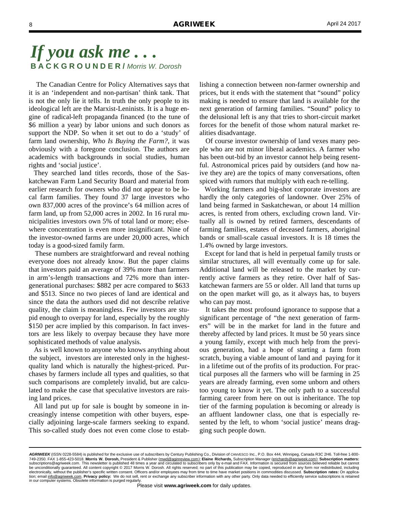The Canadian Centre for Policy Alternatives says that it is an 'independent and non-partisan' think tank. That is not the only lie it tells. In truth the only people to its ideological left are the Marxist-Leninists. It is a huge engine of radical-left propaganda financed (to the tune of \$6 million a year) by labor unions and such donors as support the NDP. So when it set out to do a 'study' of farm land ownership, *Who Is Buying the Farm?,* it was obviously with a foregone conclusion. The authors are academics with backgrounds in social studies, human rights and 'social justice'.

 They searched land titles records, those of the Saskatchewan Farm Land Security Board and material from earlier research for owners who did not appear to be local farm families. They found 37 large investors who own 837,000 acres of the province's 64 million acres of farm land, up from 52,000 acres in 2002. In 16 rural municipalities investors own 5% of total land or more; elsewhere concentration is even more insignificant. Nine of the investor-owned farms are under 20,000 acres, which today is a good-sized family farm.

 These numbers are straightforward and reveal nothing everyone does not already know. But the paper claims that investors paid an average of 39% more than farmers in arm's-length transactions and 72% more than intergenerational purchases: \$882 per acre compared to \$633 and \$513. Since no two pieces of land are identical and since the data the authors used did not describe relative quality, the claim is meaningless. Few investors are stupid enough to overpay for land, especially by the roughly \$150 per acre implied by this comparison. In fact investors are less likely to overpay because they have more sophisticated methods of value analysis.

 As is well known to anyone who knows anything about the subject, investors are interested only in the highestquality land which is naturally the highest-priced. Purchases by farmers include all types and qualities, so that such comparisons are completely invalid, but are calculated to make the case that speculative investors are raising land prices.

 All land put up for sale is bought by someone in increasingly intense competition with other buyers, especially adjoining large-scale farmers seeking to expand. This so-called study does not even come close to establishing a connection between non-farmer ownership and prices, but it ends with the statement that "sound" policy making is needed to ensure that land is available for the next generation of farming families. "Sound" policy to the delusional left is any that tries to short-circuit market forces for the benefit of those whom natural market realities disadvantage.

 Of course investor ownership of land vexes many people who are not minor liberal academics. A farmer who has been out-bid by an investor cannot help being resentful. Astronomical prices paid by outsiders (and how naive they are) are the topics of many conversations, often spiced with rumors that multiply with each re-telling.

 Working farmers and big-shot corporate investors are hardly the only categories of landowner. Over 25% of land being farmed in Saskatchewan, or about 14 million acres, is rented from others, excluding crown land. Virtually all is owned by retired farmers, descendants of farming families, estates of deceased farmers, aboriginal bands or small-scale casual investors. It is 18 times the 1.4% owned by large investors.

 Except for land that is held in perpetual family trusts or similar structures, all will eventually come up for sale. Additional land will be released to the market by currently active farmers as they retire. Over half of Saskatchewan farmers are 55 or older. All land that turns up on the open market will go, as it always has, to buyers who can pay most.

 It takes the most profound ignorance to suppose that a significant percentage of "the next generation of farmers" will be in the market for land in the future and thereby affected by land prices. It must be 50 years since a young family, except with much help from the previous generation, had a hope of starting a farm from scratch, buying a viable amount of land and paying for it in a lifetime out of the profits of its production. For practical purposes all the farmers who will be farming in 25 years are already farming, even some unborn and others too young to know it yet. The only path to a successful farming career from here on out is inheritance. The top tier of the farming population is becoming or already is an affluent landowner class, one that is especially resented by the left, to whom 'social justice' means dragging such people down.

*AGRIWEEK* (ISSN 0228-5584) is published for the exclusive use of subscribers by Century Publishing Co., Division of CANVESCO Inc., P.O. Box 444, Winnipeg, Canada R3C 2H6. Toll-free 1-800- 749-2350. FAX 1-855-423-5018. **Morris W. Dorosh,** President & Publisher (mwd@aginreview.com); **Elaine Richards,** Subscription Manager (erichards@agriweek.com); **Subscription matters:**  subscriptions@agriweek.com. This newsletter is published 48 times a year and circulated to subscribers only by e-mail and FAX. Information is secured from sources believed reliable but cannot<br>be unconditionally guaranteed. electronically, without the publisher's specific written consent. Officers and/or employees may from time to time have market positions in commodities discussed. **Subscription rates:** On application; email info@agriweek.com. **Privacy policy:** We do not sell, rent or exchange any subscriber information with any other party. Only data needed to efficiently service subscriptions is retained in our computer systems. Obsolete information is purged regularly.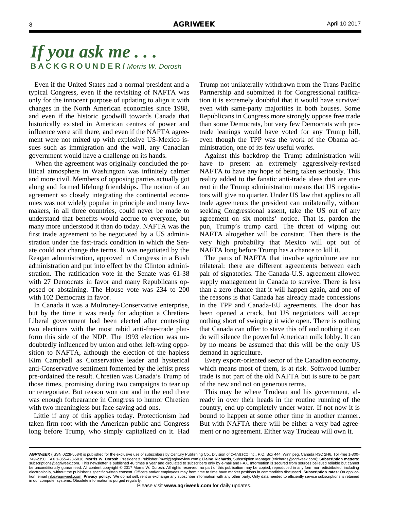Even if the United States had a normal president and a typical Congress, even if the revisiting of NAFTA was only for the innocent purpose of updating to align it with changes in the North American economies since 1988, and even if the historic goodwill towards Canada that historically existed in American centres of power and influence were still there, and even if the NAFTA agreement were not mixed up with explosive US-Mexico issues such as immigration and the wall, any Canadian government would have a challenge on its hands.

 When the agreement was originally concluded the political atmosphere in Washington was infinitely calmer and more civil. Members of opposing parties actually got along and formed lifelong friendships. The notion of an agreement so closely integrating the continental economies was not widely popular in principle and many lawmakers, in all three countries, could never be made to understand that benefits would accrue to everyone, but many more understood it than do today. NAFTA was the first trade agreement to be negotiated by a US administration under the fast-track condition in which the Senate could not change the terms. It was negotiated by the Reagan administration, approved in Congress in a Bush administration and put into effect by the Clinton administration. The ratification vote in the Senate was 61-38 with 27 Democrats in favor and many Republicans opposed or abstaining. The House vote was 234 to 200 with 102 Democrats in favor.

 In Canada it was a Mulroney-Conservative enterprise, but by the time it was ready for adoption a Chretien-Liberal government had been elected after contesting two elections with the most rabid anti-free-trade platform this side of the NDP. The 1993 election was undoubtedly influenced by union and other left-wing opposition to NAFTA, although the election of the hapless Kim Campbell as Conservative leader and hysterical anti-Conservative sentiment fomented by the leftist press pre-ordained the result. Chretien was Canada's Trump of those times, promising during two campaigns to tear up or renegotiate. But reason won out and in the end there was enough forbearance in Congress to humor Chretien with two meaningless but face-saving add-ons.

 Little if any of this applies today. Protectionism had taken firm root with the American public and Congress long before Trump, who simply capitalized on it. Had

Trump not unilaterally withdrawn from the Trans Pacific Partnership and submitted it for Congressional ratification it is extremely doubtful that it would have survived even with same-party majorities in both houses. Some Republicans in Congress more strongly oppose free trade than some Democrats, but very few Democrats with protrade leanings would have voted for any Trump bill, even though the TPP was the work of the Obama administration, one of its few useful works.

 Against this backdrop the Trump administration will have to present an extremely aggressively-revised NAFTA to have any hope of being taken seriously. This reality added to the fanatic anti-trade ideas that are current in the Trump administration means that US negotiators will give no quarter. Under US law that applies to all trade agreements the president can unilaterally, without seeking Congressional assent, take the US out of any agreement on six months' notice. That is, pardon the pun, Trump's trump card. The threat of wiping out NAFTA altogether will be constant. Then there is the very high probability that Mexico will opt out of NAFTA long before Trump has a chance to kill it.

 The parts of NAFTA that involve agriculture are not trilateral: there are different agreements between each pair of signatories. The Canada-U.S. agreement allowed supply management in Canada to survive. There is less than a zero chance that it will happen again, and one of the reasons is that Canada has already made concessions in the TPP and Canada-EU agreements. The door has been opened a crack, but US negotiators will accept nothing short of swinging it wide open. There is nothing that Canada can offer to stave this off and nothing it can do will silence the powerful American milk lobby. It can by no means be assumed that this will be the only US demand in agriculture.

 Every export-oriented sector of the Canadian economy, which means most of them, is at risk. Softwood lumber trade is not part of the old NAFTA but is sure to be part of the new and not on generous terms.

 This may be where Trudeau and his government, already in over their heads in the routine running of the country, end up completely under water. If not now it is bound to happen at some other time in another manner. But with NAFTA there will be either a very bad agreement or no agreement. Either way Trudeau will own it.

*AGRIWEEK* (ISSN 0228-5584) is published for the exclusive use of subscribers by Century Publishing Co., Division of CANVESCO Inc., P.O. Box 444, Winnipeg, Canada R3C 2H6. Toll-free 1-800- 749-2350. FAX 1-855-423-5018. **Morris W. Dorosh,** President & Publisher (mwd@aginreview.com); **Elaine Richards,** Subscription Manager (erichards@agriweek.com); **Subscription matters:**  subscriptions@agriweek.com. This newsletter is published 48 times a year and circulated to subscribers only by e-mail and FAX. Information is secured from sources believed reliable but cannot<br>be unconditionally guaranteed. electronically, without the publisher's specific written consent. Officers and/or employees may from time to time have market positions in commodities discussed. **Subscription rates:** On application; email info@agriweek.com. **Privacy policy:** We do not sell, rent or exchange any subscriber information with any other party. Only data needed to efficiently service subscriptions is retained in our computer systems. Obsolete information is purged regularly.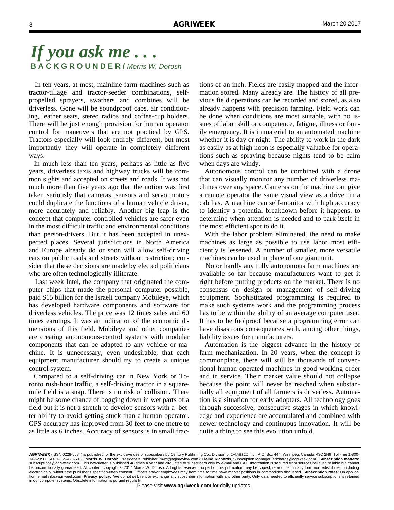In ten years, at most, mainline farm machines such as tractor-tillage and tractor-seeder combinations, selfpropelled sprayers, swathers and combines will be driverless. Gone will be soundproof cabs, air conditioning, leather seats, stereo radios and coffee-cup holders. There will be just enough provision for human operator control for maneuvers that are not practical by GPS. Tractors especially will look entirely different, but most importantly they will operate in completely different ways.

 In much less than ten years, perhaps as little as five years, driverless taxis and highway trucks will be common sights and accepted on streets and roads. It was not much more than five years ago that the notion was first taken seriously that cameras, sensors and servo motors could duplicate the functions of a human vehicle driver, more accurately and reliably. Another big leap is the concept that computer-controlled vehicles are safer even in the most difficult traffic and environmental conditions than person-drivers. But it has been accepted in unexpected places. Several jurisdictions in North America and Europe already do or soon will allow self-driving cars on public roads and streets without restriction; consider that these decisions are made by elected politicians who are often technologically illiterate.

 Last week Intel, the company that originated the computer chips that made the personal computer possible, paid \$15 billion for the Israeli company Mobileye, which has developed hardware components and software for driverless vehicles. The price was 12 times sales and 60 times earnings. It was an indication of the economic dimensions of this field. Mobileye and other companies are creating autonomous-control systems with modular components that can be adapted to any vehicle or machine. It is unnecessary, even undesirable, that each equipment manufacturer should try to create a unique control system.

 Compared to a self-driving car in New York or Toronto rush-hour traffic, a self-driving tractor in a squaremile field is a snap. There is no risk of collision. There might be some chance of bogging down in wet parts of a field but it is not a stretch to develop sensors with a better ability to avoid getting stuck than a human operator. GPS accuracy has improved from 30 feet to one metre to as little as 6 inches. Accuracy of sensors is in small fractions of an inch. Fields are easily mapped and the information stored. Many already are. The history of all previous field operations can be recorded and stored, as also already happens with precision farming. Field work can be done when conditions are most suitable, with no issues of labor skill or competence, fatigue, illness or family emergency. It is immaterial to an automated machine whether it is day or night. The ability to work in the dark as easily as at high noon is especially valuable for operations such as spraying because nights tend to be calm when days are windy.

 Autonomous control can be combined with a drone that can visually monitor any number of driverless machines over any space. Cameras on the machine can give a remote operator the same visual view as a driver in a cab has. A machine can self-monitor with high accuracy to identify a potential breakdown before it happens, to determine when attention is needed and to park itself in the most efficient spot to do it.

 With the labor problem eliminated, the need to make machines as large as possible to use labor most efficiently is lessened. A number of smaller, more versatile machines can be used in place of one giant unit.

 No or hardly any fully autonomous farm machines are available so far because manufacturers want to get it right before putting products on the market. There is no consensus on design or management of self-driving equipment. Sophisticated programming is required to make such systems work and the programming process has to be within the ability of an average computer user. It has to be foolproof because a programming error can have disastrous consequences with, among other things, liability issues for manufacturers.

 Automation is the biggest advance in the history of farm mechanization. In 20 years, when the concept is commonplace, there will still be thousands of conventional human-operated machines in good working order and in service. Their market value should not collapse because the point will never be reached when substantially all equipment of all farmers is driverless. Automation is a situation for early adopters. All technology goes through successive, consecutive stages in which knowledge and experience are accumulated and combined with newer technology and continuous innovation. It will be quite a thing to see this evolution unfold.

*AGRIWEEK* (ISSN 0228-5584) is published for the exclusive use of subscribers by Century Publishing Co., Division of CANVESCO Inc., P.O. Box 444, Winnipeg, Canada R3C 2H6. Toll-free 1-800- 749-2350. FAX 1-855-423-5018. **Morris W. Dorosh,** President & Publisher (mwd@aginreview.com); **Elaine Richards,** Subscription Manager (erichards@agriweek.com); **Subscription matters:**  subscriptions@agriweek.com. This newsletter is published 48 times a year and circulated to subscribers only by e-mail and FAX. Information is secured from sources believed reliable but cannot<br>be unconditionally guaranteed. electronically, without the publisher's specific written consent. Officers and/or employees may from time to time have market positions in commodities discussed. **Subscription rates:** On application; email info@agriweek.com. **Privacy policy:** We do not sell, rent or exchange any subscriber information with any other party. Only data needed to efficiently service subscriptions is retained in our computer systems. Obsolete information is purged regularly.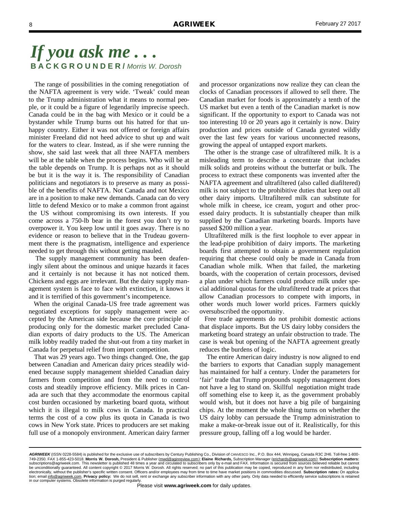The range of possibilities in the coming renegotiation of the NAFTA agreement is very wide. 'Tweak' could mean to the Trump administration what it means to normal people, or it could be a figure of legendarily imprecise speech. Canada could be in the bag with Mexico or it could be a bystander while Trump burns out his hatred for that unhappy country. Either it was not offered or foreign affairs minister Freeland did not heed advice to shut up and wait for the waters to clear. Instead, as if she were running the show, she said last week that all three NAFTA members will be at the table when the process begins. Who will be at the table depends on Trump. It is perhaps not as it should be but it is the way it is. The responsibility of Canadian politicians and negotiators is to preserve as many as possible of the benefits of NAFTA. Not Canada and not Mexico are in a position to make new demands. Canada can do very little to defend Mexico or to make a common front against the US without compromising its own interests. If you come across a 750-lb bear in the forest you don't try to overpower it. You keep low until it goes away. There is no evidence or reason to believe that in the Trudeau government there is the pragmatism, intelligence and experience needed to get through this without getting mauled.

 The supply management community has been deafeningly silent about the ominous and unique hazards it faces and it certainly is not because it has not noticed them. Chickens and eggs are irrelevant. But the dairy supply management system is face to face with extinction, it knows it and it is terrified of this government's incompetence.

 When the original Canada-US free trade agreement was negotiated exceptions for supply management were accepted by the American side because the core principle of producing only for the domestic market precluded Canadian exports of dairy products to the US. The American milk lobby readily traded the shut-out from a tiny market in Canada for perpetual relief from import competition.

 That was 29 years ago. Two things changed. One, the gap between Canadian and American dairy prices steadily widened because supply management shielded Canadian dairy farmers from competition and from the need to control costs and steadily improve efficiency. Milk prices in Canada are such that they accommodate the enormous capital cost burden occasioned by marketing board quota, without which it is illegal to milk cows in Canada. In practical terms the cost of a cow plus its quota in Canada is two cows in New York state. Prices to producers are set making full use of a monopoly environment. American dairy farmer

and processor organizations now realize they can clean the clocks of Canadian processors if allowed to sell there. The Canadian market for foods is approximately a tenth of the US market but even a tenth of the Canadian market is now significant. If the opportunity to export to Canada was not too interesting 10 or 20 years ago it certainly is now. Dairy production and prices outside of Canada gyrated wildly over the last few years for various unconnected reasons, growing the appeal of untapped export markets.

 The other is the strange case of ultrafiltered milk. It is a misleading term to describe a concentrate that includes milk solids and proteins without the butterfat or bulk. The process to extract these components was invented after the NAFTA agreement and ultrafiltered (also called diafiltered) milk is not subject to the prohibitive duties that keep out all other dairy imports. Ultrafiltered milk can substitute for whole milk in cheese, ice cream, yogurt and other processed dairy products. It is substantially cheaper than milk supplied by the Canadian marketing boards. Imports have passed \$200 million a year.

 Ultrafiltered milk is the first loophole to ever appear in the lead-pipe prohibition of dairy imports. The marketing boards first attempted to obtain a government regulation requiring that cheese could only be made in Canada from Canadian whole milk. When that failed, the marketing boards, with the cooperation of certain processors, devised a plan under which farmers could produce milk under special additional quotas for the ultrafiltered trade at prices that allow Canadian processors to compete with imports, in other words much lower world prices. Farmers quickly oversubscribed the opportunity.

 Free trade agreements do not prohibit domestic actions that displace imports. But the US dairy lobby considers the marketing board strategy an unfair obstruction to trade. The case is weak but opening of the NAFTA agreement greatly reduces the burdens of logic.

 The entire American dairy industry is now aligned to end the barriers to exports that Canadian supply management has maintained for half a century. Under the parameters for 'fair' trade that Trump propounds supply management does not have a leg to stand on. Skillful negotiation might trade off something else to keep it, as the government probably would wish, but it does not have a big pile of bargaining chips. At the moment the whole thing turns on whether the US dairy lobby can persuade the Trump administration to make a make-or-break issue out of it. Realistically, for this pressure group, falling off a log would be harder.

AGRIWEEK (ISSN 0228-5584) is published for the exclusive use of subscribers by Century Publishing Co., Division of CANVESCO Inc., P.O. Box 444, Winnipeg, Canada R3C 2H6. Toll-free 1-800-749-2350. FAX 1-855-423-5018. **Morris W. Dorosh,** President & Publisher (mwd@aginreview.com); **Elaine Richards,** Subscription Manager (erichards@agriweek.com); **Subscription matters:**  subscriptions@agriweek.com. This newsletter is published 48 times a year and circulated to subscribers only by e-mail and FAX. Information is secured from sources believed reliable but cannot<br>be unconditionally guaranteed. electronically, without the publisher's specific written consent. Officers and/or employees may from time to time have market positions in commodities discussed. **Subscription rates:** On application; email info@agriweek.com. **Privacy policy:** We do not sell, rent or exchange any subscriber information with any other party. Only data needed to efficiently service subscriptions is retained in our computer systems. Obsolete information is purged regularly.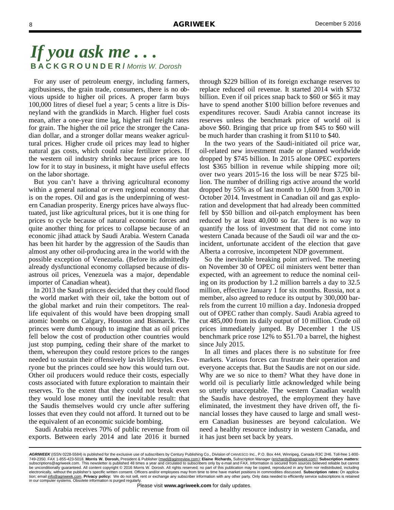For any user of petroleum energy, including farmers, agribusiness, the grain trade, consumers, there is no obvious upside to higher oil prices. A proper farm buys 100,000 litres of diesel fuel a year; 5 cents a litre is Disneyland with the grandkids in March. Higher fuel costs mean, after a one-year time lag, higher rail freight rates for grain. The higher the oil price the stronger the Canadian dollar, and a stronger dollar means weaker agricultural prices. Higher crude oil prices may lead to higher natural gas costs, which could raise fertilizer prices. If the western oil industry shrinks because prices are too low for it to stay in business, it might have useful effects on the labor shortage.

 But you can't have a thriving agricultural economy within a general national or even regional economy that is on the ropes. Oil and gas is the underpinning of western Canadian prosperity. Energy prices have always fluctuated, just like agricultural prices, but it is one thing for prices to cycle because of natural economic forces and quite another thing for prices to collapse because of an economic jihad attack by Saudi Arabia. Western Canada has been hit harder by the aggression of the Saudis than almost any other oil-producing area in the world with the possible exception of Venezuela. (Before its admittedly already dysfunctional economy collapsed because of disastrous oil prices, Venezuela was a major, dependable importer of Canadian wheat).

 In 2013 the Saudi princes decided that they could flood the world market with their oil, take the bottom out of the global market and ruin their competitors. The reallife equivalent of this would have been dropping small atomic bombs on Calgary, Houston and Bismarck. The princes were dumb enough to imagine that as oil prices fell below the cost of production other countries would just stop pumping, ceding their share of the market to them, whereupon they could restore prices to the ranges needed to sustain their offensively lavish lifestyles. Everyone but the princes could see how this would turn out. Other oil producers would reduce their costs, especially costs associated with future exploration to maintain their reserves. To the extent that they could not break even they would lose money until the inevitable result: that the Saudis themselves would cry uncle after suffering losses that even they could not afford. It turned out to be the equivalent of an economic suicide bombing.

 Saudi Arabia receives 70% of public revenue from oil exports. Between early 2014 and late 2016 it burned through \$229 billion of its foreign exchange reserves to replace reduced oil revenue. It started 2014 with \$732 billion. Even if oil prices snap back to \$60 or \$65 it may have to spend another \$100 billion before revenues and expenditures recover. Saudi Arabia cannot increase its reserves unless the benchmark price of world oil is above \$60. Bringing that price up from \$45 to \$60 will be much harder than crashing it from \$110 to \$40.

 In the two years of the Saudi-initiated oil price war, oil-related new investment made or planned worldwide dropped by \$745 billion. In 2015 alone OPEC exporters lost \$365 billion in revenue while shipping more oil; over two years 2015-16 the loss will be near \$725 billion. The number of drilling rigs active around the world dropped by 55% as of last month to 1,600 from 3,700 in October 2014. Investment in Canadian oil and gas exploration and development that had already been committed fell by \$50 billion and oil-patch employment has been reduced by at least 40,000 so far. There is no way to quantify the loss of investment that did not come into western Canada because of the Saudi oil war and the coincident, unfortunate accident of the election that gave Alberta a corrosive, incompetent NDP government.

 So the inevitable breaking point arrived. The meeting on November 30 of OPEC oil ministers went better than expected, with an agreement to reduce the nominal ceiling on its production by 1.2 million barrels a day to 32.5 million, effective January 1 for six months. Russia, not a member, also agreed to reduce its output by 300,000 barrels from the current 10 million a day. Indonesia dropped out of OPEC rather than comply. Saudi Arabia agreed to cut 485,000 from its daily output of 10 million. Crude oil prices immediately jumped. By December 1 the US benchmark price rose 12% to \$51.70 a barrel, the highest since July 2015.

 In all times and places there is no substitute for free markets. Various forces can frustrate their operation and everyone accepts that. But the Saudis are not on our side. Why are we so nice to them? What they have done in world oil is peculiarly little acknowledged while being so utterly unacceptable. The western Canadian wealth the Saudis have destroyed, the employment they have eliminated, the investment they have driven off, the financial losses they have caused to large and small western Canadian businesses are beyond calculation. We need a healthy resource industry in western Canada, and it has just been set back by years.

*AGRIWEEK* (ISSN 0228-5584) is published for the exclusive use of subscribers by Century Publishing Co., Division of CANVESCO Inc., P.O. Box 444, Winnipeg, Canada R3C 2H6. Toll-free 1-800- 749-2350. FAX 1-855-423-5018. **Morris W. Dorosh,** President & Publisher (mwd@aginreview.com); **Elaine Richards,** Subscription Manager (erichards@agriweek.com); **Subscription matters:**  subscriptions@agriweek.com. This newsletter is published 48 times a year and circulated to subscribers only by e-mail and FAX. Information is secured from sources believed reliable but cannot<br>be unconditionally guaranteed. electronically, without the publisher's specific written consent. Officers and/or employees may from time to time have market positions in commodities discussed. **Subscription rates:** On application; email info@agriweek.com. **Privacy policy:** We do not sell, rent or exchange any subscriber information with any other party. Only data needed to efficiently service subscriptions is retained in our computer systems. Obsolete information is purged regularly.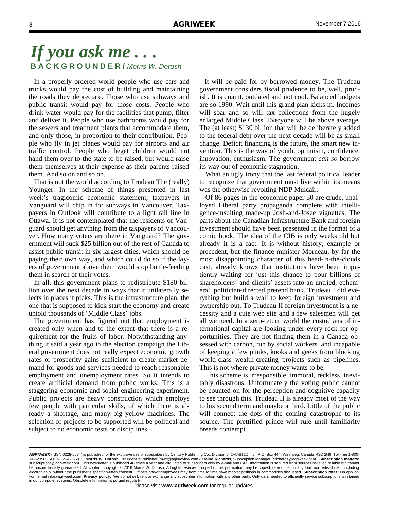In a properly ordered world people who use cars and trucks would pay the cost of building and maintaining the roads they depreciate. Those who use subways and public transit would pay for those costs. People who drink water would pay for the facilities that pump, filter and deliver it. People who use bathrooms would pay for the sewers and treatment plants that accommodate them, and only those, in proportion to their contribution. People who fly in jet planes would pay for airports and air traffic control. People who beget children would not hand them over to the state to be raised, but would raise them themselves at their expense as their parents raised them. And so on and so on.

 That is not the world according to Trudeau The (really) Younger. In the scheme of things presented in last week's tragicomic economic statement, taxpayers in Vanguard will chip in for subways in Vancouver. Taxpayers in Outlook will contribute to a light rail line in Ottawa. It is not contemplated that the residents of Vanguard should get anything from the taxpayers of Vancouver. How many voters are there in Vanguard? The government will suck \$25 billion out of the rest of Canada to assist public transit in six largest cities, which should be paying their own way, and which could do so if the layers of government above them would stop bottle-feeding them in search of their votes.

 In all, this government plans to redistribute \$180 billion over the next decade in ways that it unilaterally selects in places it picks. This is the infrastructure plan, the one that is supposed to kick-start the economy and create untold thousands of 'Middle Class' jobs.

 The government has figured out that employment is created only when and to the extent that there is a requirement for the fruits of labor. Notwithstanding anything it said a year ago in the election campaign the Liberal government does not really expect economic growth rates or prosperity gains sufficient to create market demand for goods and services needed to reach reasonable employment and unemployment rates. So it intends to create artificial demand from public works. This is a staggering economic and social engineering experiment. Public projects are heavy construction which employs few people with particular skills, of which there is already a shortage, and many big yellow machines. The selection of projects to be supported will be political and subject to no economic tests or disciplines.

 It will be paid for by borrowed money. The Trudeau government considers fiscal prudence to be, well, prudish. It is quaint, outdated and not cool. Balanced budgets are so 1990. Wait until this grand plan kicks in. Incomes will soar and so will tax collections from the hugely enlarged Middle Class. Everyone will be above average. The (at least) \$130 billion that will be deliberately added to the federal debt over the next decade will be as small change. Deficit financing is the future, the smart new invention. This is the way of youth, optimism, confidence, innovation, enthusiasm. The government *can so* borrow its way out of economic stagnation.

 What an ugly irony that the last federal political leader to recognize that government must live within its means was the otherwise revolting NDP Mulcair.

 Of 86 pages in the economic paper 50 are crude, unalloyed Liberal party propaganda complete with intelligence-insulting made-up Josh-and-Josee vignettes. The parts about the Canadian Infrastructure Bank and foreign investment should have been presented in the format of a comic book. The idea of the CIB is only weeks old but already it is a fact. It is without history, example or precedent, but the finance minister Morneau, by far the most disappointing character of this head-in-the-clouds cast, already knows that institutions have been impatiently waiting for just this chance to pour billions of shareholders' and clients' assets into an untried, ephemeral, politician-directed pretend bank. Trudeau I did everything but build a wall to keep foreign investment and ownership out. To Trudeau II foreign investment is a necessity and a cute web site and a few salesmen will get all we need. In a zero-return world the custodians of international capital are looking under every rock for opportunities. They are not finding them in a Canada obsessed with carbon, run by social workers and incapable of keeping a few punks, kooks and geeks from blocking world-class wealth-creating projects such as pipelines. This is not where private money wants to be.

 This scheme is irresponsible, immoral, reckless, inevitably disastrous. Unfortunately the voting public cannot be counted on for the perception and cognitive capacity to see through this. Trudeau II is already most of the way to his second term and maybe a third. Little of the public will connect the dots of the coming catastrophe to its source. The prettified prince will rule until familiarity breeds contempt.

*AGRIWEEK* (ISSN 0228-5584) is published for the exclusive use of subscribers by Century Publishing Co., Division of CANVESCO Inc., P.O. Box 444, Winnipeg, Canada R3C 2H6. Toll-free 1-800- 749-2350. FAX 1-855-423-5018. **Morris W. Dorosh,** President & Publisher (mwd@aginreview.com); **Elaine Richards,** Subscription Manager (erichards@agriweek.com); **Subscription matters:**  subscriptions@agriweek.com. This newsletter is published 48 times a year and circulated to subscribers only by e-mail and FAX. Information is secured from sources believed reliable but cannot<br>be unconditionally guaranteed. electronically, without the publisher's specific written consent. Officers and/or employees may from time to time have market positions in commodities discussed. **Subscription rates:** On application; email info@agriweek.com. **Privacy policy:** We do not sell, rent or exchange any subscriber information with any other party. Only data needed to efficiently service subscriptions is retained in our computer systems. Obsolete information is purged regularly.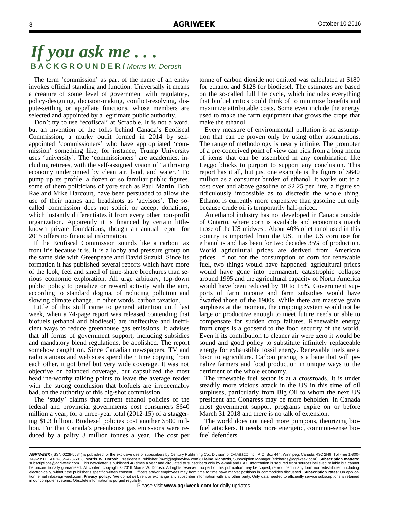The term 'commission' as part of the name of an entity invokes official standing and function. Universally it means a creature of some level of government with regulatory, policy-designing, decision-making, conflict-resolving, dispute-settling or appellate functions, whose members are selected and appointed by a legitimate public authority.

 Don't try to use 'ecofiscal' at Scrabble. It is not a word, but an invention of the folks behind Canada's Ecofiscal Commission, a murky outfit formed in 2014 by selfappointed 'commissioners' who have appropriated 'commission' something like, for instance, Trump University uses 'university'. The 'commissioners' are academics, including retirees, with the self-assigned vision of "a thriving economy underpinned by clean air, land, and water." To pump up its profile, a dozen or so familiar public figures, some of them politicians of yore such as Paul Martin, Bob Rae and Mike Harcourt, have been persuaded to allow the use of their names and headshots as 'advisors'. The socalled commission does not solicit or accept donations, which instantly differentiates it from every other non-profit organization. Apparently it is financed by certain littleknown private foundations, though an annual report for 2015 offers no financial information.

 If the Ecofiscal Commission sounds like a carbon tax front it's because it is. It is a lobby and pressure group on the same side with Greenpeace and David Suzuki. Since its formation it has published several reports which have more of the look, feel and smell of time-share brochures than serious economic exploration. All urge arbitrary, top-down public policy to penalize or reward activity with the aim, according to standard dogma, of reducing pollution and slowing climate change. In other words, carbon taxation.

 Little of this stuff came to general attention until last week, when a 74-page report was released contending that biofuels (ethanol and biodiesel) are ineffective and inefficient ways to reduce greenhouse gas emissions. It advises that all forms of government support, including subsidies and mandatory blend regulations, be abolished. The report somehow caught on. Since Canadian newspapers, TV and radio stations and web sites spend their time copying from each other, it got brief but very wide coverage. It was not objective or balanced coverage, but capsulized the most headline-worthy talking points to leave the average reader with the strong conclusion that biofuels are irredeemably bad, on the authority of this big-shot commission.

 The 'study' claims that current ethanol policies of the federal and provincial governments cost consumers \$640 million a year, for a three-year total (2012-15) of a staggering \$1.3 billion. Biodiesel policies cost another \$500 million. For that Canada's greenhouse gas emissions were reduced by a paltry 3 million tonnes a year. The cost per tonne of carbon dioxide not emitted was calculated at \$180 for ethanol and \$128 for biodiesel. The estimates are based on the so-called full life cycle, which includes everything that biofuel critics could think of to minimize benefits and maximize attributable costs. Some even include the energy used to make the farm equipment that grows the crops that make the ethanol.

 Every measure of environmental pollution is an assumption that can be proven only by using other assumptions. The range of methodology is nearly infinite. The promoter of a pre-conceived point of view can pick from a long menu of items that can be assembled in any combination like Leggo blocks to purport to support any conclusion. This report has it all, but just one example is the figure of \$640 million as a consumer burden of ethanol. It works out to a cost over and above gasoline of \$2.25 per litre, a figure so ridiculously impossible as to discredit the whole thing. Ethanol is currently more expensive than gasoline but only because crude oil is temporarily half-priced.

 An ethanol industry has not developed in Canada outside of Ontario, where corn is available and economics match those of the US midwest. About 40% of ethanol used in this country is imported from the US. In the US corn use for ethanol is and has been for two decades 35% of production. World agricultural prices are derived from American prices. If not for the consumption of corn for renewable fuel, two things would have happened: agricultural prices would have gone into permanent, catastrophic collapse around 1995 and the agricultural capacity of North America would have been reduced by 10 to 15%. Government supports of farm income and farm subsidies would have dwarfed those of the 1980s. While there are massive grain surpluses at the moment, the cropping system would not be large or productive enough to meet future needs or able to compensate for sudden crop failures. Renewable energy from crops is a godsend to the food security of the world. Even if its contribution to cleaner air were zero it would be sound and good policy to substitute infinitely replaceable energy for exhaustible fossil energy. Renewable fuels are a boon to agriculture. Carbon pricing is a bane that will penalize farmers and food production in unique ways to the detriment of the whole economy.

 The renewable fuel sector is at a crossroads. It is under steadily more vicious attack in the US in this time of oil surpluses, particularly from Big Oil to whom the next US president and Congress may be more beholden. In Canada most government support programs expire on or before March 31 2018 and there is no talk of extension.

 The world does not need more pompous, theorizing biofuel attackers. It needs more energetic, common-sense biofuel defenders.

*AGRIWEEK* (ISSN 0228-5584) is published for the exclusive use of subscribers by Century Publishing Co., Division of CANVESCO Inc., P.O. Box 444, Winnipeg, Canada R3C 2H6. Toll-free 1-800- 749-2350. FAX 1-855-423-5018. **Morris W. Dorosh,** President & Publisher (mwd@aginreview.com); **Elaine Richards,** Subscription Manager (erichards@agriweek.com); **Subscription matters:**  subscriptions@agriweek.com. This newsletter is published 48 times a year and circulated to subscribers only by e-mail and FAX. Information is secured from sources believed reliable but cannot<br>be unconditionally guaranteed. electronically, without the publisher's specific written consent. Officers and/or employees may from time to time have market positions in commodities discussed. Subscription rates: On applica-<br>tion; email <u>info@agriweek.c</u> in our computer systems. Obsolete information is purged regularly.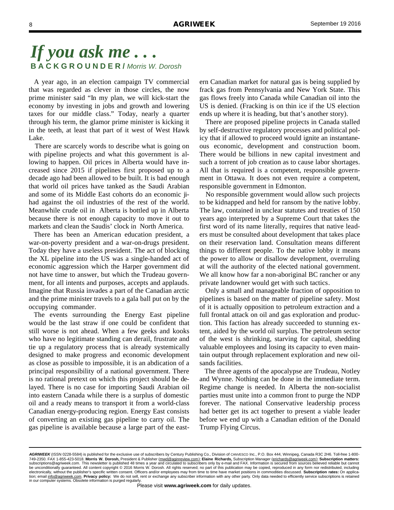A year ago, in an election campaign TV commercial that was regarded as clever in those circles, the now prime minister said "In my plan, we will kick-start the economy by investing in jobs and growth and lowering taxes for our middle class." Today, nearly a quarter through his term, the glamor prime minister is kicking it in the teeth, at least that part of it west of West Hawk Lake.

 There are scarcely words to describe what is going on with pipeline projects and what this government is allowing to happen. Oil prices in Alberta would have increased since 2015 if pipelines first proposed up to a decade ago had been allowed to be built. It is bad enough that world oil prices have tanked as the Saudi Arabian and some of its Middle East cohorts do an economic jihad against the oil industries of the rest of the world. Meanwhile crude oil in Alberta is bottled up in Alberta because there is not enough capacity to move it out to markets and clean the Saudis' clock in North America.

 There has been an American education president, a war-on-poverty president and a war-on-drugs president. Today they have a useless president. The act of blocking the XL pipeline into the US was a single-handed act of economic aggression which the Harper government did not have time to answer, but which the Trudeau government, for all intents and purposes, accepts and applauds. Imagine that Russia invades a part of the Canadian arctic and the prime minister travels to a gala ball put on by the occupying commander.

 The events surrounding the Energy East pipeline would be the last straw if one could be confident that still worse is not ahead. When a few geeks and kooks who have no legitimate standing can derail, frustrate and tie up a regulatory process that is already systemically designed to make progress and economic development as close as possible to impossible, it is an abdication of a principal responsibility of a national government. There is no rational pretext on which this project should be delayed. There is no case for importing Saudi Arabian oil into eastern Canada while there is a surplus of domestic oil and a ready means to transport it from a world-class Canadian energy-producing region. Energy East consists of converting an existing gas pipeline to carry oil. The gas pipeline is available because a large part of the eastern Canadian market for natural gas is being supplied by frack gas from Pennsylvania and New York State. This gas flows freely into Canada while Canadian oil into the US is denied. (Fracking is on thin ice if the US election ends up where it is heading, but that's another story).

 There are proposed pipeline projects in Canada stalled by self-destructive regulatory processes and political policy that if allowed to proceed would ignite an instantaneous economic, development and construction boom. There would be billions in new capital investment and such a torrent of job creation as to cause labor shortages. All that is required is a competent, responsible government in Ottawa. It does not even require a competent, responsible government in Edmonton.

 No responsible government would allow such projects to be kidnapped and held for ransom by the native lobby. The law, contained in unclear statutes and treaties of 150 years ago interpreted by a Supreme Court that takes the first word of its name literally, requires that native leaders must be consulted about development that takes place on their reservation land. Consultation means different things to different people. To the native lobby it means the power to allow or disallow development, overruling at will the authority of the elected national government. We all know how far a non-aboriginal BC rancher or any private landowner would get with such tactics.

 Only a small and manageable fraction of opposition to pipelines is based on the matter of pipeline safety. Most of it is actually opposition to petroleum extraction and a full frontal attack on oil and gas exploration and production. This faction has already succeeded to stunning extent, aided by the world oil surplus. The petroleum sector of the west is shrinking, starving for capital, shedding valuable employees and losing its capacity to even maintain output through replacement exploration and new oilsands facilities.

 The three agents of the apocalypse are Trudeau, Notley and Wynne. Nothing can be done in the immediate term. Regime change is needed. In Alberta the non-socialist parties must unite into a common front to purge the NDP forever. The national Conservative leadership process had better get its act together to present a viable leader before we end up with a Canadian edition of the Donald Trump Flying Circus.

*AGRIWEEK* (ISSN 0228-5584) is published for the exclusive use of subscribers by Century Publishing Co., Division of CANVESCO Inc., P.O. Box 444, Winnipeg, Canada R3C 2H6. Toll-free 1-800- 749-2350. FAX 1-855-423-5018. **Morris W. Dorosh,** President & Publisher (mwd@aginreview.com); **Elaine Richards,** Subscription Manager (erichards@agriweek.com); **Subscription matters:**  subscriptions@agriweek.com. This newsletter is published 48 times a year and circulated to subscribers only by e-mail and FAX. Information is secured from sources believed reliable but cannot<br>be unconditionally guaranteed. electronically, without the publisher's specific written consent. Officers and/or employees may from time to time have market positions in commodities discussed. **Subscription rates:** On application; email info@agriweek.com. **Privacy policy:** We do not sell, rent or exchange any subscriber information with any other party. Only data needed to efficiently service subscriptions is retained in our computer systems. Obsolete information is purged regularly.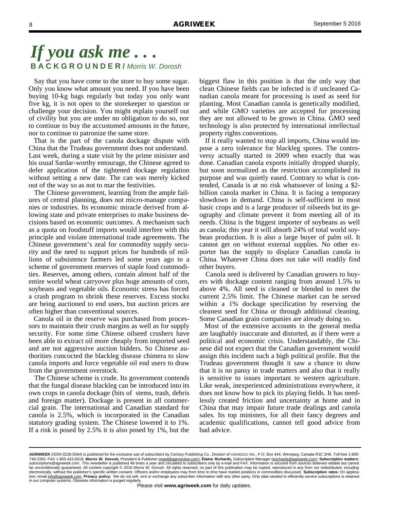Say that you have come to the store to buy some sugar. Only you know what amount you need. If you have been buying 10-kg bags regularly but today you only want five kg, it is not open to the storekeeper to question or challenge your decision. You might explain yourself out of civility but you are under no obligation to do so, nor to continue to buy the accustomed amounts in the future, nor to continue to patronize the same store.

 That is the part of the canola dockage dispute with China that the Trudeau government does not understand. Last week, during a state visit by the prime minister and his usual Sardar-worthy entourage, the Chinese agreed to defer application of the tightened dockage regulation without setting a new date. The can was merely kicked out of the way so as not to mar the festivities.

 The Chinese government, learning from the ample failures of central planning, does not micro-manage companies or industries. Its economic miracle derived from allowing state and private enterprises to make business decisions based on economic outcomes. A mechanism such as a quota on foodstuff imports would interfere with this principle and violate international trade agreements. The Chinese government's zeal for commodity supply security and the need to support prices for hundreds of millions of subsistence farmers led some years ago to a scheme of government reserves of staple food commodities. Reserves, among others, contain almost half of the entire world wheat carryover plus huge amounts of corn, soybeans and vegetable oils. Economic stress has forced a crash program to shrink these reserves. Excess stocks are being auctioned to end users, but auction prices are often higher than conventional sources.

 Canola oil in the reserve was purchased from processors to maintain their crush margins as well as for supply security. For some time Chinese oilseed crushers have been able to extract oil more cheaply from imported seed and are not aggressive auction bidders. So Chinese authorities concocted the blackleg disease chimera to slow canola imports and force vegetable oil end users to draw from the government overstock.

 The Chinese scheme is crude. Its government contends that the fungal disease blackleg can be introduced into its own crops in canola dockage (bits of stems, trash, debris and foreign matter). Dockage is present in all commercial grain. The international and Canadian standard for canola is 2.5%, which is incorporated in the Canadian statutory grading system. The Chinese lowered it to 1%. If a risk is posed by 2.5% it is also posed by 1%, but the

biggest flaw in this position is that the only way that clean Chinese fields can be infected is if uncleaned Canadian canola meant for processing is used as seed for planting. Most Canadian canola is genetically modified, and while GMO varieties are accepted for processing they are not allowed to be grown in China. GMO seed technology is also protected by international intellectual property rights conventions.

 If it really wanted to stop all imports, China would impose a zero tolerance for blackleg spores. The controversy actually started in 2009 when exactly that was done. Canadian canola exports initially dropped sharply, but soon normalized as the restriction accomplished its purpose and was quietly eased. Contrary to what is contended, Canada is at no risk whatsoever of losing a \$2 billion canola market in China. It is facing a temporary slowdown in demand. China is self-sufficient in most basic crops and is a large producer of oilseeds but its geography and climate prevent it from meeting all of its needs. China is the biggest importer of soybeans as well as canola; this year it will absorb 24% of total world soybean production. It is also a large buyer of palm oil. It cannot get on without external supplies. No other exporter has the supply to displace Canadian canola in China. Whatever China does not take will readily find other buyers.

 Canola seed is delivered by Canadian growers to buyers with dockage content ranging from around 1.5% to above 4%. All seed is cleaned or blended to meet the current 2.5% limit. The Chinese market can be served within a 1% dockage specification by reserving the cleanest seed for China or through additional cleaning. Some Canadian grain companies are already doing so.

 Most of the extensive accounts in the general media are laughably inaccurate and distorted, as if there were a political and economic crisis. Understandably, the Chinese did not expect that the Canadian government would assign this incident such a high political profile. But the Trudeau government thought it saw a chance to show that it is no pansy in trade matters and also that it really is sensitive to issues important to western agriculture. Like weak, inexperienced administrations everywhere, it does not know how to pick its playing fields. It has needlessly created friction and uncertainty at home and in China that may impair future trade dealings and canola sales. Its top ministers, for all their fancy degrees and academic qualifications, cannot tell good advice from bad advice.

*AGRIWEEK* (ISSN 0228-5584) is published for the exclusive use of subscribers by Century Publishing Co., Division of CANVESCO Inc., P.O. Box 444, Winnipeg, Canada R3C 2H6. Toll-free 1-800- 749-2350. FAX 1-855-423-5018. **Morris W. Dorosh,** President & Publisher (mwd@aginreview.com); **Elaine Richards,** Subscription Manager (erichards@agriweek.com); **Subscription matters:**  subscriptions@agriweek.com. This newsletter is published 48 times a year and circulated to subscribers only by e-mail and FAX. Information is secured from sources believed reliable but cannot<br>be unconditionally guaranteed. electronically, without the publisher's specific written consent. Officers and/or employees may from time to time have market positions in commodities discussed. Subscription rates: On applica-<br>tion; email <u>info@agriweek.c</u> in our computer systems. Obsolete information is purged regularly.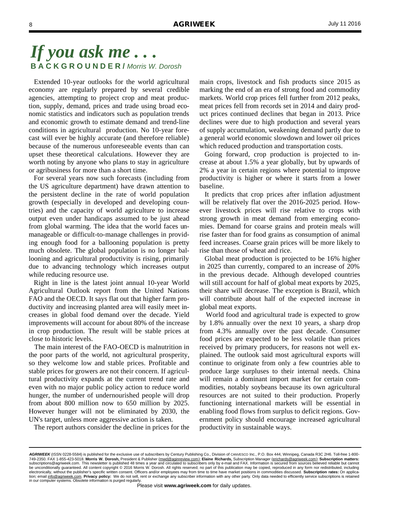Extended 10-year outlooks for the world agricultural economy are regularly prepared by several credible agencies, attempting to project crop and meat production, supply, demand, prices and trade using broad economic statistics and indicators such as population trends and economic growth to estimate demand and trend-line conditions in agricultural production. No 10-year forecast will ever be highly accurate (and therefore reliable) because of the numerous unforeseeable events than can upset these theoretical calculations. However they are worth noting by anyone who plans to stay in agriculture or agribusiness for more than a short time.

 For several years now such forecasts (including from the US agriculture department) have drawn attention to the persistent decline in the rate of world population growth (especially in developed and developing countries) and the capacity of world agriculture to increase output even under handicaps assumed to be just ahead from global warming. The idea that the world faces unmanageable or difficult-to-manage challenges in providing enough food for a ballooning population is pretty much obsolete. The global population is no longer ballooning and agricultural productivity is rising, primarily due to advancing technology which increases output while reducing resource use.

 Right in line is the latest joint annual 10-year World Agricultural Outlook report from the United Nations FAO and the OECD. It says flat out that higher farm productivity and increasing planted area will easily meet increases in global food demand over the decade. Yield improvements will account for about 80% of the increase in crop production. The result will be stable prices at close to historic levels.

 The main interest of the FAO-OECD is malnutrition in the poor parts of the world, not agricultural prosperity, so they welcome low and stable prices. Profitable and stable prices for growers are not their concern. If agricultural productivity expands at the current trend rate and even with no major public policy action to reduce world hunger, the number of undernourished people will drop from about 800 million now to 650 million by 2025. However hunger will not be eliminated by 2030, the UN's target, unless more aggressive action is taken.

The report authors consider the decline in prices for the

main crops, livestock and fish products since 2015 as marking the end of an era of strong food and commodity markets. World crop prices fell further from 2012 peaks, meat prices fell from records set in 2014 and dairy product prices continued declines that began in 2013. Price declines were due to high production and several years of supply accumulation, weakening demand partly due to a general world economic slowdown and lower oil prices which reduced production and transportation costs.

 Going forward, crop production is projected to increase at about 1.5% a year globally, but by upwards of 2% a year in certain regions where potential to improve productivity is higher or where it starts from a lower baseline.

 It predicts that crop prices after inflation adjustment will be relatively flat over the 2016-2025 period. However livestock prices will rise relative to crops with strong growth in meat demand from emerging economies. Demand for coarse grains and protein meals will rise faster than for food grains as consumption of animal feed increases. Coarse grain prices will be more likely to rise than those of wheat and rice.

 Global meat production is projected to be 16% higher in 2025 than currently, compared to an increase of 20% in the previous decade. Although developed countries will still account for half of global meat exports by 2025, their share will decrease. The exception is Brazil, which will contribute about half of the expected increase in global meat exports.

 World food and agricultural trade is expected to grow by 1.8% annually over the next 10 years, a sharp drop from 4.3% annually over the past decade. Consumer food prices are expected to be less volatile than prices received by primary producers, for reasons not well explained. The outlook said most agricultural exports will continue to originate from only a few countries able to produce large surpluses to their internal needs. China will remain a dominant import market for certain commodities, notably soybeans because its own agricultural resources are not suited to their production. Properly functioning international markets will be essential in enabling food flows from surplus to deficit regions. Government policy should encourage increased agricultural productivity in sustainable ways.

*AGRIWEEK* (ISSN 0228-5584) is published for the exclusive use of subscribers by Century Publishing Co., Division of CANVESCO Inc., P.O. Box 444, Winnipeg, Canada R3C 2H6. Toll-free 1-800- 749-2350. FAX 1-855-423-5018. **Morris W. Dorosh,** President & Publisher (mwd@aginreview.com); **Elaine Richards,** Subscription Manager (erichards@agriweek.com); **Subscription matters:**  subscriptions@agriweek.com. This newsletter is published 48 times a year and circulated to subscribers only by e-mail and FAX. Information is secured from sources believed reliable but cannot<br>be unconditionally guaranteed. electronically, without the publisher's specific written consent. Officers and/or employees may from time to time have market positions in commodities discussed. **Subscription rates:** On application; email info@agriweek.com. **Privacy policy:** We do not sell, rent or exchange any subscriber information with any other party. Only data needed to efficiently service subscriptions is retained in our computer systems. Obsolete information is purged regularly.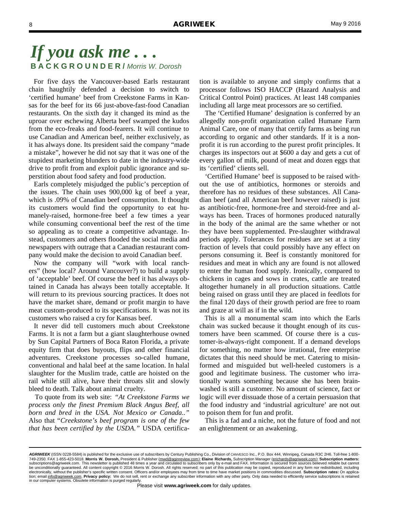For five days the Vancouver-based Earls restaurant chain haughtily defended a decision to switch to 'certified humane' beef from Creekstone Farms in Kansas for the beef for its 66 just-above-fast-food Canadian restaurants. On the sixth day it changed its mind as the uproar over eschewing Alberta beef swamped the kudos from the eco-freaks and food-fearers. It will continue to use Canadian and American beef, neither exclusively, as it has always done. Its president said the company "made a mistake", however he did not say that it was one of the stupidest marketing blunders to date in the industry-wide drive to profit from and exploit public ignorance and superstition about food safety and food production.

 Earls completely misjudged the public's perception of the issues. The chain uses 900,000 kg of beef a year, which is .09% of Canadian beef consumption. It thought its customers would find the opportunity to eat humanely-raised, hormone-free beef a few times a year while consuming conventional beef the rest of the time so appealing as to create a competitive advantage. Instead, customers and others flooded the social media and newspapers with outrage that a Canadian restaurant company would make the decision to avoid Canadian beef.

 Now the company will "work with local ranchers" (how local? Around Vancouver?) to build a supply of 'acceptable' beef. Of course the beef it has always obtained in Canada has always been totally acceptable. It will return to its previous sourcing practices. It does not have the market share, demand or profit margin to have meat custom-produced to its specifications. It was not its customers who raised a cry for Kansas beef.

 It never did tell customers much about Creekstone Farms. It is not a farm but a giant slaughterhouse owned by Sun Capital Partners of Boca Raton Florida, a private equity firm that does buyouts, flips and other financial adventures. Creekstone processes so-called humane, conventional and halal beef at the same location. In halal slaughter for the Muslim trade, cattle are hoisted on the rail while still alive, have their throats slit and slowly bleed to death. Talk about animal cruelty.

 To quote from its web site: *"At Creekstone Farms we process only the finest Premium Black Angus Beef, all born and bred in the USA. Not Mexico or Canada.."* Also that "*Creekstone's beef program is one of the few that has been certified by the USDA."* USDA certification is available to anyone and simply confirms that a processor follows ISO HACCP (Hazard Analysis and Critical Control Point) practices. At least 148 companies including all large meat processors are so certified.

 The 'Certified Humane' designation is conferred by an allegedly non-profit organization called Humane Farm Animal Care, one of many that certify farms as being run according to organic and other standards. If it is a nonprofit it is run according to the purest profit principles. It charges its inspectors out at \$600 a day and gets a cut of every gallon of milk, pound of meat and dozen eggs that its 'certified' clients sell.

 'Certified Humane' beef is supposed to be raised without the use of antibiotics, hormones or steroids and therefore has no residues of these substances. All Canadian beef (and all American beef however raised) is just as antibiotic-free, hormone-free and steroid-free and always has been. Traces of hormones produced naturally in the body of the animal are the same whether or not they have been supplemented. Pre-slaughter withdrawal periods apply. Tolerances for residues are set at a tiny fraction of levels that could possibly have any effect on persons consuming it. Beef is constantly monitored for residues and meat in which any are found is not allowed to enter the human food supply. Ironically, compared to chickens in cages and sows in crates, cattle are treated altogether humanely in all production situations. Cattle being raised on grass until they are placed in feedlots for the final 120 days of their growth period are free to roam and graze at will as if in the wild.

 This is all a monumental scam into which the Earls chain was sucked because it thought enough of its customers have been scammed. Of course there is a customer-is-always-right component. If a demand develops for something, no matter how irrational, free enterprise dictates that this need should be met. Catering to misinformed and misguided but well-heeled customers is a good and legitimate business. The customer who irrationally wants something because she has been brainwashed is still a customer. No amount of science, fact or logic will ever dissuade those of a certain persuasion that the food industry and 'industrial agriculture' are not out to poison them for fun and profit.

 This is a fad and a niche, not the future of food and not an enlightenment or an awakening.

*AGRIWEEK* (ISSN 0228-5584) is published for the exclusive use of subscribers by Century Publishing Co., Division of CANVESCO Inc., P.O. Box 444, Winnipeg, Canada R3C 2H6. Toll-free 1-800- 749-2350. FAX 1-855-423-5018. **Morris W. Dorosh,** President & Publisher (mwd@aginreview.com); **Elaine Richards,** Subscription Manager (erichards@agriweek.com); **Subscription matters:**  subscriptions@agriweek.com. This newsletter is published 48 times a year and circulated to subscribers only by e-mail and FAX. Information is secured from sources believed reliable but cannot<br>be unconditionally guaranteed. electronically, without the publisher's specific written consent. Officers and/or employees may from time to time have market positions in commodities discussed. **Subscription rates:** On application; email info@agriweek.com. **Privacy policy:** We do not sell, rent or exchange any subscriber information with any other party. Only data needed to efficiently service subscriptions is retained in our computer systems. Obsolete information is purged regularly.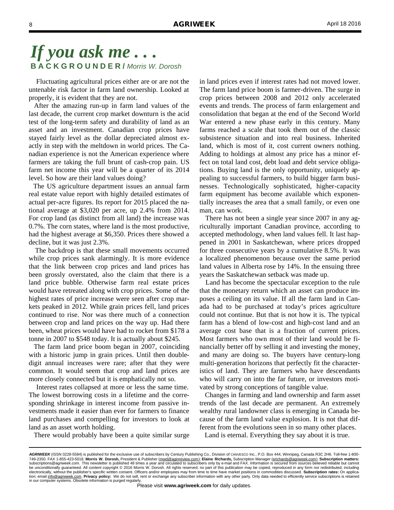Fluctuating agricultural prices either are or are not the untenable risk factor in farm land ownership. Looked at properly, it is evident that they are not.

 After the amazing run-up in farm land values of the last decade, the current crop market downturn is the acid test of the long-term safety and durability of land as an asset and an investment. Canadian crop prices have stayed fairly level as the dollar depreciated almost exactly in step with the meltdown in world prices. The Canadian experience is not the American experience where farmers are taking the full brunt of cash-crop pain. US farm net income this year will be a quarter of its 2014 level. So how are their land values doing?

 The US agriculture department issues an annual farm real estate value report with highly detailed estimates of actual per-acre figures. Its report for 2015 placed the national average at \$3,020 per acre, up 2.4% from 2014. For crop land (as distinct from all land) the increase was 0.7%. The corn states, where land is the most productive, had the highest average at \$6,350. Prices there showed a decline, but it was just 2.3%.

 The backdrop is that these small movements occurred while crop prices sank alarmingly. It is more evidence that the link between crop prices and land prices has been grossly overstated, also the claim that there is a land price bubble. Otherwise farm real estate prices would have retreated along with crop prices. Some of the highest rates of price increase were seen after crop markets peaked in 2012. While grain prices fell, land prices continued to rise. Nor was there much of a connection between crop and land prices on the way up. Had there been, wheat prices would have had to rocket from \$178 a tonne in 2007 to \$548 today. It is actually about \$245.

 The farm land price boom began in 2007, coinciding with a historic jump in grain prices. Until then doubledigit annual increases were rare; after that they were common. It would seem that crop and land prices are more closely connected but it is emphatically not so.

 Interest rates collapsed at more or less the same time. The lowest borrowing costs in a lifetime and the corresponding shrinkage in interest income from passive investments made it easier than ever for farmers to finance land purchases and compelling for investors to look at land as an asset worth holding.

There would probably have been a quite similar surge

in land prices even if interest rates had not moved lower. The farm land price boom is farmer-driven. The surge in crop prices between 2008 and 2012 only accelerated events and trends. The process of farm enlargement and consolidation that began at the end of the Second World War entered a new phase early in this century. Many farms reached a scale that took them out of the classic subsistence situation and into real business. Inherited land, which is most of it, cost current owners nothing. Adding to holdings at almost any price has a minor effect on total land cost, debt load and debt service obligations. Buying land is the only opportunity, uniquely appealing to successful farmers, to build bigger farm businesses. Technologically sophisticated, higher-capacity farm equipment has become available which exponentially increases the area that a small family, or even one man, can work.

 There has not been a single year since 2007 in any agriculturally important Canadian province, according to accepted methodology, when land values fell. It last happened in 2001 in Saskatchewan, where prices dropped for three consecutive years by a cumulative 8.5%. It was a localized phenomenon because over the same period land values in Alberta rose by 14%. In the ensuing three years the Saskatchewan setback was made up.

 Land has become the spectacular exception to the rule that the monetary return which an asset can produce imposes a ceiling on its value. If all the farm land in Canada had to be purchased at today's prices agriculture could not continue. But that is not how it is. The typical farm has a blend of low-cost and high-cost land and an average cost base that is a fraction of current prices. Most farmers who own most of their land would be financially better off by selling it and investing the money, and many are doing so. The buyers have century-long multi-generation horizons that perfectly fit the characteristics of land. They are farmers who have descendants who will carry on into the far future, or investors motivated by strong conceptions of tangible value.

 Changes in farming and land ownership and farm asset trends of the last decade are permanent. An extremely wealthy rural landowner class is emerging in Canada because of the farm land value explosion. It is not that different from the evolutions seen in so many other places.

Land is eternal. Everything they say about it is true.

*AGRIWEEK* (ISSN 0228-5584) is published for the exclusive use of subscribers by Century Publishing Co., Division of CANVESCO Inc., P.O. Box 444, Winnipeg, Canada R3C 2H6. Toll-free 1-800- 749-2350. FAX 1-855-423-5018. **Morris W. Dorosh,** President & Publisher (mwd@aginreview.com); **Elaine Richards,** Subscription Manager (erichards@agriweek.com); **Subscription matters:**  subscriptions@agriweek.com. This newsletter is published 48 times a year and circulated to subscribers only by e-mail and FAX. Information is secured from sources believed reliable but cannot<br>be unconditionally guaranteed. electronically, without the publisher's specific written consent. Officers and/or employees may from time to time have market positions in commodities discussed. **Subscription rates:** On application; email info@agriweek.com. **Privacy policy:** We do not sell, rent or exchange any subscriber information with any other party. Only data needed to efficiently service subscriptions is retained in our computer systems. Obsolete information is purged regularly.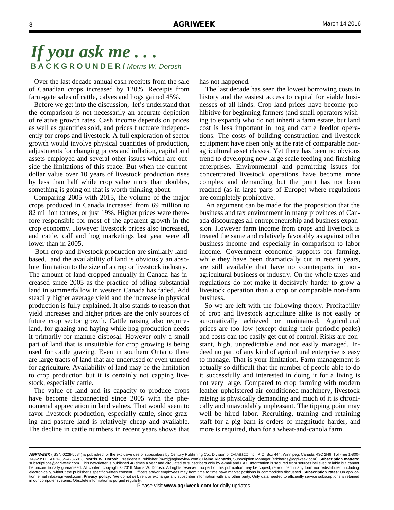Over the last decade annual cash receipts from the sale of Canadian crops increased by 120%. Receipts from farm-gate sales of cattle, calves and hogs gained 45%.

 Before we get into the discussion, let's understand that the comparison is not necessarily an accurate depiction of relative growth rates. Cash income depends on prices as well as quantities sold, and prices fluctuate independently for crops and livestock. A full exploration of sector growth would involve physical quantities of production, adjustments for changing prices and inflation, capital and assets employed and several other issues which are outside the limitations of this space. But when the currentdollar value over 10 years of livestock production rises by less than half while crop value more than doubles, something is going on that is worth thinking about.

 Comparing 2005 with 2015, the volume of the major crops produced in Canada increased from 69 million to 82 million tonnes, or just 19%. Higher prices were therefore responsible for most of the apparent growth in the crop economy. However livestock prices also increased, and cattle, calf and hog marketings last year were all lower than in 2005.

 Both crop and livestock production are similarly landbased, and the availability of land is obviously an absolute limitation to the size of a crop or livestock industry. The amount of land cropped annually in Canada has increased since 2005 as the practice of idling substantial land in summerfallow in western Canada has faded. Add steadily higher average yield and the increase in physical production is fully explained. It also stands to reason that yield increases and higher prices are the only sources of future crop sector growth. Cattle raising also requires land, for grazing and haying while hog production needs it primarily for manure disposal. However only a small part of land that is unsuitable for crop growing is being used for cattle grazing. Even in southern Ontario there are large tracts of land that are underused or even unused for agriculture. Availability of land may be the limitation to crop production but it is certainly not capping livestock, especially cattle.

 The value of land and its capacity to produce crops have become disconnected since 2005 with the phenomenal appreciation in land values. That would seem to favor livestock production, especially cattle, since grazing and pasture land is relatively cheap and available. The decline in cattle numbers in recent years shows that

has not happened.

 The last decade has seen the lowest borrowing costs in history and the easiest access to capital for viable businesses of all kinds. Crop land prices have become prohibitive for beginning farmers (and small operators wishing to expand) who do not inherit a farm estate, but land cost is less important in hog and cattle feedlot operations. The costs of building construction and livestock equipment have risen only at the rate of comparable nonagricultural asset classes. Yet there has been no obvious trend to developing new large scale feeding and finishing enterprises. Environmental and permitting issues for concentrated livestock operations have become more complex and demanding but the point has not been reached (as in large parts of Europe) where regulations are completely prohibitive.

 An argument can be made for the proposition that the business and tax environment in many provinces of Canada discourages all entrepreneurship and business expansion. However farm income from crops and livestock is treated the same and relatively favorably as against other business income and especially in comparison to labor income. Government economic supports for farming, while they have been dramatically cut in recent years, are still available that have no counterparts in nonagricultural business or industry. On the whole taxes and regulations do not make it decisively harder to grow a livestock operation than a crop or comparable non-farm business.

 So we are left with the following theory. Profitability of crop and livestock agriculture alike is not easily or automatically achieved or maintained. Agricultural prices are too low (except during their periodic peaks) and costs can too easily get out of control. Risks are constant, high, unpredictable and not easily managed. Indeed no part of any kind of agricultural enterprise is easy to manage. That is your limitation. Farm management is actually so difficult that the number of people able to do it successfully and interested in doing it for a living is not very large. Compared to crop farming with modern leather-upholstered air-conditioned machinery, livestock raising is physically demanding and much of it is chronically and unavoidably unpleasant. The tipping point may well be hired labor. Recruiting, training and retaining staff for a pig barn is orders of magnitude harder, and more is required, than for a wheat-and-canola farm.

*AGRIWEEK* (ISSN 0228-5584) is published for the exclusive use of subscribers by Century Publishing Co., Division of CANVESCO Inc., P.O. Box 444, Winnipeg, Canada R3C 2H6. Toll-free 1-800- 749-2350. FAX 1-855-423-5018. **Morris W. Dorosh,** President & Publisher (mwd@aginreview.com); **Elaine Richards,** Subscription Manager (erichards@agriweek.com); **Subscription matters:**  subscriptions@agriweek.com. This newsletter is published 48 times a year and circulated to subscribers only by e-mail and FAX. Information is secured from sources believed reliable but cannot<br>be unconditionally guaranteed. electronically, without the publisher's specific written consent. Officers and/or employees may from time to time have market positions in commodities discussed. **Subscription rates:** On application; email info@agriweek.com. **Privacy policy:** We do not sell, rent or exchange any subscriber information with any other party. Only data needed to efficiently service subscriptions is retained in our computer systems. Obsolete information is purged regularly.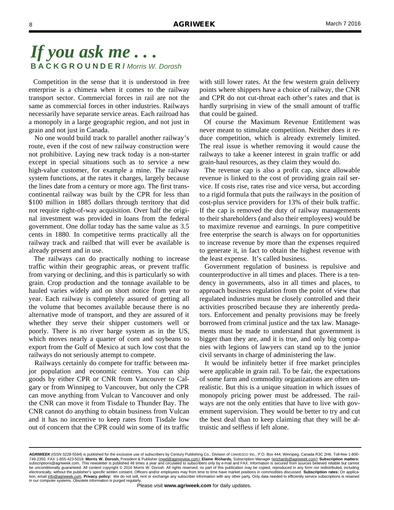Competition in the sense that it is understood in free enterprise is a chimera when it comes to the railway transport sector. Commercial forces in rail are not the same as commercial forces in other industries. Railways necessarily have separate service areas. Each railroad has a monopoly in a large geographic region, and not just in grain and not just in Canada.

 No one would build track to parallel another railway's route, even if the cost of new railway construction were not prohibitive. Laying new track today is a non-starter except in special situations such as to service a new high-value customer, for example a mine. The railway system functions, at the rates it charges, largely because the lines date from a century or more ago. The first transcontinental railway was built by the CPR for less than \$100 million in 1885 dollars through territory that did not require right-of-way acquisition. Over half the original investment was provided in loans from the federal government. One dollar today has the same value as 3.5 cents in 1880. In competitive terms practically all the railway track and railbed that will ever be available is already present and in use.

 The railways can do practically nothing to increase traffic within their geographic areas, or prevent traffic from varying or declining, and this is particularly so with grain. Crop production and the tonnage available to be hauled varies widely and on short notice from year to year. Each railway is completely assured of getting all the volume that becomes available because there is no alternative mode of transport, and they are assured of it whether they serve their shipper customers well or poorly. There is no river barge system as in the US, which moves nearly a quarter of corn and soybeans to export from the Gulf of Mexico at such low cost that the railways do not seriously attempt to compete.

 Railways certainly do compete for traffic between major population and economic centres. You can ship goods by either CPR or CNR from Vancouver to Calgary or from Winnipeg to Vancouver, but only the CPR can move anything from Vulcan to Vancouver and only the CNR can move it from Tisdale to Thunder Bay. The CNR cannot do anything to obtain business from Vulcan and it has no incentive to keep rates from Tisdale low out of concern that the CPR could win some of its traffic

with still lower rates. At the few western grain delivery points where shippers have a choice of railway, the CNR and CPR do not cut-throat each other's rates and that is hardly surprising in view of the small amount of traffic that could be gained.

 Of course the Maximum Revenue Entitlement was never meant to stimulate competition. Neither does it reduce competition, which is already extremely limited. The real issue is whether removing it would cause the railways to take a keener interest in grain traffic or add grain-haul resources, as they claim they would do.

 The revenue cap is also a profit cap, since allowable revenue is linked to the cost of providing grain rail service. If costs rise, rates rise and vice versa, but according to a rigid formula that puts the railways in the position of cost-plus service providers for 13% of their bulk traffic. If the cap is removed the duty of railway managements to their shareholders (and also their employees) would be to maximize revenue and earnings. In pure competitive free enterprise the search is always on for opportunities to increase revenue by more than the expenses required to generate it, in fact to obtain the highest revenue with the least expense. It's called business.

 Government regulation of business is repulsive and counterproductive in all times and places. There is a tendency in governments, also in all times and places, to approach business regulation from the point of view that regulated industries must be closely controlled and their activities proscribed because they are inherently predators. Enforcement and penalty provisions may be freely borrowed from criminal justice and the tax law. Managements must be made to understand that government is bigger than they are, and it is true, and only big companies with legions of lawyers can stand up to the junior civil servants in charge of administering the law.

 It would be infinitely better if free market principles were applicable in grain rail. To be fair, the expectations of some farm and commodity organizations are often unrealistic. But this is a unique situation in which issues of monopoly pricing power must be addressed. The railways are not the only entities that have to live with government supervision. They would be better to try and cut the best deal than to keep claiming that they will be altruistic and selfless if left alone.

*AGRIWEEK* (ISSN 0228-5584) is published for the exclusive use of subscribers by Century Publishing Co., Division of CANVESCO Inc., P.O. Box 444, Winnipeg, Canada R3C 2H6. Toll-free 1-800- 749-2350. FAX 1-855-423-5018. **Morris W. Dorosh,** President & Publisher (mwd@aginreview.com); **Elaine Richards,** Subscription Manager (erichards@agriweek.com); **Subscription matters:**  subscriptions@agriweek.com. This newsletter is published 48 times a year and circulated to subscribers only by e-mail and FAX. Information is secured from sources believed reliable but cannot<br>be unconditionally guaranteed. electronically, without the publisher's specific written consent. Officers and/or employees may from time to time have market positions in commodities discussed. **Subscription rates:** On application; email info@agriweek.com. **Privacy policy:** We do not sell, rent or exchange any subscriber information with any other party. Only data needed to efficiently service subscriptions is retained in our computer systems. Obsolete information is purged regularly.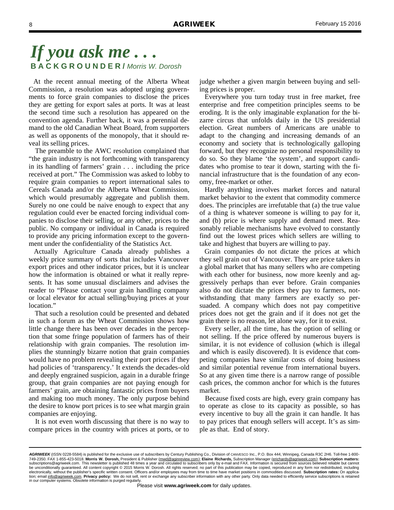At the recent annual meeting of the Alberta Wheat Commission, a resolution was adopted urging governments to force grain companies to disclose the prices they are getting for export sales at ports. It was at least the second time such a resolution has appeared on the convention agenda. Further back, it was a perennial demand to the old Canadian Wheat Board, from supporters as well as opponents of the monopoly, that it should reveal its selling prices.

 The preamble to the AWC resolution complained that "the grain industry is not forthcoming with transparency in its handling of farmers' grain . . . including the price received at port." The Commission was asked to lobby to require grain companies to report international sales to Cereals Canada and/or the Alberta Wheat Commission, which would presumably aggregate and publish them. Surely no one could be naive enough to expect that any regulation could ever be enacted forcing individual companies to disclose their selling, or any other, prices to the public. No company or individual in Canada is required to provide any pricing information except to the government under the confidentiality of the Statistics Act.

 Actually Agriculture Canada already publishes a weekly price summary of sorts that includes Vancouver export prices and other indicator prices, but it is unclear how the information is obtained or what it really represents. It has some unusual disclaimers and advises the reader to "Please contact your grain handling company or local elevator for actual selling/buying prices at your location."

 That such a resolution could be presented and debated in such a forum as the Wheat Commission shows how little change there has been over decades in the perception that some fringe population of farmers has of their relationship with grain companies. The resolution implies the stunningly bizarre notion that grain companies would have no problem revealing their port prices if they had policies of 'transparency.' It extends the decades-old and deeply engrained suspicion, again in a durable fringe group, that grain companies are not paying enough for farmers' grain, are obtaining fantastic prices from buyers and making too much money. The only purpose behind the desire to know port prices is to see what margin grain companies are enjoying.

 It is not even worth discussing that there is no way to compare prices in the country with prices at ports, or to judge whether a given margin between buying and selling prices is proper.

 Everywhere you turn today trust in free market, free enterprise and free competition principles seems to be eroding. It is the only imaginable explanation for the bizarre circus that unfolds daily in the US presidential election. Great numbers of Americans are unable to adapt to the changing and increasing demands of an economy and society that is technologically galloping forward, but they recognize no personal responsibility to do so. So they blame 'the system', and support candidates who promise to tear it down, starting with the financial infrastructure that is the foundation of any economy, free-market or other.

 Hardly anything involves market forces and natural market behavior to the extent that commodity commerce does. The principles are irrefutable that (a) the true value of a thing is whatever someone is willing to pay for it, and (b) price is where supply and demand meet. Reasonably reliable mechanisms have evolved to constantly find out the lowest prices which sellers are willing to take and highest that buyers are willing to pay.

 Grain companies do not dictate the prices at which they sell grain out of Vancouver. They are price takers in a global market that has many sellers who are competing with each other for business, now more keenly and aggressively perhaps than ever before. Grain companies also do not dictate the prices they pay to farmers, notwithstanding that many farmers are exactly so persuaded. A company which does not pay competitive prices does not get the grain and if it does not get the grain there is no reason, let alone way, for it to exist.

 Every seller, all the time, has the option of selling or not selling. If the price offered by numerous buyers is similar, it is not evidence of collusion (which is illegal and which is easily discovered). It is evidence that competing companies have similar costs of doing business and similar potential revenue from international buyers. So at any given time there is a narrow range of possible cash prices, the common anchor for which is the futures market.

 Because fixed costs are high, every grain company has to operate as close to its capacity as possible, so has every incentive to buy all the grain it can handle. It has to pay prices that enough sellers will accept. It's as simple as that. End of story.

*AGRIWEEK* (ISSN 0228-5584) is published for the exclusive use of subscribers by Century Publishing Co., Division of CANVESCO Inc., P.O. Box 444, Winnipeg, Canada R3C 2H6. Toll-free 1-800- 749-2350. FAX 1-855-423-5018. **Morris W. Dorosh,** President & Publisher (mwd@aginreview.com); **Elaine Richards,** Subscription Manager (erichards@agriweek.com); **Subscription matters:**  subscriptions@agriweek.com. This newsletter is published 48 times a year and circulated to subscribers only by e-mail and FAX. Information is secured from sources believed reliable but cannot<br>be unconditionally guaranteed. electronically, without the publisher's specific written consent. Officers and/or employees may from time to time have market positions in commodities discussed. **Subscription rates:** On application; email info@agriweek.com. **Privacy policy:** We do not sell, rent or exchange any subscriber information with any other party. Only data needed to efficiently service subscriptions is retained in our computer systems. Obsolete information is purged regularly.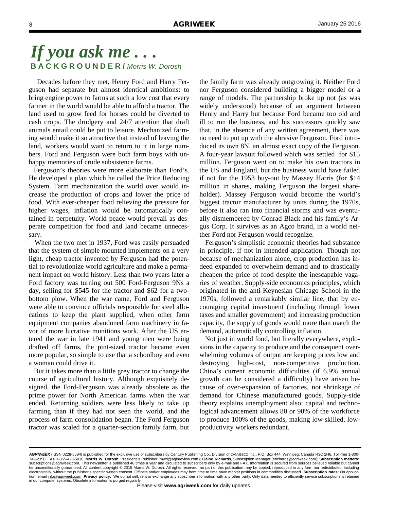Decades before they met, Henry Ford and Harry Ferguson had separate but almost identical ambitions: to bring engine power to farms at such a low cost that every farmer in the world would be able to afford a tractor. The land used to grow feed for horses could be diverted to cash crops. The drudgery and 24/7 attention that draft animals entail could be put to leisure. Mechanized farming would make it so attractive that instead of leaving the land, workers would want to return to it in large numbers. Ford and Ferguson were both farm boys with unhappy memories of crude subsistence farms.

 Ferguson's theories were more elaborate than Ford's. He developed a plan which he called the Price Reducing System. Farm mechanization the world over would increase the production of crops and lower the price of food. With ever-cheaper food relieving the pressure for higher wages, inflation would be automatically contained in perpetuity. World peace would prevail as desperate competition for food and land became unnecessary.

 When the two met in 1937, Ford was easily persuaded that the system of simple mounted implements on a very light, cheap tractor invented by Ferguson had the potential to revolutionize world agriculture and make a permanent impact on world history. Less than two years later a Ford factory was turning out 500 Ford-Ferguson 9Ns a day, selling for \$545 for the tractor and \$62 for a twobottom plow. When the war came, Ford and Ferguson were able to convince officials responsible for steel allocations to keep the plant supplied, when other farm equipment companies abandoned farm machinery in favor of more lucrative munitions work. After the US entered the war in late 1941 and young men were being drafted off farms, the pint-sized tractor became even more popular, so simple to use that a schoolboy and even a woman could drive it.

 But it takes more than a little grey tractor to change the course of agricultural history. Although exquisitely designed, the Ford-Ferguson was already obsolete as the prime power for North American farms when the war ended. Returning soldiers were less likely to take up farming than if they had not seen the world, and the process of farm consolidation began. The Ford Ferguson tractor was scaled for a quarter-section family farm, but

the family farm was already outgrowing it. Neither Ford nor Ferguson considered building a bigger model or a range of models. The partnership broke up not (as was widely understood) because of an argument between Henry and Harry but because Ford became too old and ill to run the business, and his successors quickly saw that, in the absence of any written agreement, there was no need to put up with the abrasive Ferguson. Ford introduced its own 8N, an almost exact copy of the Ferguson. A four-year lawsuit followed which was settled for \$15 million. Ferguson went on to make his own tractors in the US and England, but the business would have failed if not for the 1953 buy-out by Massey Harris (for \$14 million in shares, making Ferguson the largest shareholder). Massey Ferguson would become the world's biggest tractor manufacturer by units during the 1970s, before it also ran into financial storms and was eventually dismembered by Conrad Black and his family's Argus Corp. It survives as an Agco brand, in a world neither Ford nor Ferguson would recognize.

 Ferguson's simplistic economic theories had substance in principle, if not in intended application. Though not because of mechanization alone, crop production has indeed expanded to overwhelm demand and to drastically cheapen the price of food despite the inescapable vagaries of weather. Supply-side economics principles, which originated in the anti-Keynesian Chicago School in the 1970s, followed a remarkably similar line, that by encouraging capital investment (including through lower taxes and smaller government) and increasing production capacity, the supply of goods would more than match the demand, automatically controlling inflation.

 Not just in world food, but literally everywhere, explosions in the capacity to produce and the consequent overwhelming volumes of output are keeping prices low and destroying high-cost, non-competitive production. China's current economic difficulties (if 6.9% annual growth can be considered a difficulty) have arisen because of over-expansion of factories, not shrinkage of demand for Chinese manufactured goods. Supply-side theory explains unemployment also: capital and technological advancement allows 80 or 90% of the workforce to produce 100% of the goods, making low-skilled, lowproductivity workers redundant.

*AGRIWEEK* (ISSN 0228-5584) is published for the exclusive use of subscribers by Century Publishing Co., Division of CANVESCO Inc., P.O. Box 444, Winnipeg, Canada R3C 2H6. Toll-free 1-800- 749-2350. FAX 1-855-423-5018. **Morris W. Dorosh,** President & Publisher (mwd@aginreview.com); **Elaine Richards,** Subscription Manager (erichards@agriweek.com); **Subscription matters:**  subscriptions@agriweek.com. This newsletter is published 48 times a year and circulated to subscribers only by e-mail and FAX. Information is secured from sources believed reliable but cannot<br>be unconditionally guaranteed. electronically, without the publisher's specific written consent. Officers and/or employees may from time to time have market positions in commodities discussed. **Subscription rates:** On application; email info@agriweek.com. **Privacy policy:** We do not sell, rent or exchange any subscriber information with any other party. Only data needed to efficiently service subscriptions is retained in our computer systems. Obsolete information is purged regularly.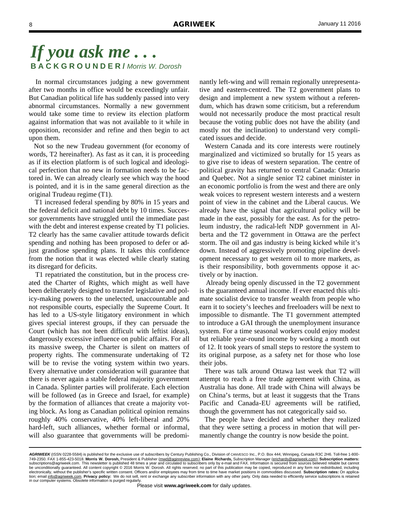In normal circumstances judging a new government after two months in office would be exceedingly unfair. But Canadian political life has suddenly passed into very abnormal circumstances. Normally a new government would take some time to review its election platform against information that was not available to it while in opposition, reconsider and refine and then begin to act upon them.

 Not so the new Trudeau government (for economy of words, T2 hereinafter). As fast as it can, it is proceeding as if its election platform is of such logical and ideological perfection that no new in formation needs to be factored in. We can already clearly see which way the hood is pointed, and it is in the same general direction as the original Trudeau regime (T1).

 T1 increased federal spending by 80% in 15 years and the federal deficit and national debt by 10 times. Successor governments have struggled until the immediate past with the debt and interest expense created by T1 policies. T2 clearly has the same cavalier attitude towards deficit spending and nothing has been proposed to defer or adjust grandiose spending plans. It takes this confidence from the notion that it was elected while clearly stating its disregard for deficits.

 T1 repatriated the constitution, but in the process created the Charter of Rights, which might as well have been deliberately designed to transfer legislative and policy-making powers to the unelected, unaccountable and not responsible courts, especially the Supreme Court. It has led to a US-style litigatory environment in which gives special interest groups, if they can persuade the Court (which has not been difficult with leftist ideas), dangerously excessive influence on public affairs. For all its massive sweep, the Charter is silent on matters of property rights. The commensurate undertaking of T2 will be to revise the voting system within two years. Every alternative under consideration will guarantee that there is never again a stable federal majority government in Canada. Splinter parties will proliferate. Each election will be followed (as in Greece and Israel, for example) by the formation of alliances that create a majority voting block. As long as Canadian political opinion remains roughly 40% conservative, 40% left-liberal and 20% hard-left, such alliances, whether formal or informal, will also guarantee that governments will be predominantly left-wing and will remain regionally unrepresentative and eastern-centred. The T2 government plans to design and implement a new system without a referendum, which has drawn some criticism, but a referendum would not necessarily produce the most practical result because the voting public does not have the ability (and mostly not the inclination) to understand very complicated issues and decide.

 Western Canada and its core interests were routinely marginalized and victimized so brutally for 15 years as to give rise to ideas of western separation. The centre of political gravity has returned to central Canada: Ontario and Quebec. Not a single senior T2 cabinet minister in an economic portfolio is from the west and there are only weak voices to represent western interests and a western point of view in the cabinet and the Liberal caucus. We already have the signal that agricultural policy will be made in the east, possibly for the east. As for the petroleum industry, the radical-left NDP government in Alberta and the T2 government in Ottawa are the perfect storm. The oil and gas industry is being kicked while it's down. Instead of aggressively promoting pipeline development necessary to get western oil to more markets, as is their responsibility, both governments oppose it actively or by inaction.

 Already being openly discussed in the T2 government is the guaranteed annual income. If ever enacted this ultimate socialist device to transfer wealth from people who earn it to society's leeches and freeloaders will be next to impossible to dismantle. The T1 government attempted to introduce a GAI through the unemployment insurance system. For a time seasonal workers could enjoy modest but reliable year-round income by working a month out of 12. It took years of small steps to restore the system to its original purpose, as a safety net for those who lose their jobs.

 There was talk around Ottawa last week that T2 will attempt to reach a free trade agreement with China, as Australia has done. All trade with China will always be on China's terms, but at least it suggests that the Trans Pacific and Canada-EU agreements will be ratified, though the government has not categorically said so.

 The people have decided and whether they realized that they were setting a process in motion that will permanently change the country is now beside the point.

*AGRIWEEK* (ISSN 0228-5584) is published for the exclusive use of subscribers by Century Publishing Co., Division of CANVESCO Inc., P.O. Box 444, Winnipeg, Canada R3C 2H6. Toll-free 1-800- 749-2350. FAX 1-855-423-5018. **Morris W. Dorosh,** President & Publisher (mwd@aginreview.com); **Elaine Richards,** Subscription Manager (erichards@agriweek.com); **Subscription matters:**  subscriptions@agriweek.com. This newsletter is published 48 times a year and circulated to subscribers only by e-mail and FAX. Information is secured from sources believed reliable but cannot<br>be unconditionally guaranteed. electronically, without the publisher's specific written consent. Officers and/or employees may from time to time have market positions in commodities discussed. **Subscription rates:** On application; email info@agriweek.com. **Privacy policy:** We do not sell, rent or exchange any subscriber information with any other party. Only data needed to efficiently service subscriptions is retained in our computer systems. Obsolete information is purged regularly.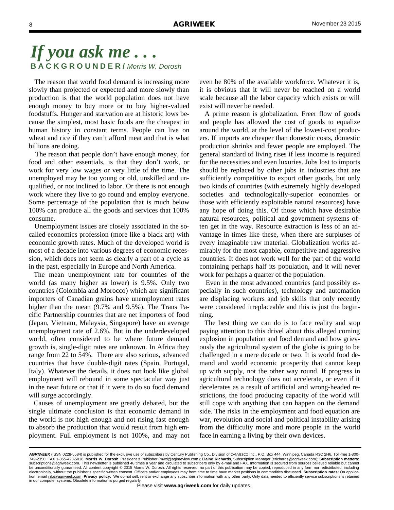The reason that world food demand is increasing more slowly than projected or expected and more slowly than production is that the world population does not have enough money to buy more or to buy higher-valued foodstuffs. Hunger and starvation are at historic lows because the simplest, most basic foods are the cheapest in human history in constant terms. People can live on wheat and rice if they can't afford meat and that is what billions are doing.

 The reason that people don't have enough money, for food and other essentials, is that they don't work, or work for very low wages or very little of the time. The unemployed may be too young or old, unskilled and unqualified, or not inclined to labor. Or there is not enough work where they live to go round and employ everyone. Some percentage of the population that is much below 100% can produce all the goods and services that 100% consume.

 Unemployment issues are closely associated in the socalled economics profession (more like a black art) with economic growth rates. Much of the developed world is most of a decade into various degrees of economic recession, which does not seem as clearly a part of a cycle as in the past, especially in Europe and North America.

 The mean unemployment rate for countries of the world (as many higher as lower) is 9.5%. Only two countries (Colombia and Morocco) which are significant importers of Canadian grains have unemployment rates higher than the mean (9.7% and 9.5%). The Trans Pacific Partnership countries that are net importers of food (Japan, Vietnam, Malaysia, Singapore) have an average unemployment rate of 2.6%. But in the underdeveloped world, often considered to be where future demand growth is, single-digit rates are unknown. In Africa they range from 22 to 54%. There are also serious, advanced countries that have double-digit rates (Spain, Portugal, Italy). Whatever the details, it does not look like global employment will rebound in some spectacular way just in the near future or that if it were to do so food demand will surge accordingly.

 Causes of unemployment are greatly debated, but the single ultimate conclusion is that economic demand in the world is not high enough and not rising fast enough to absorb the production that would result from high employment. Full employment is not 100%, and may not even be 80% of the available workforce. Whatever it is, it is obvious that it will never be reached on a world scale because all the labor capacity which exists or will exist will never be needed.

 A prime reason is globalization. Freer flow of goods and people has allowed the cost of goods to equalize around the world, at the level of the lowest-cost producers. If imports are cheaper than domestic costs, domestic production shrinks and fewer people are employed. The general standard of living rises if less income is required for the necessities and even luxuries. Jobs lost to imports should be replaced by other jobs in industries that are sufficiently competitive to export other goods, but only two kinds of countries (with extremely highly developed societies and technologically-superior economies or those with efficiently exploitable natural resources) have any hope of doing this. Of those which have desirable natural resources, political and government systems often get in the way. Resource extraction is less of an advantage in times like these, when there are surpluses of every imaginable raw material. Globalization works admirably for the most capable, competitive and aggressive countries. It does not work well for the part of the world containing perhaps half its population, and it will never work for perhaps a quarter of the population.

 Even in the most advanced countries (and possibly especially in such countries), technology and automation are displacing workers and job skills that only recently were considered irreplaceable and this is just the beginning.

 The best thing we can do is to face reality and stop paying attention to this drivel about this alleged coming explosion in population and food demand and how grievously the agricultural system of the globe is going to be challenged in a mere decade or two. It is world food demand and world economic prosperity that cannot keep up with supply, not the other way round. If progress in agricultural technology does not accelerate, or even if it decelerates as a result of artificial and wrong-headed restrictions, the food producing capacity of the world will still cope with anything that can happen on the demand side. The risks in the employment and food equation are war, revolution and social and political instability arising from the difficulty more and more people in the world face in earning a living by their own devices.

*AGRIWEEK* (ISSN 0228-5584) is published for the exclusive use of subscribers by Century Publishing Co., Division of CANVESCO Inc., P.O. Box 444, Winnipeg, Canada R3C 2H6. Toll-free 1-800- 749-2350. FAX 1-855-423-5018. **Morris W. Dorosh,** President & Publisher (mwd@aginreview.com); **Elaine Richards,** Subscription Manager (erichards@agriweek.com); **Subscription matters:**  subscriptions@agriweek.com. This newsletter is published 48 times a year and circulated to subscribers only by e-mail and FAX. Information is secured from sources believed reliable but cannot<br>be unconditionally guaranteed. electronically, without the publisher's specific written consent. Officers and/or employees may from time to time have market positions in commodities discussed. **Subscription rates:** On application; email info@agriweek.com. **Privacy policy:** We do not sell, rent or exchange any subscriber information with any other party. Only data needed to efficiently service subscriptions is retained in our computer systems. Obsolete information is purged regularly.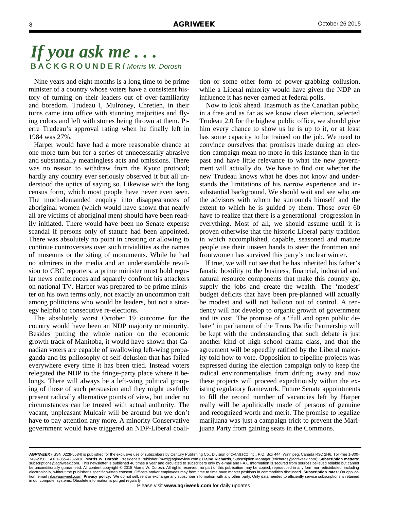Nine years and eight months is a long time to be prime minister of a country whose voters have a consistent history of turning on their leaders out of over-familiarity and boredom. Trudeau I, Mulroney, Chretien, in their turns came into office with stunning majorities and flying colors and left with stones being thrown at them. Pierre Trudeau's approval rating when he finally left in 1984 was 27%.

 Harper would have had a more reasonable chance at one more turn but for a series of unnecessarily abrasive and substantially meaningless acts and omissions. There was no reason to withdraw from the Kyoto protocol; hardly any country ever seriously observed it but all understood the optics of saying so. Likewise with the long census form, which most people have never even seen. The much-demanded enquiry into disappearances of aboriginal women (which would have shown that nearly all are victims of aboriginal men) should have been readily initiated. There would have been no Senate expense scandal if persons only of stature had been appointed. There was absolutely no point in creating or allowing to continue controversies over such trivialities as the names of museums or the siting of monuments. While he had no admirers in the media and an understandable revulsion to CBC reporters, a prime minister must hold regular news conferences and squarely confront his attackers on national TV. Harper was prepared to be prime minister on his own terms only, not exactly an uncommon trait among politicians who would be leaders, but not a strategy helpful to consecutive re-elections.

 The absolutely worst October 19 outcome for the country would have been an NDP majority or minority. Besides putting the whole nation on the economic growth track of Manitoba, it would have shown that Canadian voters are capable of swallowing left-wing propaganda and its philosophy of self-delusion that has failed everywhere every time it has been tried. Instead voters relegated the NDP to the fringe-party place where it belongs. There will always be a left-wing political grouping of those of such persuasion and they might usefully present radically alternative points of view, but under no circumstances can be trusted with actual authority. The vacant, unpleasant Mulcair will be around but we don't have to pay attention any more. A minority Conservative government would have triggered an NDP-Liberal coalition or some other form of power-grabbing collusion, while a Liberal minority would have given the NDP an influence it has never earned at federal polls.

 Now to look ahead. Inasmuch as the Canadian public, in a free and as far as we know clean election, selected Trudeau 2.0 for the highest public office, we should give him every chance to show us he is up to it, or at least has some capacity to be trained on the job. We need to convince ourselves that promises made during an election campaign mean no more in this instance than in the past and have little relevance to what the new government will actually do. We have to find out whether the new Trudeau knows what he does not know and understands the limitations of his narrow experience and insubstantial background. We should wait and see who are the advisors with whom he surrounds himself and the extent to which he is guided by them. Those over 60 have to realize that there is a generational progression in everything. Most of all, we should assume until it is proven otherwise that the historic Liberal party tradition in which accomplished, capable, seasoned and mature people use their unseen hands to steer the frontmen and frontwomen has survived this party's nuclear winter.

 If true, we will not see that he has inherited his father's fanatic hostility to the business, financial, industrial and natural resource components that make this country go, supply the jobs and create the wealth. The 'modest' budget deficits that have been pre-planned will actually be modest and will not balloon out of control. A tendency will not develop to organic growth of government and its cost. The promise of a "full and open public debate" in parliament of the Trans Pacific Partnership will be kept with the understanding that such debate is just another kind of high school drama class, and that the agreement will be speedily ratified by the Liberal majority told how to vote. Opposition to pipeline projects was expressed during the election campaign only to keep the radical environmentalists from drifting away and now these projects will proceed expeditiously within the existing regulatory framework. Future Senate appointments to fill the record number of vacancies left by Harper really will be apolitically made of persons of genuine and recognized worth and merit. The promise to legalize marijuana was just a campaign trick to prevent the Marijuana Party from gaining seats in the Commons.

*AGRIWEEK* (ISSN 0228-5584) is published for the exclusive use of subscribers by Century Publishing Co., Division of CANVESCO Inc., P.O. Box 444, Winnipeg, Canada R3C 2H6. Toll-free 1-800- 749-2350. FAX 1-855-423-5018. **Morris W. Dorosh,** President & Publisher (mwd@aginreview.com); **Elaine Richards,** Subscription Manager (erichards@agriweek.com); **Subscription matters:**  subscriptions@agriweek.com. This newsletter is published 48 times a year and circulated to subscribers only by e-mail and FAX. Information is secured from sources believed reliable but cannot<br>be unconditionally guaranteed. electronically, without the publisher's specific written consent. Officers and/or employees may from time to time have market positions in commodities discussed. **Subscription rates:** On application; email info@agriweek.com. **Privacy policy:** We do not sell, rent or exchange any subscriber information with any other party. Only data needed to efficiently service subscriptions is retained in our computer systems. Obsolete information is purged regularly.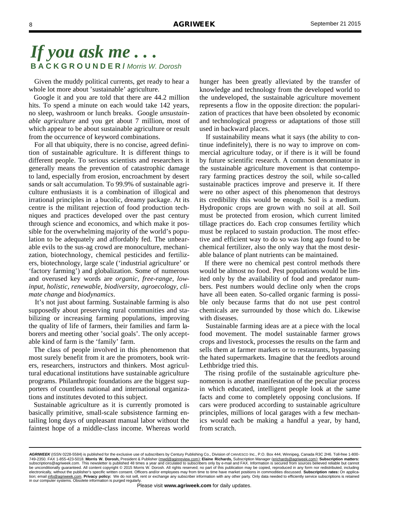Given the muddy political currents, get ready to hear a whole lot more about 'sustainable' agriculture.

 Google it and you are told that there are 44.2 million hits. To spend a minute on each would take 142 years, no sleep, washroom or lunch breaks. Google *unsustainable agriculture* and you get about 7 million, most of which appear to be about sustainable agriculture or result from the occurrence of keyword combinations.

 For all that ubiquity, there is no concise, agreed definition of sustainable agriculture. It is different things to different people. To serious scientists and researchers it generally means the prevention of catastrophic damage to land, especially from erosion, encroachment by desert sands or salt accumulation. To 99.9% of sustainable agriculture enthusiasts it is a combination of illogical and irrational principles in a bucolic, dreamy package. At its centre is the militant rejection of food production techniques and practices developed over the past century through science and economics, and which make it possible for the overwhelming majority of the world's population to be adequately and affordably fed. The unbearable evils to the sus-ag crowd are monoculture, mechanization, biotechnology, chemical pesticides and fertilizers, biotechnology, large scale ('industrial agriculture' or 'factory farming') and globalization. Some of numerous and overused key words are *organic, free-range, lowinput, holistic, renewable, biodiversity, agroecology, climate change* and *biodynamics*.

 It's not just about farming. Sustainable farming is also supposedly about preserving rural communities and stabilizing or increasing farming populations, improving the quality of life of farmers, their families and farm laborers and meeting other 'social goals'. The only acceptable kind of farm is the 'family' farm.

 The class of people involved in this phenomenon that most surely benefit from it are the promoters, book writers, researchers, instructors and thinkers. Most agricultural educational institutions have sustainable agriculture programs. Philanthropic foundations are the biggest supporters of countless national and international organizations and institutes devoted to this subject.

 Sustainable agriculture as it is currently promoted is basically primitive, small-scale subsistence farming entailing long days of unpleasant manual labor without the faintest hope of a middle-class income. Whereas world

hunger has been greatly alleviated by the transfer of knowledge and technology from the developed world to the undeveloped, the sustainable agriculture movement represents a flow in the opposite direction: the popularization of practices that have been obsoleted by economic and technological progress or adaptations of those still used in backward places.

 If sustainability means what it says (the ability to continue indefinitely), there is no way to improve on commercial agriculture today, or if there is it will be found by future scientific research. A common denominator in the sustainable agriculture movement is that contemporary farming practices destroy the soil, while so-called sustainable practices improve and preserve it. If there were no other aspect of this phenomenon that destroys its credibility this would be enough. Soil is a medium. Hydroponic crops are grown with no soil at all. Soil must be protected from erosion, which current limited tillage practices do. Each crop consumes fertility which must be replaced to sustain production. The most effective and efficient way to do so was long ago found to be chemical fertilizer, also the only way that the most desirable balance of plant nutrients can be maintained.

 If there were no chemical pest control methods there would be almost no food. Pest populations would be limited only by the availability of food and predator numbers. Pest numbers would decline only when the crops have all been eaten. So-called organic farming is possible only because farms that do not use pest control chemicals are surrounded by those which do. Likewise with diseases.

 Sustainable farming ideas are at a piece with the local food movement. The model sustainable farmer grows crops and livestock, processes the results on the farm and sells them at farmer markets or to restaurants, bypassing the hated supermarkets. Imagine that the feedlots around Lethbridge tried this.

 The rising profile of the sustainable agriculture phenomenon is another manifestation of the peculiar process in which educated, intelligent people look at the same facts and come to completely opposing conclusions. If cars were produced according to sustainable agriculture principles, millions of local garages with a few mechanics would each be making a handful a year, by hand, from scratch.

AGRIWEEK (ISSN 0228-5584) is published for the exclusive use of subscribers by Century Publishing Co., Division of CANVESCO Inc., P.O. Box 444, Winnipeg, Canada R3C 2H6. Toll-free 1-800-749-2350. FAX 1-855-423-5018. **Morris W. Dorosh,** President & Publisher (mwd@aginreview.com); **Elaine Richards,** Subscription Manager (erichards@agriweek.com); **Subscription matters:**  subscriptions@agriweek.com. This newsletter is published 48 times a year and circulated to subscribers only by e-mail and FAX. Information is secured from sources believed reliable but cannot<br>be unconditionally guaranteed. electronically, without the publisher's specific written consent. Officers and/or employees may from time to time have market positions in commodities discussed. **Subscription rates:** On application; email info@agriweek.com. **Privacy policy:** We do not sell, rent or exchange any subscriber information with any other party. Only data needed to efficiently service subscriptions is retained in our computer systems. Obsolete information is purged regularly.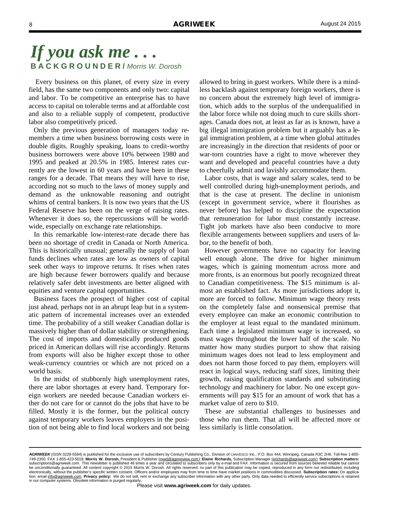Every business on this planet, of every size in every field, has the same two components and only two: capital and labor. To be competitive an enterprise has to have access to capital on tolerable terms and at affordable cost and also to a reliable supply of competent, productive labor also competitively priced.

 Only the previous generation of managers today remembers a time when business borrowing costs were in double digits. Roughly speaking, loans to credit-worthy business borrowers were above 10% between 1980 and 1995 and peaked at 20.5% in 1985. Interest rates currently are the lowest in 60 years and have been in these ranges for a decade. That means they will have to rise, according not so much to the laws of money supply and demand as the unknowable reasoning and outright whims of central bankers. It is now two years that the US Federal Reserve has been on the verge of raising rates. Whenever it does so, the repercussions will be worldwide, especially on exchange rate relationships.

 In this remarkable low-interest-rate decade there has been no shortage of credit in Canada or North America. This is historically unusual; generally the supply of loan funds declines when rates are low as owners of capital seek other ways to improve returns. It rises when rates are high because fewer borrowers qualify and because relatively safer debt investments are better aligned with equities and venture capital opportunities.

 Business faces the prospect of higher cost of capital just ahead, perhaps not in an abrupt leap but in a systematic pattern of incremental increases over an extended time. The probability of a still weaker Canadian dollar is massively higher than of dollar stability or strengthening. The cost of imports and domestically produced goods priced in American dollars will rise accordingly. Returns from exports will also be higher except those to other weak-currency countries or which are not priced on a world basis.

 In the midst of stubbornly high unemployment rates, there are labor shortages at every hand. Temporary foreign workers are needed because Canadian workers either do not care for or cannot do the jobs that have to be filled. Mostly it is the former, but the political outcry against temporary workers leaves employers in the position of not being able to find local workers and not being allowed to bring in guest workers. While there is a mindless backlash against temporary foreign workers, there is no concern about the extremely high level of immigration, which adds to the surplus of the underqualified in the labor force while not doing much to cure skills shortages. Canada does not, at least as far as is known, have a big illegal immigration problem but it arguably has a legal immigration problem, at a time when global attitudes are increasingly in the direction that residents of poor or war-torn countries have a right to move wherever they want and developed and peaceful countries have a duty to cheerfully admit and lavishly accommodate them.

 Labor costs, that is wage and salary scales, tend to be well controlled during high-unemployment periods, and that is the case at present. The decline in unionism (except in government service, where it flourishes as never before) has helped to discipline the expectation that remuneration for labor must constantly increase. Tight job markets have also been conducive to more flexible arrangements between suppliers and users of labor, to the benefit of both.

 However governments have no capacity for leaving well enough alone. The drive for higher minimum wages, which is gaining momentum across more and more fronts, is an enormous but poorly recognized threat to Canadian competitiveness. The \$15 minimum is almost an established fact. As more jurisdictions adopt it, more are forced to follow. Minimum wage theory rests on the completely false and nonsensical premise that every employee can make an economic contribution to the employer at least equal to the mandated minimum. Each time a legislated minimum wage is increased, so must wages throughout the lower half of the scale. No matter how many studies purport to show that raising minimum wages does not lead to less employment and does not harm those forced to pay them, employers will react in logical ways, reducing staff sizes, limiting their growth, raising qualification standards and substituting technology and machinery for labor. No one except governments will pay \$15 for an amount of work that has a market value of zero to \$10.

 These are substantial challenges to businesses and those who run them. That all will be affected more or less similarly is little consolation.

*AGRIWEEK* (ISSN 0228-5584) is published for the exclusive use of subscribers by Century Publishing Co., Division of CANVESCO Inc., P.O. Box 444, Winnipeg, Canada R3C 2H6. Toll-free 1-800- 749-2350. FAX 1-855-423-5018. **Morris W. Dorosh,** President & Publisher (mwd@aginreview.com); **Elaine Richards,** Subscription Manager (erichards@agriweek.com); **Subscription matters:**  subscriptions@agriweek.com. This newsletter is published 48 times a year and circulated to subscribers only by e-mail and FAX. Information is secured from sources believed reliable but cannot<br>be unconditionally guaranteed. electronically, without the publisher's specific written consent. Officers and/or employees may from time to time have market positions in commodities discussed. **Subscription rates:** On application; email info@agriweek.com. **Privacy policy:** We do not sell, rent or exchange any subscriber information with any other party. Only data needed to efficiently service subscriptions is retained in our computer systems. Obsolete information is purged regularly.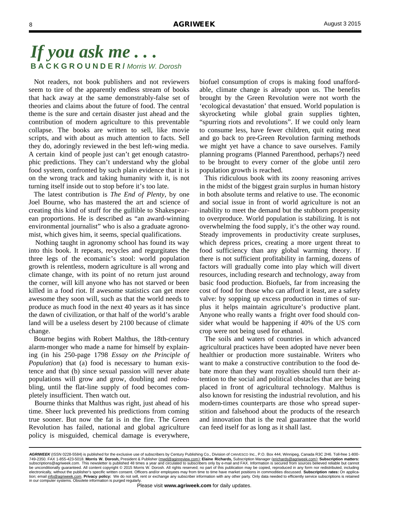Not readers, not book publishers and not reviewers seem to tire of the apparently endless stream of books that hack away at the same demonstrably-false set of theories and claims about the future of food. The central theme is the sure and certain disaster just ahead and the contribution of modern agriculture to this preventable collapse. The books are written to sell, like movie scripts, and with about as much attention to facts. Sell they do, adoringly reviewed in the best left-wing media. A certain kind of people just can't get enough catastrophic predictions. They can't understand why the global food system, confronted by such plain evidence that it is on the wrong track and taking humanity with it, is not turning itself inside out to stop before it's too late.

 The latest contribution is *The End of Plenty*, by one Joel Bourne, who has mastered the art and science of creating this kind of stuff for the gullible to Shakespearean proportions. He is described as "an award-winning environmental journalist" who is also a graduate agronomist, which gives him, it seems, special qualifications.

 Nothing taught in agronomy school has found its way into this book. It repeats, recycles and regurgitates the three legs of the ecomanic's stool: world population growth is relentless, modern agriculture is all wrong and climate change, with its point of no return just around the corner, will kill anyone who has not starved or been killed in a food riot. If awesome statistics can get more awesome they soon will, such as that the world needs to produce as much food in the next 40 years as it has since the dawn of civilization, or that half of the world's arable land will be a useless desert by 2100 because of climate change.

 Bourne begins with Robert Malthus, the 18th-century alarm-monger who made a name for himself by explaining (in his 250-page 1798 *Essay on the Principle of Population*) that (a) food is necessary to human existence and that (b) since sexual passion will never abate populations will grow and grow, doubling and redoubling, until the flat-line supply of food becomes completely insufficient. Then watch out.

 Bourne thinks that Malthus was right, just ahead of his time. Sheer luck prevented his predictions from coming true sooner. But now the fat is in the fire. The Green Revolution has failed, national and global agriculture policy is misguided, chemical damage is everywhere,

biofuel consumption of crops is making food unaffordable, climate change is already upon us. The benefits brought by the Green Revolution were not worth the 'ecological devastation' that ensued. World population is skyrocketing while global grain supplies tighten, "spurring riots and revolutions". If we could only learn to consume less, have fewer children, quit eating meat and go back to pre-Green Revolution farming methods we might yet have a chance to save ourselves. Family planning programs (Planned Parenthood, perhaps?) need to be brought to every corner of the globe until zero population growth is reached.

 This ridiculous book with its zoony reasoning arrives in the midst of the biggest grain surplus in human history in both absolute terms and relative to use. The economic and social issue in front of world agriculture is not an inability to meet the demand but the stubborn propensity to overproduce. World population is stabilizing. It is not overwhelming the food supply, it's the other way round. Steady improvements in productivity create surpluses, which depress prices, creating a more urgent threat to food sufficiency than any global warming theory. If there is not sufficient profitability in farming, dozens of factors will gradually come into play which will divert resources, including research and technology, away from basic food production. Biofuels, far from increasing the cost of food for those who can afford it least, are a safety valve: by sopping up excess production in times of surplus it helps maintain agriculture's productive plant. Anyone who really wants a fright over food should consider what would be happening if 40% of the US corn crop were not being used for ethanol.

 The soils and waters of countries in which advanced agricultural practices have been adopted have never been healthier or production more sustainable. Writers who want to make a constructive contribution to the food debate more than they want royalties should turn their attention to the social and political obstacles that are being placed in front of agricultural technology. Malthus is also known for resisting the industrial revolution, and his modern-times counterparts are those who spread superstition and falsehood about the products of the research and innovation that is the real guarantee that the world can feed itself for as long as it shall last.

*AGRIWEEK* (ISSN 0228-5584) is published for the exclusive use of subscribers by Century Publishing Co., Division of CANVESCO Inc., P.O. Box 444, Winnipeg, Canada R3C 2H6. Toll-free 1-800- 749-2350. FAX 1-855-423-5018. **Morris W. Dorosh,** President & Publisher (mwd@aginreview.com); **Elaine Richards,** Subscription Manager (erichards@agriweek.com); **Subscription matters:**  subscriptions@agriweek.com. This newsletter is published 48 times a year and circulated to subscribers only by e-mail and FAX. Information is secured from sources believed reliable but cannot<br>be unconditionally guaranteed. electronically, without the publisher's specific written consent. Officers and/or employees may from time to time have market positions in commodities discussed. **Subscription rates:** On application; email info@agriweek.com. **Privacy policy:** We do not sell, rent or exchange any subscriber information with any other party. Only data needed to efficiently service subscriptions is retained in our computer systems. Obsolete information is purged regularly.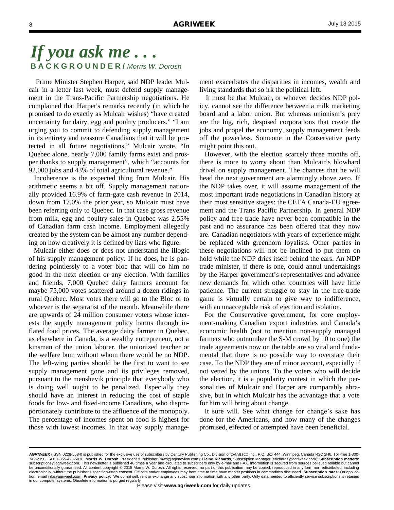Prime Minister Stephen Harper, said NDP leader Mulcair in a letter last week, must defend supply management in the Trans-Pacific Partnership negotiations. He complained that Harper's remarks recently (in which he promised to do exactly as Mulcair wishes) "have created uncertainty for dairy, egg and poultry producers." "I am urging you to commit to defending supply management in its entirety and reassure Canadians that it will be protected in all future negotiations," Mulcair wrote. "In Quebec alone, nearly 7,000 family farms exist and prosper thanks to supply management", which "accounts for 92,000 jobs and 43% of total agricultural revenue."

 Incoherence is the expected thing from Mulcair. His arithmetic seems a bit off. Supply management nationally provided 16.9% of farm-gate cash revenue in 2014, down from 17.0% the prior year, so Mulcair must have been referring only to Quebec. In that case gross revenue from milk, egg and poultry sales in Quebec was 2.55% of Canadian farm cash income. Employment allegedly created by the system can be almost any number depending on how creatively it is defined by liars who figure.

 Mulcair either does or does not understand the illogic of his supply management policy. If he does, he is pandering pointlessly to a voter bloc that will do him no good in the next election or any election. With families and friends, 7,000 Quebec dairy farmers account for maybe 75,000 votes scattered around a dozen ridings in rural Quebec. Most votes there will go to the Bloc or to whoever is the separatist of the month. Meanwhile there are upwards of 24 million consumer voters whose interests the supply management policy harms through inflated food prices. The average dairy farmer in Quebec, as elsewhere in Canada, is a wealthy entrepreneur, not a kinsman of the union laborer, the unionized teacher or the welfare bum without whom there would be no NDP. The left-wing parties should be the first to want to see supply management gone and its privileges removed, pursuant to the menshevik principle that everybody who is doing well ought to be penalized. Especially they should have an interest in reducing the cost of staple foods for low- and fixed-income Canadians, who disproportionately contribute to the affluence of the monopoly. The percentage of incomes spent on food is highest for those with lowest incomes. In that way supply management exacerbates the disparities in incomes, wealth and living standards that so irk the political left.

 It must be that Mulcair, or whoever decides NDP policy, cannot see the difference between a milk marketing board and a labor union. But whereas unionism's prey are the big, rich, despised corporations that create the jobs and propel the economy, supply management feeds off the powerless. Someone in the Conservative party might point this out.

 However, with the election scarcely three months off, there is more to worry about than Mulcair's blowhard drivel on supply management. The chances that he will head the next government are alarmingly above zero. If the NDP takes over, it will assume management of the most important trade negotiations in Canadian history at their most sensitive stages: the CETA Canada-EU agreement and the Trans Pacific Partnership. In general NDP policy and free trade have never been compatible in the past and no assurance has been offered that they now are. Canadian negotiators with years of experience might be replaced with greenhorn loyalists. Other parties in these negotiations will not be inclined to put them on hold while the NDP dries itself behind the ears. An NDP trade minister, if there is one, could annul undertakings by the Harper government's representatives and advance new demands for which other countries will have little patience. The current struggle to stay in the free-trade game is virtually certain to give way to indifference, with an unacceptable risk of ejection and isolation.

 For the Conservative government, for core employment-making Canadian export industries and Canada's economic health (not to mention non-supply managed farmers who outnumber the S-M crowd by 10 to one) the trade agreements now on the table are so vital and fundamental that there is no possible way to overstate their case. To the NDP they are of minor account, especially if not vetted by the unions. To the voters who will decide the election, it is a popularity contest in which the personalities of Mulcair and Harper are comparably abrasive, but in which Mulcair has the advantage that a vote for him will bring about change.

 It sure will. See what change for change's sake has done for the Americans, and how many of the changes promised, effected or attempted have been beneficial.

*AGRIWEEK* (ISSN 0228-5584) is published for the exclusive use of subscribers by Century Publishing Co., Division of CANVESCO Inc., P.O. Box 444, Winnipeg, Canada R3C 2H6. Toll-free 1-800- 749-2350. FAX 1-855-423-5018. **Morris W. Dorosh,** President & Publisher (mwd@aginreview.com); **Elaine Richards,** Subscription Manager (erichards@agriweek.com); **Subscription matters:**  subscriptions@agriweek.com. This newsletter is published 48 times a year and circulated to subscribers only by e-mail and FAX. Information is secured from sources believed reliable but cannot<br>be unconditionally guaranteed. electronically, without the publisher's specific written consent. Officers and/or employees may from time to time have market positions in commodities discussed. **Subscription rates:** On application; email info@agriweek.com. **Privacy policy:** We do not sell, rent or exchange any subscriber information with any other party. Only data needed to efficiently service subscriptions is retained in our computer systems. Obsolete information is purged regularly.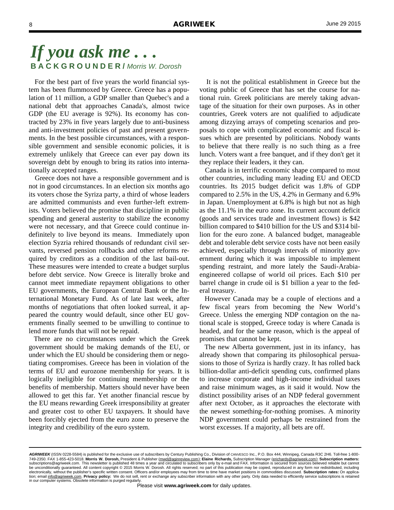For the best part of five years the world financial system has been flummoxed by Greece. Greece has a population of 11 million, a GDP smaller than Quebec's and a national debt that approaches Canada's, almost twice GDP (the EU average is 92%). Its economy has contracted by 23% in five years largely due to anti-business and anti-investment policies of past and present governments. In the best possible circumstances, with a responsible government and sensible economic policies, it is extremely unlikely that Greece can ever pay down its sovereign debt by enough to bring its ratios into internationally accepted ranges.

 Greece does not have a responsible government and is not in good circumstances. In an election six months ago its voters chose the Syriza party, a third of whose leaders are admitted communists and even further-left extremists. Voters believed the promise that discipline in public spending and general austerity to stabilize the economy were not necessary, and that Greece could continue indefinitely to live beyond its means. Immediately upon election Syzria rehired thousands of redundant civil servants, reversed pension rollbacks and other reforms required by creditors as a condition of the last bail-out. These measures were intended to create a budget surplus before debt service. Now Greece is literally broke and cannot meet immediate repayment obligations to other EU governments, the European Central Bank or the International Monetary Fund. As of late last week, after months of negotiations that often looked surreal, it appeared the country would default, since other EU governments finally seemed to be unwilling to continue to lend more funds that will not be repaid.

 There are no circumstances under which the Greek government should be making demands of the EU, or under which the EU should be considering them or negotiating compromises. Greece has been in violation of the terms of EU and eurozone membership for years. It is logically ineligible for continuing membership or the benefits of membership. Matters should never have been allowed to get this far. Yet another financial rescue by the EU means rewarding Greek irresponsibility at greater and greater cost to other EU taxpayers. It should have been forcibly ejected from the euro zone to preserve the integrity and credibility of the euro system.

 It is not the political establishment in Greece but the voting public of Greece that has set the course for national ruin. Greek politicians are merely taking advantage of the situation for their own purposes. As in other countries, Greek voters are not qualified to adjudicate among dizzying arrays of competing scenarios and proposals to cope with complicated economic and fiscal issues which are presented by politicians. Nobody wants to believe that there really is no such thing as a free lunch. Voters want a free banquet, and if they don't get it they replace their leaders, it they can.

 Canada is in terrific economic shape compared to most other countries, including many leading EU and OECD countries. Its 2015 budget deficit was 1.8% of GDP compared to 2.5% in the US, 4.2% in Germany and 6.9% in Japan. Unemployment at 6.8% is high but not as high as the 11.1% in the euro zone. Its current account deficit (goods and services trade and investment flows) is \$42 billion compared to \$410 billion for the US and \$314 billion for the euro zone. A balanced budget, manageable debt and tolerable debt service costs have not been easily achieved, especially through intervals of minority government during which it was impossible to implement spending restraint, and more lately the Saudi-Arabiaengineered collapse of world oil prices. Each \$10 per barrel change in crude oil is \$1 billion a year to the federal treasury.

 However Canada may be a couple of elections and a few fiscal years from becoming the New World's Greece. Unless the emerging NDP contagion on the national scale is stopped, Greece today is where Canada is headed, and for the same reason, which is the appeal of promises that cannot be kept.

 The new Alberta government, just in its infancy, has already shown that comparing its philosophical persuasions to those of Syriza is hardly crazy. It has rolled back billion-dollar anti-deficit spending cuts, confirmed plans to increase corporate and high-income individual taxes and raise minimum wages, as it said it would. Now the distinct possibility arises of an NDP federal government after next October, as it approaches the electorate with the newest something-for-nothing promises. A minority NDP government could perhaps be restrained from the worst excesses. If a majority, all bets are off.

*AGRIWEEK* (ISSN 0228-5584) is published for the exclusive use of subscribers by Century Publishing Co., Division of CANVESCO Inc., P.O. Box 444, Winnipeg, Canada R3C 2H6. Toll-free 1-800- 749-2350. FAX 1-855-423-5018. **Morris W. Dorosh,** President & Publisher (mwd@aginreview.com); **Elaine Richards,** Subscription Manager (erichards@agriweek.com); **Subscription matters:**  subscriptions@agriweek.com. This newsletter is published 48 times a year and circulated to subscribers only by e-mail and FAX. Information is secured from sources believed reliable but cannot<br>be unconditionally guaranteed. electronically, without the publisher's specific written consent. Officers and/or employees may from time to time have market positions in commodities discussed. **Subscription rates:** On application; email info@agriweek.com. **Privacy policy:** We do not sell, rent or exchange any subscriber information with any other party. Only data needed to efficiently service subscriptions is retained in our computer systems. Obsolete information is purged regularly.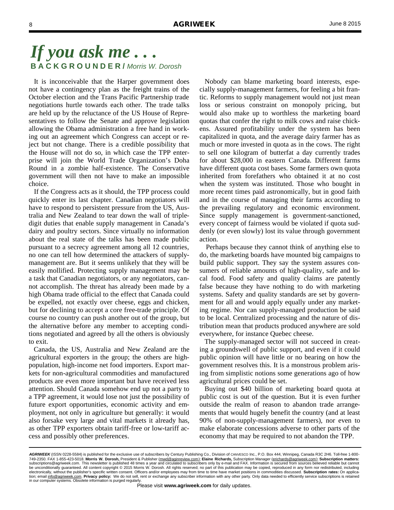It is inconceivable that the Harper government does not have a contingency plan as the freight trains of the October election and the Trans Pacific Partnership trade negotiations hurtle towards each other. The trade talks are held up by the reluctance of the US House of Representatives to follow the Senate and approve legislation allowing the Obama administration a free hand in working out an agreement which Congress can accept or reject but not change. There is a credible possibility that the House will not do so, in which case the TPP enterprise will join the World Trade Organization's Doha Round in a zombie half-existence. The Conservative government will then not have to make an impossible choice.

 If the Congress acts as it should, the TPP process could quickly enter its last chapter. Canadian negotiators will have to respond to persistent pressure from the US, Australia and New Zealand to tear down the wall of tripledigit duties that enable supply management in Canada's dairy and poultry sectors. Since virtually no information about the real state of the talks has been made public pursuant to a secrecy agreement among all 12 countries, no one can tell how determined the attackers of supplymanagement are. But it seems unlikely that they will be easily mollified. Protecting supply management may be a task that Canadian negotiators, or any negotiators, cannot accomplish. The threat has already been made by a high Obama trade official to the effect that Canada could be expelled, not exactly over cheese, eggs and chicken, but for declining to accept a core free-trade principle. Of course no country can push another out of the group, but the alternative before any member to accepting conditions negotiated and agreed by all the others is obviously to exit.

 Canada, the US, Australia and New Zealand are the agricultural exporters in the group; the others are highpopulation, high-income net food importers. Export markets for non-agricultural commodities and manufactured products are even more important but have received less attention. Should Canada somehow end up not a party to a TPP agreement, it would lose not just the possibility of future export opportunities, economic activity and employment, not only in agriculture but generally: it would also forsake very large and vital markets it already has, as other TPP exporters obtain tariff-free or low-tariff access and possibly other preferences.

 Nobody can blame marketing board interests, especially supply-management farmers, for feeling a bit frantic. Reforms to supply management would not just mean loss or serious constraint on monopoly pricing, but would also make up to worthless the marketing board quotas that confer the right to milk cows and raise chickens. Assured profitability under the system has been capitalized in quota, and the average dairy farmer has as much or more invested in quota as in the cows. The right to sell one kilogram of butterfat a day currently trades for about \$28,000 in eastern Canada. Different farms have different quota cost bases. Some farmers own quota inherited from forefathers who obtained it at no cost when the system was instituted. Those who bought in more recent times paid astronomically, but in good faith and in the course of managing their farms according to the prevailing regulatory and economic environment. Since supply management is government-sanctioned, every concept of fairness would be violated if quota suddenly (or even slowly) lost its value through government action.

 Perhaps because they cannot think of anything else to do, the marketing boards have mounted big campaigns to build public support. They say the system assures consumers of reliable amounts of high-quality, safe and local food. Food safety and quality claims are patently false because they have nothing to do with marketing systems. Safety and quality standards are set by government for all and would apply equally under any marketing regime. Nor can supply-managed production be said to be local. Centralized processing and the nature of distribution mean that products produced anywhere are sold everywhere, for instance Quebec cheese.

 The supply-managed sector will not succeed in creating a groundswell of public support, and even if it could public opinion will have little or no bearing on how the government resolves this. It is a monstrous problem arising from simplistic notions some generations ago of how agricultural prices could be set.

 Buying out \$40 billion of marketing board quota at public cost is out of the question. But it is even further outside the realm of reason to abandon trade arrangements that would hugely benefit the country (and at least 90% of non-supply-management farmers), nor even to make elaborate concessions adverse to other parts of the economy that may be required to not abandon the TPP.

AGRIWEEK (ISSN 0228-5584) is published for the exclusive use of subscribers by Century Publishing Co., Division of CANVESCO Inc., P.O. Box 444, Winnipeg, Canada R3C 2H6. Toll-free 1-800-749-2350. FAX 1-855-423-5018. **Morris W. Dorosh,** President & Publisher (mwd@aginreview.com); **Elaine Richards,** Subscription Manager (erichards@agriweek.com); **Subscription matters:**  subscriptions@agriweek.com. This newsletter is published 48 times a year and circulated to subscribers only by e-mail and FAX. Information is secured from sources believed reliable but cannot<br>be unconditionally guaranteed. electronically, without the publisher's specific written consent. Officers and/or employees may from time to time have market positions in commodities discussed. **Subscription rates:** On application; email info@agriweek.com. **Privacy policy:** We do not sell, rent or exchange any subscriber information with any other party. Only data needed to efficiently service subscriptions is retained in our computer systems. Obsolete information is purged regularly.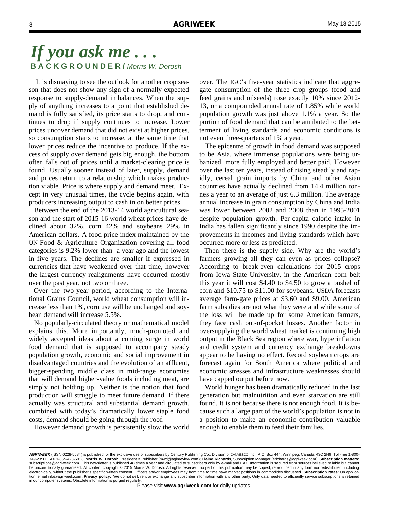It is dismaying to see the outlook for another crop season that does not show any sign of a normally expected response to supply-demand imbalances. When the supply of anything increases to a point that established demand is fully satisfied, its price starts to drop, and continues to drop if supply continues to increase. Lower prices uncover demand that did not exist at higher prices, so consumption starts to increase, at the same time that lower prices reduce the incentive to produce. If the excess of supply over demand gets big enough, the bottom often falls out of prices until a market-clearing price is found. Usually sooner instead of later, supply, demand and prices return to a relationship which makes production viable. Price is where supply and demand meet. Except in very unusual times, the cycle begins again, with producers increasing output to cash in on better prices.

 Between the end of the 2013-14 world agricultural season and the start of 2015-16 world wheat prices have declined about 32%, corn 42% and soybeans 29% in American dollars. A food price index maintained by the UN Food & Agriculture Organization covering all food categories is 9.2% lower than a year ago and the lowest in five years. The declines are smaller if expressed in currencies that have weakened over that time, however the largest currency realignments have occurred mostly over the past year, not two or three.

 Over the two-year period, according to the International Grains Council, world wheat consumption will increase less than 1%, corn use will be unchanged and soybean demand will increase 5.5%.

 No popularly-circulated theory or mathematical model explains this. More importantly, much-promoted and widely accepted ideas about a coming surge in world food demand that is supposed to accompany steady population growth, economic and social improvement in disadvantaged countries and the evolution of an affluent, bigger-spending middle class in mid-range economies that will demand higher-value foods including meat, are simply not holding up. Neither is the notion that food production will struggle to meet future demand. If there actually was structural and substantial demand growth, combined with today's dramatically lower staple food costs, demand should be going through the roof.

However demand growth is persistently slow the world

over. The IGC's five-year statistics indicate that aggregate consumption of the three crop groups (food and feed grains and oilseeds) rose exactly 10% since 2012- 13, or a compounded annual rate of 1.85% while world population growth was just above 1.1% a year. So the portion of food demand that can be attributed to the betterment of living standards and economic conditions is not even three-quarters of 1% a year.

 The epicentre of growth in food demand was supposed to be Asia, where immense populations were being urbanized, more fully employed and better paid. However over the last ten years, instead of rising steadily and rapidly, cereal grain imports by China and other Asian countries have actually declined from 14.4 million tonnes a year to an average of just 6.3 million. The average annual increase in grain consumption by China and India was lower between 2002 and 2008 than in 1995-2001 despite population growth. Per-capita caloric intake in India has fallen significantly since 1990 despite the improvements in incomes and living standards which have occurred more or less as predicted.

 Then there is the supply side. Why are the world's farmers growing all they can even as prices collapse? According to break-even calculations for 2015 crops from Iowa State University, in the American corn belt this year it will cost \$4.40 to \$4.50 to grow a bushel of corn and \$10.75 to \$11.00 for soybeans. USDA forecasts average farm-gate prices at \$3.60 and \$9.00. American farm subsidies are not what they were and while some of the loss will be made up for some American farmers, they face cash out-of-pocket losses. Another factor in oversupplying the world wheat market is continuing high output in the Black Sea region where war, hyperinflation and credit system and currency exchange breakdowns appear to be having no effect. Record soybean crops are forecast again for South America where political and economic stresses and infrastructure weaknesses should have capped output before now.

 World hunger has been dramatically reduced in the last generation but malnutrition and even starvation are still found. It is not because there is not enough food. It is because such a large part of the world's population is not in a position to make an economic contribution valuable enough to enable them to feed their families.

*AGRIWEEK* (ISSN 0228-5584) is published for the exclusive use of subscribers by Century Publishing Co., Division of CANVESCO Inc., P.O. Box 444, Winnipeg, Canada R3C 2H6. Toll-free 1-800- 749-2350. FAX 1-855-423-5018. **Morris W. Dorosh,** President & Publisher (mwd@aginreview.com); **Elaine Richards,** Subscription Manager (erichards@agriweek.com); **Subscription matters:**  subscriptions@agriweek.com. This newsletter is published 48 times a year and circulated to subscribers only by e-mail and FAX. Information is secured from sources believed reliable but cannot<br>be unconditionally guaranteed. electronically, without the publisher's specific written consent. Officers and/or employees may from time to time have market positions in commodities discussed. **Subscription rates:** On application; email info@agriweek.com. **Privacy policy:** We do not sell, rent or exchange any subscriber information with any other party. Only data needed to efficiently service subscriptions is retained in our computer systems. Obsolete information is purged regularly.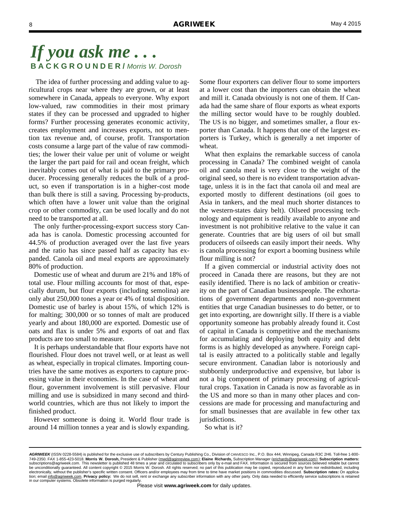The idea of further processing and adding value to agricultural crops near where they are grown, or at least somewhere in Canada, appeals to everyone. Why export low-valued, raw commodities in their most primary states if they can be processed and upgraded to higher forms? Further processing generates economic activity, creates employment and increases exports, not to mention tax revenue and, of course, profit. Transportation costs consume a large part of the value of raw commodities; the lower their value per unit of volume or weight the larger the part paid for rail and ocean freight, which inevitably comes out of what is paid to the primary producer. Processing generally reduces the bulk of a product, so even if transportation is in a higher-cost mode than bulk there is still a saving. Processing by-products, which often have a lower unit value than the original crop or other commodity, can be used locally and do not need to be transported at all.

 The only further-processing-export success story Canada has is canola. Domestic processing accounted for 44.5% of production averaged over the last five years and the ratio has since passed half as capacity has expanded. Canola oil and meal exports are approximately 80% of production.

 Domestic use of wheat and durum are 21% and 18% of total use. Flour milling accounts for most of that, especially durum, but flour exports (including semolina) are only abut 250,000 tones a year or 4% of total disposition. Domestic use of barley is about 15%, of which 12% is for malting; 300,000 or so tonnes of malt are produced yearly and about 180,000 are exported. Domestic use of oats and flax is under 5% and exports of oat and flax products are too small to measure.

 It is perhaps understandable that flour exports have not flourished. Flour does not travel well, or at least as well as wheat, especially in tropical climates. Importing countries have the same motives as exporters to capture processing value in their economies. In the case of wheat and flour, government involvement is still pervasive. Flour milling and use is subsidized in many second and thirdworld countries, which are thus not likely to import the finished product.

 However someone is doing it. World flour trade is around 14 million tonnes a year and is slowly expanding.

Some flour exporters can deliver flour to some importers at a lower cost than the importers can obtain the wheat and mill it. Canada obviously is not one of them. If Canada had the same share of flour exports as wheat exports the milling sector would have to be roughly doubled. The US is no bigger, and sometimes smaller, a flour exporter than Canada. It happens that one of the largest exporters is Turkey, which is generally a net importer of wheat.

 What then explains the remarkable success of canola processing in Canada? The combined weight of canola oil and canola meal is very close to the weight of the original seed, so there is no evident transportation advantage, unless it is in the fact that canola oil and meal are exported mostly to different destinations (oil goes to Asia in tankers, and the meal much shorter distances to the western-states dairy belt). Oilseed processing technology and equipment is readily available to anyone and investment is not prohibitive relative to the value it can generate. Countries that are big users of oil but small producers of oilseeds can easily import their needs. Why is canola processing for export a booming business while flour milling is not?

 If a given commercial or industrial activity does not proceed in Canada there are reasons, but they are not easily identified. There is no lack of ambition or creativity on the part of Canadian businesspeople. The exhortations of government departments and non-government entities that urge Canadian businesses to do better, or to get into exporting, are downright silly. If there is a viable opportunity someone has probably already found it. Cost of capital in Canada is competitive and the mechanisms for accumulating and deploying both equity and debt forms is as highly developed as anywhere. Foreign capital is easily attracted to a politically stable and legally secure environment. Canadian labor is notoriously and stubbornly underproductive and expensive, but labor is not a big component of primary processing of agricultural crops. Taxation in Canada is now as favorable as in the US and more so than in many other places and concessions are made for processing and manufacturing and for small businesses that are available in few other tax jurisdictions.

So what is it?

*AGRIWEEK* (ISSN 0228-5584) is published for the exclusive use of subscribers by Century Publishing Co., Division of CANVESCO Inc., P.O. Box 444, Winnipeg, Canada R3C 2H6. Toll-free 1-800- 749-2350. FAX 1-855-423-5018. **Morris W. Dorosh,** President & Publisher (mwd@aginreview.com); **Elaine Richards,** Subscription Manager (erichards@agriweek.com); **Subscription matters:**  subscriptions@agriweek.com. This newsletter is published 48 times a year and circulated to subscribers only by e-mail and FAX. Information is secured from sources believed reliable but cannot<br>be unconditionally guaranteed. electronically, without the publisher's specific written consent. Officers and/or employees may from time to time have market positions in commodities discussed. **Subscription rates:** On application; email info@agriweek.com. **Privacy policy:** We do not sell, rent or exchange any subscriber information with any other party. Only data needed to efficiently service subscriptions is retained in our computer systems. Obsolete information is purged regularly.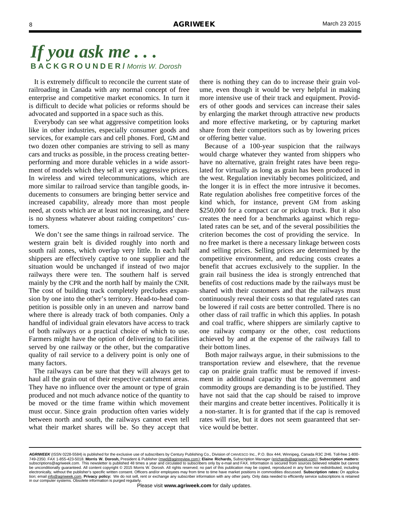It is extremely difficult to reconcile the current state of railroading in Canada with any normal concept of free enterprise and competitive market economics. In turn it is difficult to decide what policies or reforms should be advocated and supported in a space such as this.

 Everybody can see what aggressive competition looks like in other industries, especially consumer goods and services, for example cars and cell phones. Ford, GM and two dozen other companies are striving to sell as many cars and trucks as possible, in the process creating betterperforming and more durable vehicles in a wide assortment of models which they sell at very aggressive prices. In wireless and wired telecommunications, which are more similar to railroad service than tangible goods, inducements to consumers are bringing better service and increased capability, already more than most people need, at costs which are at least not increasing, and there is no shyness whatever about raiding competitors' customers.

 We don't see the same things in railroad service. The western grain belt is divided roughly into north and south rail zones, which overlap very little. In each half shippers are effectively captive to one supplier and the situation would be unchanged if instead of two major railways there were ten. The southern half is served mainly by the CPR and the north half by mainly the CNR. The cost of building track completely precludes expansion by one into the other's territory. Head-to-head competition is possible only in an uneven and narrow band where there is already track of both companies. Only a handful of individual grain elevators have access to track of both railways or a practical choice of which to use. Farmers might have the option of delivering to facilities served by one railway or the other, but the comparative quality of rail service to a delivery point is only one of many factors.

 The railways can be sure that they will always get to haul all the grain out of their respective catchment areas. They have no influence over the amount or type of grain produced and not much advance notice of the quantity to be moved or the time frame within which movement must occur. Since grain production often varies widely between north and south, the railways cannot even tell what their market shares will be. So they accept that

there is nothing they can do to increase their grain volume, even though it would be very helpful in making more intensive use of their track and equipment. Providers of other goods and services can increase their sales by enlarging the market through attractive new products and more effective marketing, or by capturing market share from their competitors such as by lowering prices or offering better value.

 Because of a 100-year suspicion that the railways would charge whatever they wanted from shippers who have no alternative, grain freight rates have been regulated for virtually as long as grain has been produced in the west. Regulation inevitably becomes politicized, and the longer it is in effect the more intrusive it becomes. Rate regulation abolishes free competitive forces of the kind which, for instance, prevent GM from asking \$250,000 for a compact car or pickup truck. But it also creates the need for a benchmarks against which regulated rates can be set, and of the several possibilities the criterion becomes the cost of providing the service. In no free market is there a necessary linkage between costs and selling prices. Selling prices are determined by the competitive environment, and reducing costs creates a benefit that accrues exclusively to the supplier. In the grain rail business the idea is strongly entrenched that benefits of cost reductions made by the railways must be shared with their customers and that the railways must continuously reveal their costs so that regulated rates can be lowered if rail costs are better controlled. There is no other class of rail traffic in which this applies. In potash and coal traffic, where shippers are similarly captive to one railway company or the other, cost reductions achieved by and at the expense of the railways fall to their bottom lines.

 Both major railways argue, in their submissions to the transportation review and elsewhere, that the revenue cap on prairie grain traffic must be removed if investment in additional capacity that the government and commodity groups are demanding is to be justified. They have not said that the cap should be raised to improve their margins and create better incentives. Politically it is a non-starter. It is for granted that if the cap is removed rates will rise, but it does not seem guaranteed that service would be better.

*AGRIWEEK* (ISSN 0228-5584) is published for the exclusive use of subscribers by Century Publishing Co., Division of CANVESCO Inc., P.O. Box 444, Winnipeg, Canada R3C 2H6. Toll-free 1-800- 749-2350. FAX 1-855-423-5018. **Morris W. Dorosh,** President & Publisher (mwd@aginreview.com); **Elaine Richards,** Subscription Manager (erichards@agriweek.com); **Subscription matters:**  subscriptions@agriweek.com. This newsletter is published 48 times a year and circulated to subscribers only by e-mail and FAX. Information is secured from sources believed reliable but cannot<br>be unconditionally guaranteed. electronically, without the publisher's specific written consent. Officers and/or employees may from time to time have market positions in commodities discussed. **Subscription rates:** On application; email info@agriweek.com. **Privacy policy:** We do not sell, rent or exchange any subscriber information with any other party. Only data needed to efficiently service subscriptions is retained in our computer systems. Obsolete information is purged regularly.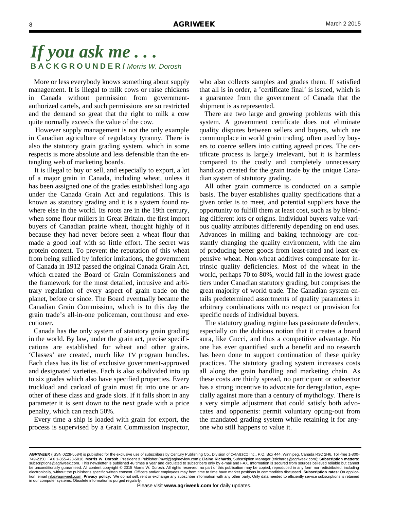More or less everybody knows something about supply management. It is illegal to milk cows or raise chickens in Canada without permission from governmentauthorized cartels, and such permissions are so restricted and the demand so great that the right to milk a cow quite normally exceeds the value of the cow.

 However supply management is not the only example in Canadian agriculture of regulatory tyranny. There is also the statutory grain grading system, which in some respects is more absolute and less defensible than the entangling web of marketing boards.

 It is illegal to buy or sell, and especially to export, a lot of a major grain in Canada, including wheat, unless it has been assigned one of the grades established long ago under the Canada Grain Act and regulations. This is known as statutory grading and it is a system found nowhere else in the world. Its roots are in the 19th century, when some flour millers in Great Britain, the first import buyers of Canadian prairie wheat, thought highly of it because they had never before seen a wheat flour that made a good loaf with so little effort. The secret was protein content. To prevent the reputation of this wheat from being sullied by inferior imitations, the government of Canada in 1912 passed the original Canada Grain Act, which created the Board of Grain Commissioners and the framework for the most detailed, intrusive and arbitrary regulation of every aspect of grain trade on the planet, before or since. The Board eventually became the Canadian Grain Commission, which is to this day the grain trade's all-in-one policeman, courthouse and executioner.

 Canada has the only system of statutory grain grading in the world. By law, under the grain act, precise specifications are established for wheat and other grains. 'Classes' are created, much like TV program bundles. Each class has its list of exclusive government-approved and designated varieties. Each is also subdivided into up to six grades which also have specified properties. Every truckload and carload of grain must fit into one or another of these class and grade slots. If it falls short in any parameter it is sent down to the next grade with a price penalty, which can reach 50%.

 Every time a ship is loaded with grain for export, the process is supervised by a Grain Commission inspector, who also collects samples and grades them. If satisfied that all is in order, a 'certificate final' is issued, which is a guarantee from the government of Canada that the shipment is as represented.

 There are two large and growing problems with this system. A government certificate does not eliminate quality disputes between sellers and buyers, which are commonplace in world grain trading, often used by buyers to coerce sellers into cutting agreed prices. The certificate process is largely irrelevant, but it is harmless compared to the costly and completely unnecessary handicap created for the grain trade by the unique Canadian system of statutory grading.

 All other grain commerce is conducted on a sample basis. The buyer establishes quality specifications that a given order is to meet, and potential suppliers have the opportunity to fulfill them at least cost, such as by blending different lots or origins. Individual buyers value various quality attributes differently depending on end uses. Advances in milling and baking technology are constantly changing the quality environment, with the aim of producing better goods from least-rated and least expensive wheat. Non-wheat additives compensate for intrinsic quality deficiencies. Most of the wheat in the world, perhaps 70 to 80%, would fall in the lowest grade tiers under Canadian statutory grading, but comprises the great majority of world trade. The Canadian system entails predetermined assortments of quality parameters in arbitrary combinations with no respect or provision for specific needs of individual buyers.

 The statutory grading regime has passionate defenders, especially on the dubious notion that it creates a brand aura, like Gucci, and thus a competitive advantage. No one has ever quantified such a benefit and no research has been done to support continuation of these quirky practices. The statutory grading system increases costs all along the grain handling and marketing chain. As these costs are thinly spread, no participant or subsector has a strong incentive to advocate for deregulation, especially against more than a century of mythology. There is a very simple adjustment that could satisfy both advocates and opponents: permit voluntary opting-out from the mandated grading system while retaining it for anyone who still happens to value it.

*AGRIWEEK* (ISSN 0228-5584) is published for the exclusive use of subscribers by Century Publishing Co., Division of CANVESCO Inc., P.O. Box 444, Winnipeg, Canada R3C 2H6. Toll-free 1-800- 749-2350. FAX 1-855-423-5018. **Morris W. Dorosh,** President & Publisher (mwd@aginreview.com); **Elaine Richards,** Subscription Manager (erichards@agriweek.com); **Subscription matters:**  subscriptions@agriweek.com. This newsletter is published 48 times a year and circulated to subscribers only by e-mail and FAX. Information is secured from sources believed reliable but cannot<br>be unconditionally guaranteed. electronically, without the publisher's specific written consent. Officers and/or employees may from time to time have market positions in commodities discussed. **Subscription rates:** On application; email info@agriweek.com. **Privacy policy:** We do not sell, rent or exchange any subscriber information with any other party. Only data needed to efficiently service subscriptions is retained in our computer systems. Obsolete information is purged regularly.